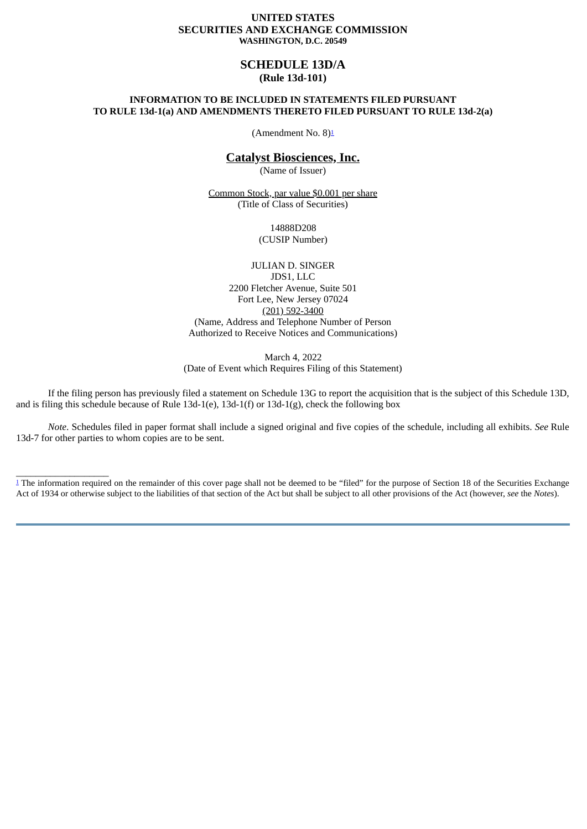#### **UNITED STATES SECURITIES AND EXCHANGE COMMISSION WASHINGTON, D.C. 20549**

# **SCHEDULE 13D/A (Rule 13d-101)**

## **INFORMATION TO BE INCLUDED IN STATEMENTS FILED PURSUANT TO RULE 13d-1(a) AND AMENDMENTS THERETO FILED PURSUANT TO RULE 13d-2(a)**

<span id="page-0-1"></span>(Amendment No. 8)<sup>[1](#page-0-0)</sup>

# **Catalyst Biosciences, Inc.**

(Name of Issuer)

Common Stock, par value \$0.001 per share (Title of Class of Securities)

> 14888D208 (CUSIP Number)

JULIAN D. SINGER JDS1, LLC 2200 Fletcher Avenue, Suite 501 Fort Lee, New Jersey 07024 (201) 592-3400 (Name, Address and Telephone Number of Person Authorized to Receive Notices and Communications)

March 4, 2022

(Date of Event which Requires Filing of this Statement)

If the filing person has previously filed a statement on Schedule 13G to report the acquisition that is the subject of this Schedule 13D, and is filing this schedule because of Rule 13d-1(e), 13d-1(f) or 13d-1(g), check the following box

*Note*. Schedules filed in paper format shall include a signed original and five copies of the schedule, including all exhibits. *See* Rule 13d-7 for other parties to whom copies are to be sent.

\_\_\_\_\_\_\_\_\_\_\_\_\_\_\_\_\_\_\_

<span id="page-0-0"></span><sup>&</sup>lt;sup>[1](#page-0-1)</sup> The information required on the remainder of this cover page shall not be deemed to be "filed" for the purpose of Section 18 of the Securities Exchange Act of 1934 or otherwise subject to the liabilities of that section of the Act but shall be subject to all other provisions of the Act (however, *see* the *Notes*).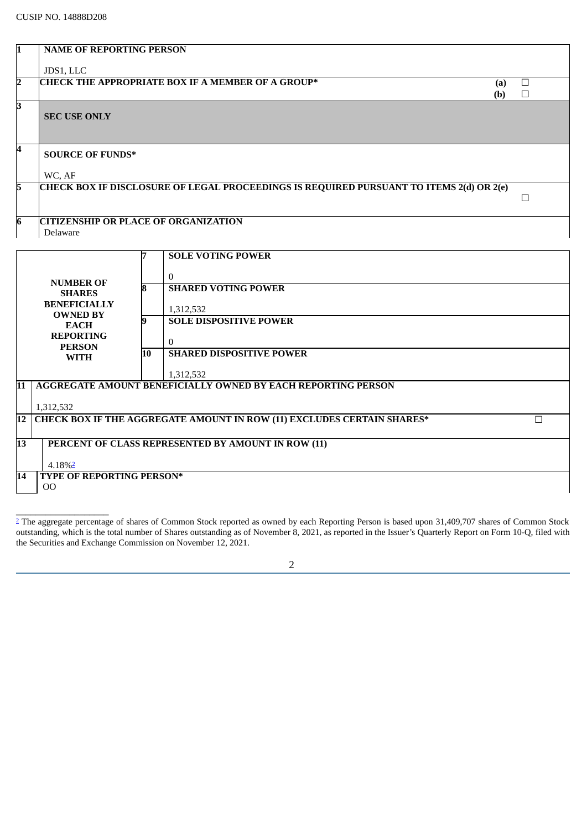<span id="page-1-1"></span>4.18%[2](#page-1-0)

 $\_$ 

OO

**14 TYPE OF REPORTING PERSON\***

| $\mathbf 1$ | <b>NAME OF REPORTING PERSON</b>             |    |                                                                                                |        |
|-------------|---------------------------------------------|----|------------------------------------------------------------------------------------------------|--------|
|             | JDS1, LLC                                   |    |                                                                                                |        |
| 2           |                                             |    | <b>CHECK THE APPROPRIATE BOX IF A MEMBER OF A GROUP*</b><br>(a)                                | $\Box$ |
| 3           |                                             |    | (b)                                                                                            | $\Box$ |
|             | <b>SEC USE ONLY</b>                         |    |                                                                                                |        |
|             |                                             |    |                                                                                                |        |
| 4           |                                             |    |                                                                                                |        |
|             | <b>SOURCE OF FUNDS*</b>                     |    |                                                                                                |        |
|             | WC, AF                                      |    |                                                                                                |        |
| 5           |                                             |    | <b>CHECK BOX IF DISCLOSURE OF LEGAL PROCEEDINGS IS REQUIRED PURSUANT TO ITEMS 2(d) OR 2(e)</b> | $\Box$ |
|             |                                             |    |                                                                                                |        |
| 6           | <b>CITIZENSHIP OR PLACE OF ORGANIZATION</b> |    |                                                                                                |        |
|             | Delaware                                    |    |                                                                                                |        |
|             |                                             |    | <b>SOLE VOTING POWER</b>                                                                       |        |
|             |                                             |    |                                                                                                |        |
|             | <b>NUMBER OF</b>                            | ឧ  | $\Omega$<br><b>SHARED VOTING POWER</b>                                                         |        |
|             | <b>SHARES</b><br><b>BENEFICIALLY</b>        |    |                                                                                                |        |
|             | <b>OWNED BY</b>                             | 9  | 1,312,532<br><b>SOLE DISPOSITIVE POWER</b>                                                     |        |
|             | <b>EACH</b><br><b>REPORTING</b>             |    |                                                                                                |        |
|             | <b>PERSON</b>                               |    | $\Omega$<br><b>SHARED DISPOSITIVE POWER</b>                                                    |        |
|             | <b>WITH</b>                                 | 10 |                                                                                                |        |
|             |                                             |    | 1,312,532                                                                                      |        |
| 11          |                                             |    | <b>AGGREGATE AMOUNT BENEFICIALLY OWNED BY EACH REPORTING PERSON</b>                            |        |
|             | 1,312,532                                   |    |                                                                                                |        |
| 12          |                                             |    | <b>CHECK BOX IF THE AGGREGATE AMOUNT IN ROW (11) EXCLUDES CERTAIN SHARES*</b>                  | $\Box$ |
| 13          |                                             |    | PERCENT OF CLASS REPRESENTED BY AMOUNT IN ROW (11)                                             |        |
|             |                                             |    |                                                                                                |        |

|  |        | ۰ |
|--|--------|---|
|  | I<br>I |   |
|  | ٠      |   |
|  |        |   |

<span id="page-1-0"></span><sup>&</sup>lt;sup>[2](#page-1-1)</sup> The aggregate percentage of shares of Common Stock reported as owned by each Reporting Person is based upon 31,409,707 shares of Common Stock outstanding, which is the total number of Shares outstanding as of November 8, 2021, as reported in the Issuer's Quarterly Report on Form 10-Q, filed with the Securities and Exchange Commission on November 12, 2021.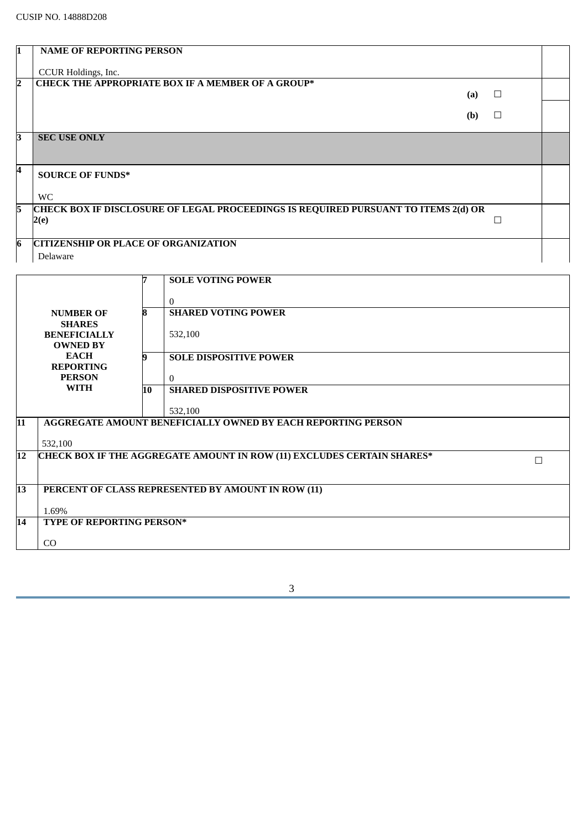|    | <b>NAME OF REPORTING PERSON</b>                                                    |   |  |
|----|------------------------------------------------------------------------------------|---|--|
|    |                                                                                    |   |  |
|    | CCUR Holdings, Inc.                                                                |   |  |
| כי | <b>CHECK THE APPROPRIATE BOX IF A MEMBER OF A GROUP*</b>                           |   |  |
|    | (a)                                                                                | ப |  |
|    |                                                                                    |   |  |
|    | (b)                                                                                |   |  |
|    |                                                                                    |   |  |
| R  | <b>SEC USE ONLY</b>                                                                |   |  |
|    |                                                                                    |   |  |
|    |                                                                                    |   |  |
|    | <b>SOURCE OF FUNDS*</b>                                                            |   |  |
|    |                                                                                    |   |  |
|    | <b>WC</b>                                                                          |   |  |
| 5. | CHECK BOX IF DISCLOSURE OF LEGAL PROCEEDINGS IS REQUIRED PURSUANT TO ITEMS 2(d) OR |   |  |
|    | 2(e)                                                                               |   |  |
|    |                                                                                    |   |  |
|    |                                                                                    |   |  |
| 6  | <b>CITIZENSHIP OR PLACE OF ORGANIZATION</b>                                        |   |  |
|    | Delaware                                                                           |   |  |

|    |                                  |    | <b>SOLE VOTING POWER</b>                                                      |   |
|----|----------------------------------|----|-------------------------------------------------------------------------------|---|
|    |                                  |    |                                                                               |   |
|    |                                  |    | $\theta$                                                                      |   |
|    | <b>NUMBER OF</b>                 | 8  | <b>SHARED VOTING POWER</b>                                                    |   |
|    | <b>SHARES</b>                    |    |                                                                               |   |
|    | <b>BENEFICIALLY</b>              |    | 532,100                                                                       |   |
|    | <b>OWNED BY</b>                  |    |                                                                               |   |
|    | <b>EACH</b>                      | g  | <b>SOLE DISPOSITIVE POWER</b>                                                 |   |
|    | <b>REPORTING</b>                 |    |                                                                               |   |
|    | <b>PERSON</b>                    |    | $\theta$                                                                      |   |
|    | <b>WITH</b>                      | 10 | <b>SHARED DISPOSITIVE POWER</b>                                               |   |
|    |                                  |    |                                                                               |   |
|    |                                  |    | 532,100                                                                       |   |
| 11 |                                  |    | <b>AGGREGATE AMOUNT BENEFICIALLY OWNED BY EACH REPORTING PERSON</b>           |   |
|    |                                  |    |                                                                               |   |
|    | 532,100                          |    |                                                                               |   |
| 12 |                                  |    | <b>CHECK BOX IF THE AGGREGATE AMOUNT IN ROW (11) EXCLUDES CERTAIN SHARES*</b> | г |
|    |                                  |    |                                                                               |   |
|    |                                  |    |                                                                               |   |
| 13 |                                  |    | PERCENT OF CLASS REPRESENTED BY AMOUNT IN ROW (11)                            |   |
|    |                                  |    |                                                                               |   |
|    | 1.69%                            |    |                                                                               |   |
| 14 | <b>TYPE OF REPORTING PERSON*</b> |    |                                                                               |   |
|    |                                  |    |                                                                               |   |
|    | C <sub>O</sub>                   |    |                                                                               |   |
|    |                                  |    |                                                                               |   |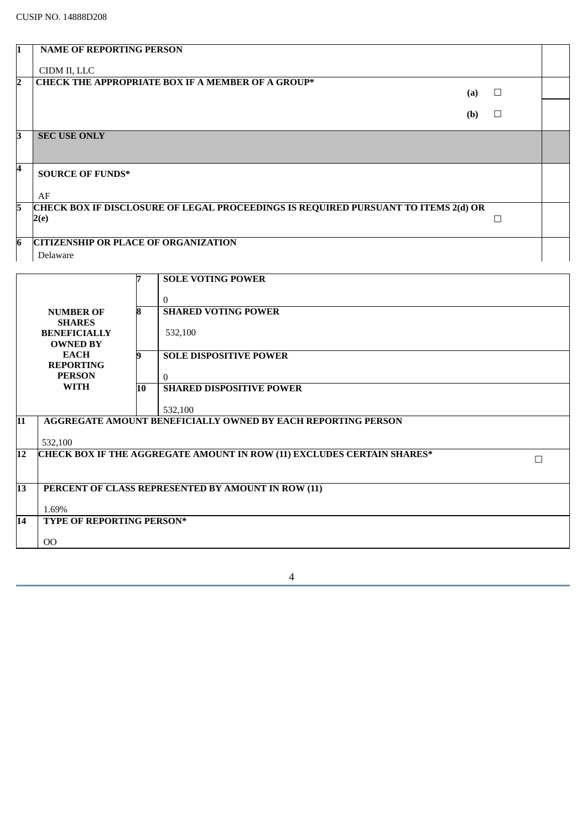| 11 | <b>NAME OF REPORTING PERSON</b>                                                    |         |  |
|----|------------------------------------------------------------------------------------|---------|--|
|    |                                                                                    |         |  |
|    | CIDM II, LLC                                                                       |         |  |
| 12 | <b>CHECK THE APPROPRIATE BOX IF A MEMBER OF A GROUP*</b>                           |         |  |
|    | (a)                                                                                | $\Box$  |  |
|    |                                                                                    |         |  |
|    | (b)                                                                                | $\perp$ |  |
|    |                                                                                    |         |  |
| R  | <b>SEC USE ONLY</b>                                                                |         |  |
|    |                                                                                    |         |  |
|    |                                                                                    |         |  |
| 4  | <b>SOURCE OF FUNDS*</b>                                                            |         |  |
|    |                                                                                    |         |  |
|    | AF                                                                                 |         |  |
| 15 | CHECK BOX IF DISCLOSURE OF LEGAL PROCEEDINGS IS REQUIRED PURSUANT TO ITEMS 2(d) OR |         |  |
|    | 2(e)                                                                               | г       |  |
|    |                                                                                    |         |  |
|    |                                                                                    |         |  |
| 6  | <b>CITIZENSHIP OR PLACE OF ORGANIZATION</b>                                        |         |  |
|    | Delaware                                                                           |         |  |
|    |                                                                                    |         |  |

|                 |                                 |    | <b>SOLE VOTING POWER</b>                                               |   |
|-----------------|---------------------------------|----|------------------------------------------------------------------------|---|
|                 |                                 |    | 0                                                                      |   |
|                 | <b>NUMBER OF</b>                |    | <b>SHARED VOTING POWER</b>                                             |   |
|                 | <b>SHARES</b>                   |    |                                                                        |   |
|                 | <b>BENEFICIALLY</b>             |    | 532,100                                                                |   |
|                 | <b>OWNED BY</b>                 |    |                                                                        |   |
|                 | <b>EACH</b><br><b>REPORTING</b> |    | <b>SOLE DISPOSITIVE POWER</b>                                          |   |
|                 | <b>PERSON</b>                   |    | $\Omega$                                                               |   |
|                 | <b>WITH</b>                     | 10 | <b>SHARED DISPOSITIVE POWER</b>                                        |   |
|                 |                                 |    |                                                                        |   |
|                 |                                 |    | 532,100                                                                |   |
| 11              |                                 |    | <b>AGGREGATE AMOUNT BENEFICIALLY OWNED BY EACH REPORTING PERSON</b>    |   |
|                 | 532,100                         |    |                                                                        |   |
| 12              |                                 |    | CHECK BOX IF THE AGGREGATE AMOUNT IN ROW (11) EXCLUDES CERTAIN SHARES* | П |
|                 |                                 |    |                                                                        |   |
| $\overline{13}$ |                                 |    |                                                                        |   |
|                 |                                 |    | PERCENT OF CLASS REPRESENTED BY AMOUNT IN ROW (11)                     |   |
|                 | 1.69%                           |    |                                                                        |   |
| 14              | TYPE OF REPORTING PERSON*       |    |                                                                        |   |
|                 | O <sub>O</sub>                  |    |                                                                        |   |
|                 |                                 |    |                                                                        |   |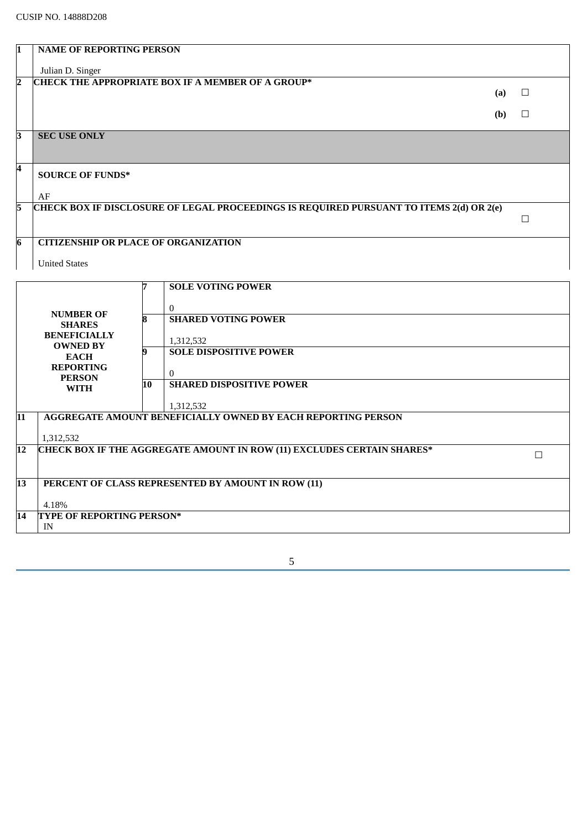4.18%

IN

**14 TYPE OF REPORTING PERSON\***

| I1                      | <b>NAME OF REPORTING PERSON</b>             |    |                                                                                                |        |
|-------------------------|---------------------------------------------|----|------------------------------------------------------------------------------------------------|--------|
|                         | Julian D. Singer                            |    |                                                                                                |        |
| 2                       |                                             |    | <b>CHECK THE APPROPRIATE BOX IF A MEMBER OF A GROUP*</b>                                       |        |
|                         |                                             |    | (a)                                                                                            | $\Box$ |
|                         |                                             |    | (b)                                                                                            | $\Box$ |
|                         |                                             |    |                                                                                                |        |
| 3                       | <b>SEC USE ONLY</b>                         |    |                                                                                                |        |
|                         |                                             |    |                                                                                                |        |
| $\overline{\mathbf{4}}$ |                                             |    |                                                                                                |        |
|                         | <b>SOURCE OF FUNDS*</b>                     |    |                                                                                                |        |
|                         | AF                                          |    |                                                                                                |        |
| 5                       |                                             |    | <b>CHECK BOX IF DISCLOSURE OF LEGAL PROCEEDINGS IS REQUIRED PURSUANT TO ITEMS 2(d) OR 2(e)</b> |        |
|                         |                                             |    |                                                                                                | $\Box$ |
| $\overline{6}$          | <b>CITIZENSHIP OR PLACE OF ORGANIZATION</b> |    |                                                                                                |        |
|                         |                                             |    |                                                                                                |        |
|                         | <b>United States</b>                        |    |                                                                                                |        |
|                         |                                             |    | <b>SOLE VOTING POWER</b>                                                                       |        |
|                         |                                             |    |                                                                                                |        |
|                         | <b>NUMBER OF</b>                            |    | $\mathbf{0}$                                                                                   |        |
|                         | <b>SHARES</b>                               | 8  | <b>SHARED VOTING POWER</b>                                                                     |        |
|                         | <b>BENEFICIALLY</b><br><b>OWNED BY</b>      |    | 1,312,532                                                                                      |        |
|                         | <b>EACH</b>                                 | 9  | <b>SOLE DISPOSITIVE POWER</b>                                                                  |        |
|                         | <b>REPORTING</b>                            |    | $\theta$                                                                                       |        |
|                         | <b>PERSON</b><br><b>WITH</b>                | 10 | <b>SHARED DISPOSITIVE POWER</b>                                                                |        |
|                         |                                             |    |                                                                                                |        |
| 11                      |                                             |    | 1,312,532<br><b>AGGREGATE AMOUNT BENEFICIALLY OWNED BY EACH REPORTING PERSON</b>               |        |
|                         |                                             |    |                                                                                                |        |
|                         | 1,312,532                                   |    |                                                                                                |        |
| 12                      |                                             |    | <b>CHECK BOX IF THE AGGREGATE AMOUNT IN ROW (11) EXCLUDES CERTAIN SHARES*</b>                  | $\Box$ |
|                         |                                             |    |                                                                                                |        |
| 13                      |                                             |    | PERCENT OF CLASS REPRESENTED BY AMOUNT IN ROW (11)                                             |        |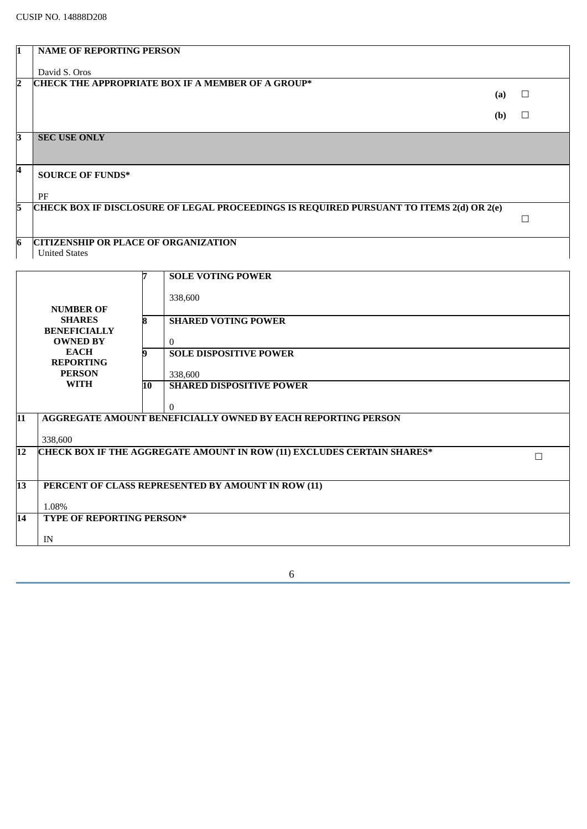| l1              | <b>NAME OF REPORTING PERSON</b>             |    |                                                                                         |     |        |
|-----------------|---------------------------------------------|----|-----------------------------------------------------------------------------------------|-----|--------|
|                 | David S. Oros                               |    |                                                                                         |     |        |
| 2               |                                             |    | <b>CHECK THE APPROPRIATE BOX IF A MEMBER OF A GROUP*</b>                                |     |        |
|                 |                                             |    |                                                                                         | (a) | $\Box$ |
|                 |                                             |    |                                                                                         | (b) | $\Box$ |
|                 |                                             |    |                                                                                         |     |        |
| З               | <b>SEC USE ONLY</b>                         |    |                                                                                         |     |        |
|                 |                                             |    |                                                                                         |     |        |
| 4               | <b>SOURCE OF FUNDS*</b>                     |    |                                                                                         |     |        |
|                 | PF                                          |    |                                                                                         |     |        |
| 5               |                                             |    | CHECK BOX IF DISCLOSURE OF LEGAL PROCEEDINGS IS REQUIRED PURSUANT TO ITEMS 2(d) OR 2(e) |     |        |
|                 |                                             |    |                                                                                         |     | $\Box$ |
| $\overline{6}$  | <b>CITIZENSHIP OR PLACE OF ORGANIZATION</b> |    |                                                                                         |     |        |
|                 | <b>United States</b>                        |    |                                                                                         |     |        |
|                 |                                             |    |                                                                                         |     |        |
|                 |                                             |    | <b>SOLE VOTING POWER</b>                                                                |     |        |
|                 |                                             |    | 338,600                                                                                 |     |        |
|                 | <b>NUMBER OF</b><br><b>SHARES</b>           |    | <b>SHARED VOTING POWER</b>                                                              |     |        |
|                 | <b>BENEFICIALLY</b>                         |    |                                                                                         |     |        |
|                 | <b>OWNED BY</b>                             |    | $\Omega$                                                                                |     |        |
|                 | <b>EACH</b><br><b>REPORTING</b>             |    | <b>SOLE DISPOSITIVE POWER</b>                                                           |     |        |
|                 | <b>PERSON</b>                               |    | 338,600                                                                                 |     |        |
|                 | <b>WITH</b>                                 | 10 | <b>SHARED DISPOSITIVE POWER</b>                                                         |     |        |
|                 |                                             |    | $\Omega$                                                                                |     |        |
| 11              |                                             |    | <b>AGGREGATE AMOUNT BENEFICIALLY OWNED BY EACH REPORTING PERSON</b>                     |     |        |
|                 | 338,600                                     |    |                                                                                         |     |        |
| 12              |                                             |    | <b>CHECK BOX IF THE AGGREGATE AMOUNT IN ROW (11) EXCLUDES CERTAIN SHARES*</b>           |     | □      |
|                 |                                             |    |                                                                                         |     |        |
| $\overline{13}$ |                                             |    | PERCENT OF CLASS REPRESENTED BY AMOUNT IN ROW (11)                                      |     |        |
|                 |                                             |    |                                                                                         |     |        |
| 14              | 1.08%<br><b>TYPE OF REPORTING PERSON*</b>   |    |                                                                                         |     |        |
|                 |                                             |    |                                                                                         |     |        |
|                 | $\ensuremath{\text{IN}}$                    |    |                                                                                         |     |        |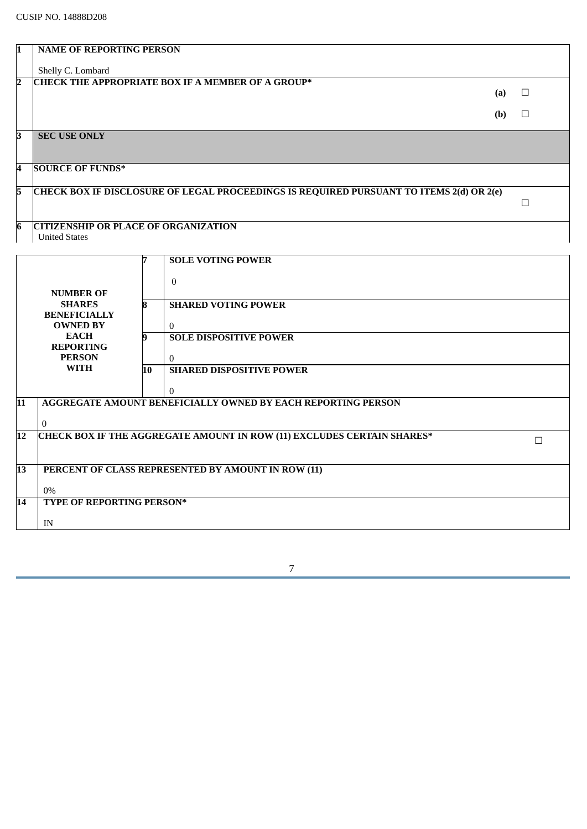| I1  | <b>NAME OF REPORTING PERSON</b>             |    |                                                                                         |     |        |
|-----|---------------------------------------------|----|-----------------------------------------------------------------------------------------|-----|--------|
|     | Shelly C. Lombard                           |    |                                                                                         |     |        |
| 2   |                                             |    | <b>CHECK THE APPROPRIATE BOX IF A MEMBER OF A GROUP*</b>                                | (a) | $\Box$ |
|     |                                             |    |                                                                                         |     |        |
|     |                                             |    |                                                                                         | (b) | $\Box$ |
| l3. | <b>SEC USE ONLY</b>                         |    |                                                                                         |     |        |
|     |                                             |    |                                                                                         |     |        |
| 4   | <b>SOURCE OF FUNDS*</b>                     |    |                                                                                         |     |        |
| 5   |                                             |    | CHECK BOX IF DISCLOSURE OF LEGAL PROCEEDINGS IS REQUIRED PURSUANT TO ITEMS 2(d) OR 2(e) |     |        |
|     |                                             |    |                                                                                         |     | $\Box$ |
| 6   | <b>CITIZENSHIP OR PLACE OF ORGANIZATION</b> |    |                                                                                         |     |        |
|     | <b>United States</b>                        |    |                                                                                         |     |        |
|     |                                             |    | <b>SOLE VOTING POWER</b>                                                                |     |        |
|     |                                             |    | $\Omega$                                                                                |     |        |
|     | <b>NUMBER OF</b>                            |    |                                                                                         |     |        |
|     | <b>SHARES</b><br><b>BENEFICIALLY</b>        | 8  | <b>SHARED VOTING POWER</b>                                                              |     |        |
|     | <b>OWNED BY</b>                             |    | $\Omega$                                                                                |     |        |
|     | <b>EACH</b><br><b>REPORTING</b>             | 9  | <b>SOLE DISPOSITIVE POWER</b>                                                           |     |        |
|     | <b>PERSON</b>                               |    | $\Omega$                                                                                |     |        |
|     | <b>WITH</b>                                 | 10 | <b>SHARED DISPOSITIVE POWER</b>                                                         |     |        |
|     |                                             |    | $\theta$                                                                                |     |        |
| 11  |                                             |    | <b>AGGREGATE AMOUNT BENEFICIALLY OWNED BY EACH REPORTING PERSON</b>                     |     |        |
|     | $\bf{0}$                                    |    |                                                                                         |     |        |
| 12  |                                             |    | <b>CHECK BOX IF THE AGGREGATE AMOUNT IN ROW (11) EXCLUDES CERTAIN SHARES*</b>           |     | $\Box$ |
|     |                                             |    |                                                                                         |     |        |
| 13  |                                             |    | PERCENT OF CLASS REPRESENTED BY AMOUNT IN ROW (11)                                      |     |        |
|     | 0%                                          |    |                                                                                         |     |        |
| 14  | <b>TYPE OF REPORTING PERSON*</b>            |    |                                                                                         |     |        |
|     | IN                                          |    |                                                                                         |     |        |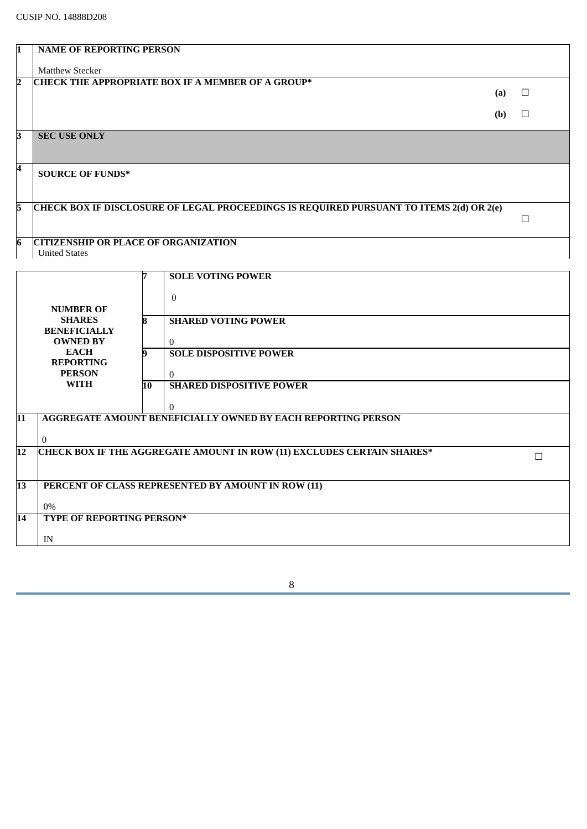|                 | <b>NAME OF REPORTING PERSON</b>             |    |                                                                                         |     |        |
|-----------------|---------------------------------------------|----|-----------------------------------------------------------------------------------------|-----|--------|
|                 | <b>Matthew Stecker</b>                      |    |                                                                                         |     |        |
| 2               |                                             |    | <b>CHECK THE APPROPRIATE BOX IF A MEMBER OF A GROUP*</b>                                |     |        |
|                 |                                             |    |                                                                                         | (a) | $\Box$ |
|                 |                                             |    |                                                                                         | (b) | □      |
|                 | <b>SEC USE ONLY</b>                         |    |                                                                                         |     |        |
| З               |                                             |    |                                                                                         |     |        |
|                 |                                             |    |                                                                                         |     |        |
| 4               | <b>SOURCE OF FUNDS*</b>                     |    |                                                                                         |     |        |
|                 |                                             |    |                                                                                         |     |        |
| 5               |                                             |    | CHECK BOX IF DISCLOSURE OF LEGAL PROCEEDINGS IS REQUIRED PURSUANT TO ITEMS 2(d) OR 2(e) |     |        |
|                 |                                             |    |                                                                                         |     | $\Box$ |
| 6               | <b>CITIZENSHIP OR PLACE OF ORGANIZATION</b> |    |                                                                                         |     |        |
|                 | <b>United States</b>                        |    |                                                                                         |     |        |
|                 |                                             |    | <b>SOLE VOTING POWER</b>                                                                |     |        |
|                 |                                             |    |                                                                                         |     |        |
|                 |                                             |    | $\theta$                                                                                |     |        |
|                 | <b>NUMBER OF</b><br><b>SHARES</b>           | 8  | <b>SHARED VOTING POWER</b>                                                              |     |        |
|                 | <b>BENEFICIALLY</b>                         |    |                                                                                         |     |        |
|                 | <b>OWNED BY</b><br><b>EACH</b>              | q  | $\theta$<br><b>SOLE DISPOSITIVE POWER</b>                                               |     |        |
|                 | <b>REPORTING</b>                            |    |                                                                                         |     |        |
|                 | <b>PERSON</b><br><b>WITH</b>                | 10 | $\theta$<br><b>SHARED DISPOSITIVE POWER</b>                                             |     |        |
|                 |                                             |    |                                                                                         |     |        |
| 11              |                                             |    | 0<br><b>AGGREGATE AMOUNT BENEFICIALLY OWNED BY EACH REPORTING PERSON</b>                |     |        |
|                 |                                             |    |                                                                                         |     |        |
|                 | 0                                           |    |                                                                                         |     |        |
| $\overline{12}$ |                                             |    | <b>CHECK BOX IF THE AGGREGATE AMOUNT IN ROW (11) EXCLUDES CERTAIN SHARES*</b>           |     | $\Box$ |
|                 |                                             |    |                                                                                         |     |        |
| $\overline{13}$ |                                             |    | PERCENT OF CLASS REPRESENTED BY AMOUNT IN ROW (11)                                      |     |        |
|                 | $0\%$                                       |    |                                                                                         |     |        |
| 14              | <b>TYPE OF REPORTING PERSON*</b>            |    |                                                                                         |     |        |
|                 | IN                                          |    |                                                                                         |     |        |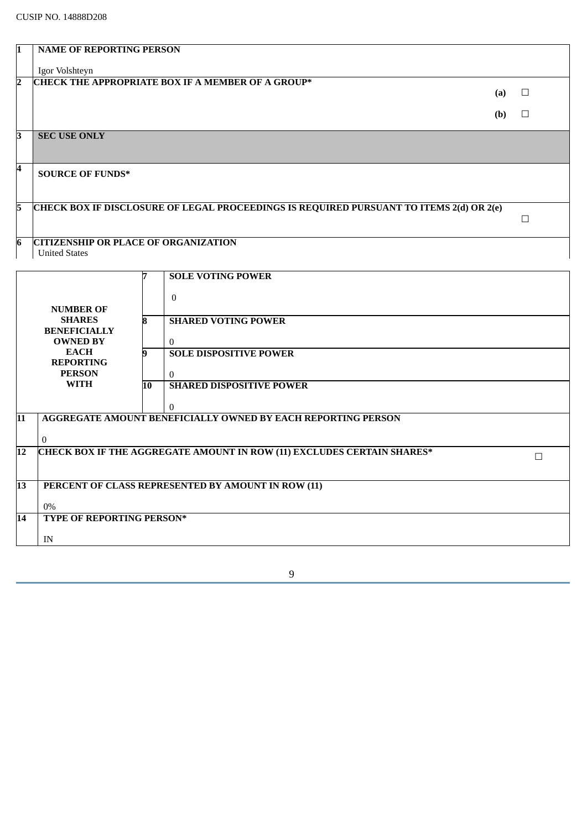| I1              | <b>NAME OF REPORTING PERSON</b>             |    |                                                                                         |        |
|-----------------|---------------------------------------------|----|-----------------------------------------------------------------------------------------|--------|
|                 | Igor Volshteyn                              |    |                                                                                         |        |
| 2               |                                             |    | CHECK THE APPROPRIATE BOX IF A MEMBER OF A GROUP*                                       |        |
|                 |                                             |    | (a)                                                                                     | □      |
|                 |                                             |    | (b)                                                                                     | $\Box$ |
| ß.              | <b>SEC USE ONLY</b>                         |    |                                                                                         |        |
| 4               | <b>SOURCE OF FUNDS*</b>                     |    |                                                                                         |        |
|                 |                                             |    |                                                                                         |        |
| 5               |                                             |    | CHECK BOX IF DISCLOSURE OF LEGAL PROCEEDINGS IS REQUIRED PURSUANT TO ITEMS 2(d) OR 2(e) |        |
|                 |                                             |    |                                                                                         | $\Box$ |
| 6               | <b>CITIZENSHIP OR PLACE OF ORGANIZATION</b> |    |                                                                                         |        |
|                 | <b>United States</b>                        |    |                                                                                         |        |
|                 |                                             | 7  | <b>SOLE VOTING POWER</b>                                                                |        |
|                 |                                             |    | $\mathbf{0}$                                                                            |        |
|                 | <b>NUMBER OF</b>                            |    |                                                                                         |        |
|                 | <b>SHARES</b><br><b>BENEFICIALLY</b>        | 8  | <b>SHARED VOTING POWER</b>                                                              |        |
|                 | <b>OWNED BY</b>                             |    | $\overline{0}$                                                                          |        |
|                 | <b>EACH</b>                                 | 9  | <b>SOLE DISPOSITIVE POWER</b>                                                           |        |
|                 | <b>REPORTING</b><br><b>PERSON</b>           |    | $\theta$                                                                                |        |
|                 | <b>WITH</b>                                 | 10 | <b>SHARED DISPOSITIVE POWER</b>                                                         |        |
|                 |                                             |    | $\mathbf{0}$                                                                            |        |
| $\overline{11}$ |                                             |    | <b>AGGREGATE AMOUNT BENEFICIALLY OWNED BY EACH REPORTING PERSON</b>                     |        |
|                 | $\mathbf{0}$                                |    |                                                                                         |        |
| 12              |                                             |    | <b>CHECK BOX IF THE AGGREGATE AMOUNT IN ROW (11) EXCLUDES CERTAIN SHARES*</b>           | $\Box$ |
|                 |                                             |    |                                                                                         |        |
| $\overline{13}$ |                                             |    | PERCENT OF CLASS REPRESENTED BY AMOUNT IN ROW (11)                                      |        |
|                 | 0%                                          |    |                                                                                         |        |
| 14              | <b>TYPE OF REPORTING PERSON*</b>            |    |                                                                                         |        |
|                 |                                             |    |                                                                                         |        |
|                 | IN                                          |    |                                                                                         |        |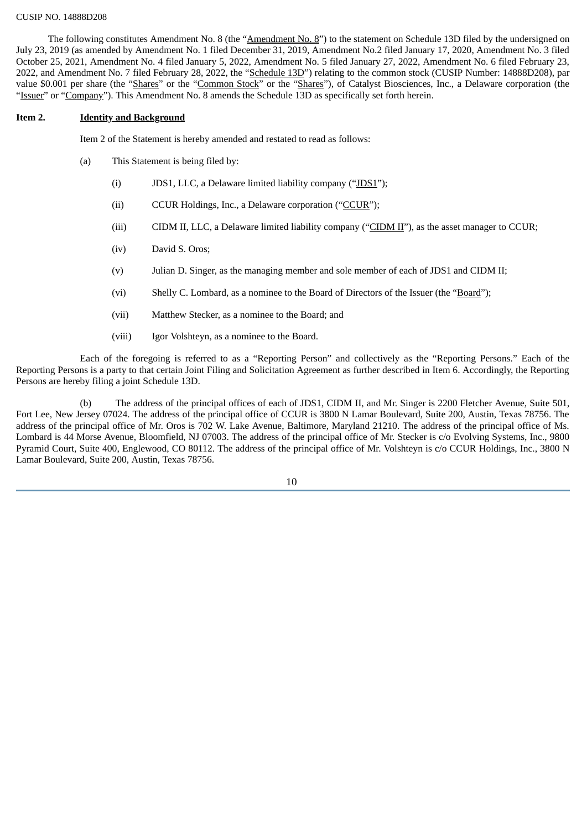The following constitutes Amendment No. 8 (the "Amendment No. 8") to the statement on Schedule 13D filed by the undersigned on July 23, 2019 (as amended by Amendment No. 1 filed December 31, 2019, Amendment No.2 filed January 17, 2020, Amendment No. 3 filed October 25, 2021, Amendment No. 4 filed January 5, 2022, Amendment No. 5 filed January 27, 2022, Amendment No. 6 filed February 23, 2022, and Amendment No. 7 filed February 28, 2022, the "Schedule 13D") relating to the common stock (CUSIP Number: 14888D208), par value \$0.001 per share (the "Shares" or the "Common Stock" or the "Shares"), of Catalyst Biosciences, Inc., a Delaware corporation (the "Issuer" or "Company"). This Amendment No. 8 amends the Schedule 13D as specifically set forth herein.

#### **Item 2. Identity and Background**

Item 2 of the Statement is hereby amended and restated to read as follows:

- (a) This Statement is being filed by:
	- (i) JDS1, LLC, a Delaware limited liability company ("JDS1");
	- (ii) CCUR Holdings, Inc., a Delaware corporation ("CCUR");
	- (iii) CIDM II, LLC, a Delaware limited liability company (" $CLDM II$ "), as the asset manager to CCUR;
	- (iv) David S. Oros;
	- (v) Julian D. Singer, as the managing member and sole member of each of JDS1 and CIDM II;
	- (vi) Shelly C. Lombard, as a nominee to the Board of Directors of the Issuer (the "Board");
	- (vii) Matthew Stecker, as a nominee to the Board; and
	- (viii) Igor Volshteyn, as a nominee to the Board.

Each of the foregoing is referred to as a "Reporting Person" and collectively as the "Reporting Persons." Each of the Reporting Persons is a party to that certain Joint Filing and Solicitation Agreement as further described in Item 6. Accordingly, the Reporting Persons are hereby filing a joint Schedule 13D.

(b) The address of the principal offices of each of JDS1, CIDM II, and Mr. Singer is 2200 Fletcher Avenue, Suite 501, Fort Lee, New Jersey 07024. The address of the principal office of CCUR is 3800 N Lamar Boulevard, Suite 200, Austin, Texas 78756. The address of the principal office of Mr. Oros is 702 W. Lake Avenue, Baltimore, Maryland 21210. The address of the principal office of Ms. Lombard is 44 Morse Avenue, Bloomfield, NJ 07003. The address of the principal office of Mr. Stecker is c/o Evolving Systems, Inc., 9800 Pyramid Court, Suite 400, Englewood, CO 80112. The address of the principal office of Mr. Volshteyn is c/o CCUR Holdings, Inc., 3800 N Lamar Boulevard, Suite 200, Austin, Texas 78756.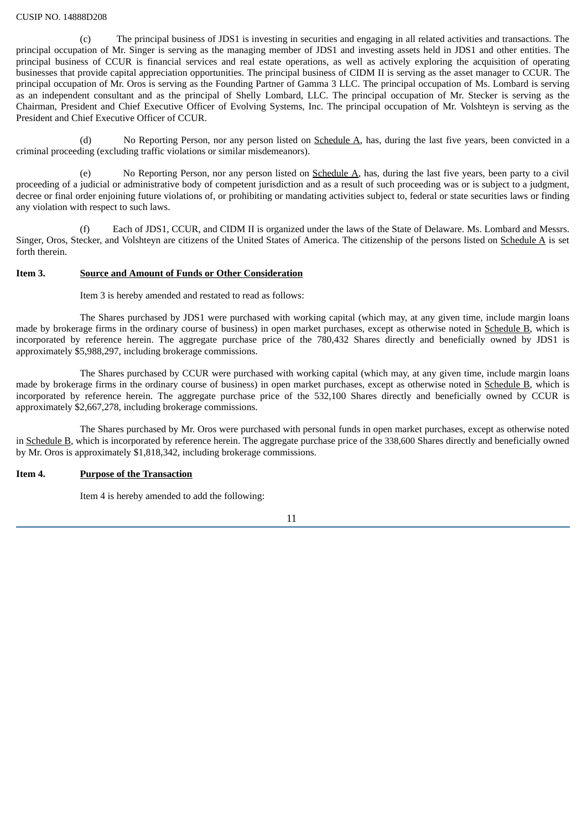(c) The principal business of JDS1 is investing in securities and engaging in all related activities and transactions. The principal occupation of Mr. Singer is serving as the managing member of JDS1 and investing assets held in JDS1 and other entities. The principal business of CCUR is financial services and real estate operations, as well as actively exploring the acquisition of operating businesses that provide capital appreciation opportunities. The principal business of CIDM II is serving as the asset manager to CCUR. The principal occupation of Mr. Oros is serving as the Founding Partner of Gamma 3 LLC. The principal occupation of Ms. Lombard is serving as an independent consultant and as the principal of Shelly Lombard, LLC. The principal occupation of Mr. Stecker is serving as the Chairman, President and Chief Executive Officer of Evolving Systems, Inc. The principal occupation of Mr. Volshteyn is serving as the President and Chief Executive Officer of CCUR.

(d) No Reporting Person, nor any person listed on  $S$ chedule  $A$ , has, during the last five years, been convicted in a criminal proceeding (excluding traffic violations or similar misdemeanors).

(e) No Reporting Person, nor any person listed on Schedule A, has, during the last five years, been party to a civil proceeding of a judicial or administrative body of competent jurisdiction and as a result of such proceeding was or is subject to a judgment, decree or final order enjoining future violations of, or prohibiting or mandating activities subject to, federal or state securities laws or finding any violation with respect to such laws.

(f) Each of JDS1, CCUR, and CIDM II is organized under the laws of the State of Delaware. Ms. Lombard and Messrs. Singer, Oros, Stecker, and Volshteyn are citizens of the United States of America. The citizenship of the persons listed on Schedule A is set forth therein.

## **Item 3. Source and Amount of Funds or Other Consideration**

Item 3 is hereby amended and restated to read as follows:

The Shares purchased by JDS1 were purchased with working capital (which may, at any given time, include margin loans made by brokerage firms in the ordinary course of business) in open market purchases, except as otherwise noted in Schedule B, which is incorporated by reference herein. The aggregate purchase price of the 780,432 Shares directly and beneficially owned by JDS1 is approximately \$5,988,297, including brokerage commissions.

The Shares purchased by CCUR were purchased with working capital (which may, at any given time, include margin loans made by brokerage firms in the ordinary course of business) in open market purchases, except as otherwise noted in Schedule B, which is incorporated by reference herein. The aggregate purchase price of the 532,100 Shares directly and beneficially owned by CCUR is approximately \$2,667,278, including brokerage commissions.

The Shares purchased by Mr. Oros were purchased with personal funds in open market purchases, except as otherwise noted in Schedule B, which is incorporated by reference herein. The aggregate purchase price of the 338,600 Shares directly and beneficially owned by Mr. Oros is approximately \$1,818,342, including brokerage commissions.

#### **Item 4. Purpose of the Transaction**

Item 4 is hereby amended to add the following: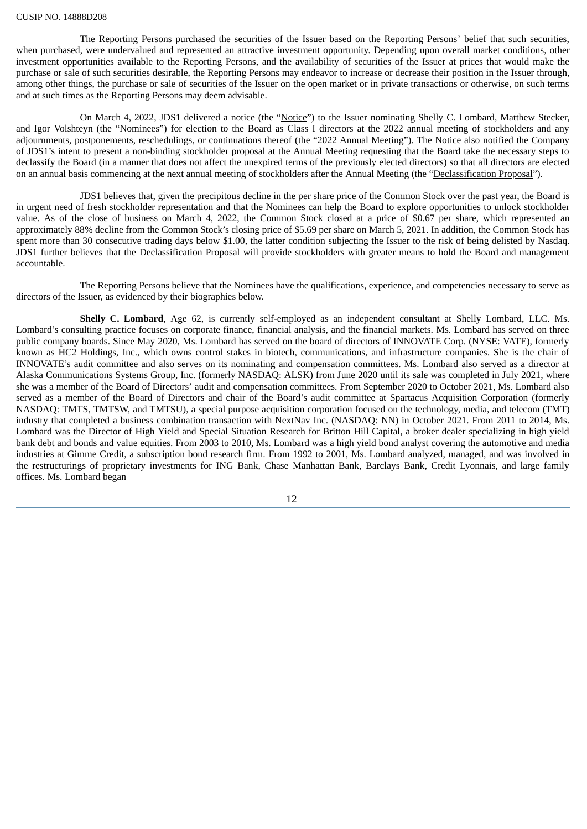The Reporting Persons purchased the securities of the Issuer based on the Reporting Persons' belief that such securities, when purchased, were undervalued and represented an attractive investment opportunity. Depending upon overall market conditions, other investment opportunities available to the Reporting Persons, and the availability of securities of the Issuer at prices that would make the purchase or sale of such securities desirable, the Reporting Persons may endeavor to increase or decrease their position in the Issuer through, among other things, the purchase or sale of securities of the Issuer on the open market or in private transactions or otherwise, on such terms and at such times as the Reporting Persons may deem advisable.

On March 4, 2022, JDS1 delivered a notice (the "Notice") to the Issuer nominating Shelly C. Lombard, Matthew Stecker, and Igor Volshteyn (the "Nominees") for election to the Board as Class I directors at the 2022 annual meeting of stockholders and any adjournments, postponements, reschedulings, or continuations thereof (the "2022 Annual Meeting"). The Notice also notified the Company of JDS1's intent to present a non-binding stockholder proposal at the Annual Meeting requesting that the Board take the necessary steps to declassify the Board (in a manner that does not affect the unexpired terms of the previously elected directors) so that all directors are elected on an annual basis commencing at the next annual meeting of stockholders after the Annual Meeting (the "Declassification Proposal").

JDS1 believes that, given the precipitous decline in the per share price of the Common Stock over the past year, the Board is in urgent need of fresh stockholder representation and that the Nominees can help the Board to explore opportunities to unlock stockholder value. As of the close of business on March 4, 2022, the Common Stock closed at a price of \$0.67 per share, which represented an approximately 88% decline from the Common Stock's closing price of \$5.69 per share on March 5, 2021. In addition, the Common Stock has spent more than 30 consecutive trading days below \$1.00, the latter condition subjecting the Issuer to the risk of being delisted by Nasdaq. JDS1 further believes that the Declassification Proposal will provide stockholders with greater means to hold the Board and management accountable.

The Reporting Persons believe that the Nominees have the qualifications, experience, and competencies necessary to serve as directors of the Issuer, as evidenced by their biographies below.

**Shelly C. Lombard**, Age 62, is currently self-employed as an independent consultant at Shelly Lombard, LLC. Ms. Lombard's consulting practice focuses on corporate finance, financial analysis, and the financial markets. Ms. Lombard has served on three public company boards. Since May 2020, Ms. Lombard has served on the board of directors of INNOVATE Corp. (NYSE: VATE), formerly known as HC2 Holdings, Inc., which owns control stakes in biotech, communications, and infrastructure companies. She is the chair of INNOVATE's audit committee and also serves on its nominating and compensation committees. Ms. Lombard also served as a director at Alaska Communications Systems Group, Inc. (formerly NASDAQ: ALSK) from June 2020 until its sale was completed in July 2021, where she was a member of the Board of Directors' audit and compensation committees. From September 2020 to October 2021, Ms. Lombard also served as a member of the Board of Directors and chair of the Board's audit committee at Spartacus Acquisition Corporation (formerly NASDAQ: TMTS, TMTSW, and TMTSU), a special purpose acquisition corporation focused on the technology, media, and telecom (TMT) industry that completed a business combination transaction with NextNav Inc. (NASDAQ: NN) in October 2021. From 2011 to 2014, Ms. Lombard was the Director of High Yield and Special Situation Research for Britton Hill Capital, a broker dealer specializing in high yield bank debt and bonds and value equities. From 2003 to 2010, Ms. Lombard was a high yield bond analyst covering the automotive and media industries at Gimme Credit, a subscription bond research firm. From 1992 to 2001, Ms. Lombard analyzed, managed, and was involved in the restructurings of proprietary investments for ING Bank, Chase Manhattan Bank, Barclays Bank, Credit Lyonnais, and large family offices. Ms. Lombard began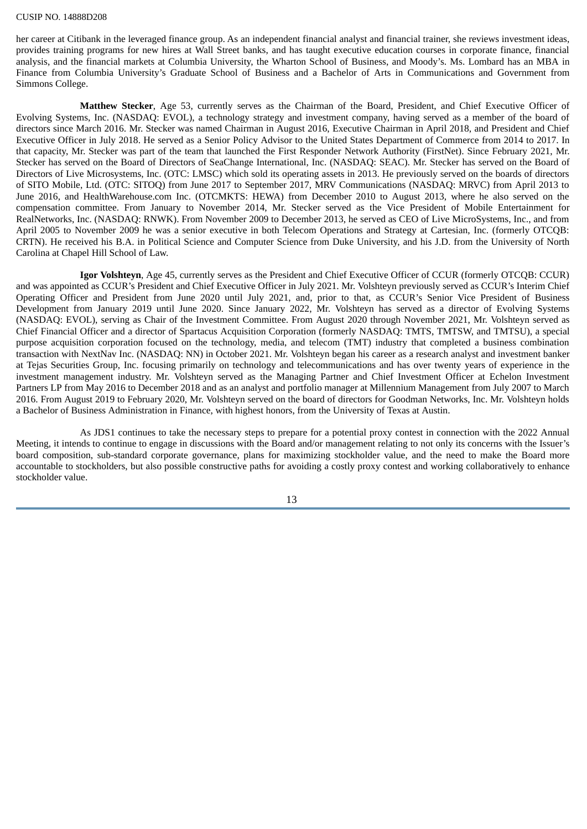her career at Citibank in the leveraged finance group. As an independent financial analyst and financial trainer, she reviews investment ideas, provides training programs for new hires at Wall Street banks, and has taught executive education courses in corporate finance, financial analysis, and the financial markets at Columbia University, the Wharton School of Business, and Moody's. Ms. Lombard has an MBA in Finance from Columbia University's Graduate School of Business and a Bachelor of Arts in Communications and Government from Simmons College.

**Matthew Stecker**, Age 53, currently serves as the Chairman of the Board, President, and Chief Executive Officer of Evolving Systems, Inc. (NASDAQ: EVOL), a technology strategy and investment company, having served as a member of the board of directors since March 2016. Mr. Stecker was named Chairman in August 2016, Executive Chairman in April 2018, and President and Chief Executive Officer in July 2018. He served as a Senior Policy Advisor to the United States Department of Commerce from 2014 to 2017. In that capacity, Mr. Stecker was part of the team that launched the First Responder Network Authority (FirstNet). Since February 2021, Mr. Stecker has served on the Board of Directors of SeaChange International, Inc. (NASDAQ: SEAC). Mr. Stecker has served on the Board of Directors of Live Microsystems, Inc. (OTC: LMSC) which sold its operating assets in 2013. He previously served on the boards of directors of SITO Mobile, Ltd. (OTC: SITOQ) from June 2017 to September 2017, MRV Communications (NASDAQ: MRVC) from April 2013 to June 2016, and HealthWarehouse.com Inc. (OTCMKTS: HEWA) from December 2010 to August 2013, where he also served on the compensation committee. From January to November 2014, Mr. Stecker served as the Vice President of Mobile Entertainment for RealNetworks, Inc. (NASDAQ: RNWK). From November 2009 to December 2013, he served as CEO of Live MicroSystems, Inc., and from April 2005 to November 2009 he was a senior executive in both Telecom Operations and Strategy at Cartesian, Inc. (formerly OTCQB: CRTN). He received his B.A. in Political Science and Computer Science from Duke University, and his J.D. from the University of North Carolina at Chapel Hill School of Law.

**Igor Volshteyn**, Age 45, currently serves as the President and Chief Executive Officer of CCUR (formerly OTCQB: CCUR) and was appointed as CCUR's President and Chief Executive Officer in July 2021. Mr. Volshteyn previously served as CCUR's Interim Chief Operating Officer and President from June 2020 until July 2021, and, prior to that, as CCUR's Senior Vice President of Business Development from January 2019 until June 2020. Since January 2022, Mr. Volshteyn has served as a director of Evolving Systems (NASDAQ: EVOL), serving as Chair of the Investment Committee. From August 2020 through November 2021, Mr. Volshteyn served as Chief Financial Officer and a director of Spartacus Acquisition Corporation (formerly NASDAQ: TMTS, TMTSW, and TMTSU), a special purpose acquisition corporation focused on the technology, media, and telecom (TMT) industry that completed a business combination transaction with NextNav Inc. (NASDAQ: NN) in October 2021. Mr. Volshteyn began his career as a research analyst and investment banker at Tejas Securities Group, Inc. focusing primarily on technology and telecommunications and has over twenty years of experience in the investment management industry. Mr. Volshteyn served as the Managing Partner and Chief Investment Officer at Echelon Investment Partners LP from May 2016 to December 2018 and as an analyst and portfolio manager at Millennium Management from July 2007 to March 2016. From August 2019 to February 2020, Mr. Volshteyn served on the board of directors for Goodman Networks, Inc. Mr. Volshteyn holds a Bachelor of Business Administration in Finance, with highest honors, from the University of Texas at Austin.

As JDS1 continues to take the necessary steps to prepare for a potential proxy contest in connection with the 2022 Annual Meeting, it intends to continue to engage in discussions with the Board and/or management relating to not only its concerns with the Issuer's board composition, sub-standard corporate governance, plans for maximizing stockholder value, and the need to make the Board more accountable to stockholders, but also possible constructive paths for avoiding a costly proxy contest and working collaboratively to enhance stockholder value.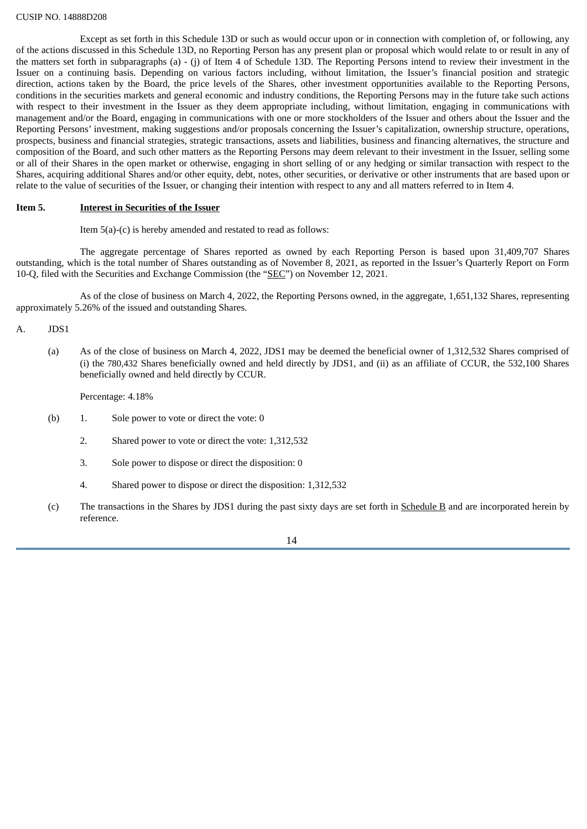Except as set forth in this Schedule 13D or such as would occur upon or in connection with completion of, or following, any of the actions discussed in this Schedule 13D, no Reporting Person has any present plan or proposal which would relate to or result in any of the matters set forth in subparagraphs (a) - (j) of Item 4 of Schedule 13D. The Reporting Persons intend to review their investment in the Issuer on a continuing basis. Depending on various factors including, without limitation, the Issuer's financial position and strategic direction, actions taken by the Board, the price levels of the Shares, other investment opportunities available to the Reporting Persons, conditions in the securities markets and general economic and industry conditions, the Reporting Persons may in the future take such actions with respect to their investment in the Issuer as they deem appropriate including, without limitation, engaging in communications with management and/or the Board, engaging in communications with one or more stockholders of the Issuer and others about the Issuer and the Reporting Persons' investment, making suggestions and/or proposals concerning the Issuer's capitalization, ownership structure, operations, prospects, business and financial strategies, strategic transactions, assets and liabilities, business and financing alternatives, the structure and composition of the Board, and such other matters as the Reporting Persons may deem relevant to their investment in the Issuer, selling some or all of their Shares in the open market or otherwise, engaging in short selling of or any hedging or similar transaction with respect to the Shares, acquiring additional Shares and/or other equity, debt, notes, other securities, or derivative or other instruments that are based upon or relate to the value of securities of the Issuer, or changing their intention with respect to any and all matters referred to in Item 4.

#### **Item 5. Interest in Securities of the Issuer**

Item 5(a)-(c) is hereby amended and restated to read as follows:

The aggregate percentage of Shares reported as owned by each Reporting Person is based upon 31,409,707 Shares outstanding, which is the total number of Shares outstanding as of November 8, 2021, as reported in the Issuer's Quarterly Report on Form 10-Q, filed with the Securities and Exchange Commission (the "SEC") on November 12, 2021.

As of the close of business on March 4, 2022, the Reporting Persons owned, in the aggregate, 1,651,132 Shares, representing approximately 5.26% of the issued and outstanding Shares.

A. JDS1

(a) As of the close of business on March 4, 2022, JDS1 may be deemed the beneficial owner of 1,312,532 Shares comprised of (i) the 780,432 Shares beneficially owned and held directly by JDS1, and (ii) as an affiliate of CCUR, the 532,100 Shares beneficially owned and held directly by CCUR.

Percentage: 4.18%

- (b) 1. Sole power to vote or direct the vote: 0
	- 2. Shared power to vote or direct the vote: 1,312,532
	- 3. Sole power to dispose or direct the disposition: 0
	- 4. Shared power to dispose or direct the disposition: 1,312,532
- (c) The transactions in the Shares by JDS1 during the past sixty days are set forth in Schedule B and are incorporated herein by reference.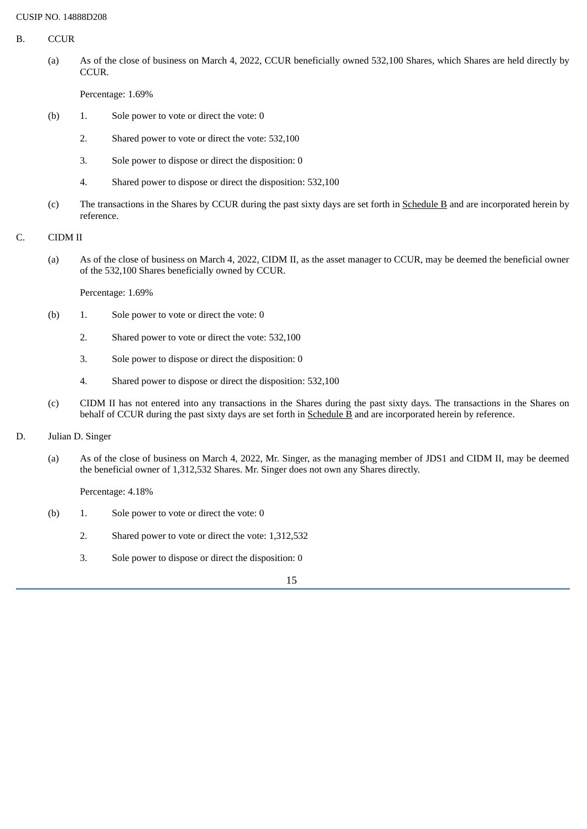- B. CCUR
	- (a) As of the close of business on March 4, 2022, CCUR beneficially owned 532,100 Shares, which Shares are held directly by CCUR.

Percentage: 1.69%

- (b) 1. Sole power to vote or direct the vote: 0
	- 2. Shared power to vote or direct the vote: 532,100
	- 3. Sole power to dispose or direct the disposition: 0
	- 4. Shared power to dispose or direct the disposition: 532,100
- (c) The transactions in the Shares by CCUR during the past sixty days are set forth in Schedule B and are incorporated herein by reference.
- C. CIDM II
	- (a) As of the close of business on March 4, 2022, CIDM II, as the asset manager to CCUR, may be deemed the beneficial owner of the 532,100 Shares beneficially owned by CCUR.

Percentage: 1.69%

- (b) 1. Sole power to vote or direct the vote: 0
	- 2. Shared power to vote or direct the vote: 532,100
	- 3. Sole power to dispose or direct the disposition: 0
	- 4. Shared power to dispose or direct the disposition: 532,100
- (c) CIDM II has not entered into any transactions in the Shares during the past sixty days. The transactions in the Shares on behalf of CCUR during the past sixty days are set forth in Schedule B and are incorporated herein by reference.
- D. Julian D. Singer
	- (a) As of the close of business on March 4, 2022, Mr. Singer, as the managing member of JDS1 and CIDM II, may be deemed the beneficial owner of 1,312,532 Shares. Mr. Singer does not own any Shares directly.

Percentage: 4.18%

- (b) 1. Sole power to vote or direct the vote: 0
	- 2. Shared power to vote or direct the vote: 1,312,532
	- 3. Sole power to dispose or direct the disposition: 0

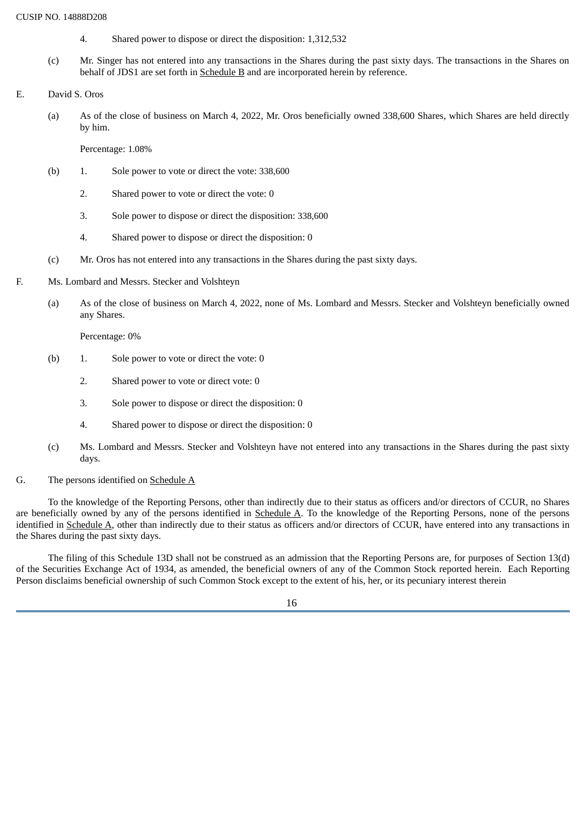- 4. Shared power to dispose or direct the disposition: 1,312,532
- (c) Mr. Singer has not entered into any transactions in the Shares during the past sixty days. The transactions in the Shares on behalf of JDS1 are set forth in Schedule B and are incorporated herein by reference.
- E. David S. Oros
	- (a) As of the close of business on March 4, 2022, Mr. Oros beneficially owned 338,600 Shares, which Shares are held directly by him.

Percentage: 1.08%

- (b) 1. Sole power to vote or direct the vote: 338,600
	- 2. Shared power to vote or direct the vote: 0
	- 3. Sole power to dispose or direct the disposition: 338,600
	- 4. Shared power to dispose or direct the disposition: 0
- (c) Mr. Oros has not entered into any transactions in the Shares during the past sixty days.
- F. Ms. Lombard and Messrs. Stecker and Volshteyn
	- (a) As of the close of business on March 4, 2022, none of Ms. Lombard and Messrs. Stecker and Volshteyn beneficially owned any Shares.

Percentage: 0%

- (b) 1. Sole power to vote or direct the vote: 0
	- 2. Shared power to vote or direct vote: 0
	- 3. Sole power to dispose or direct the disposition: 0
	- 4. Shared power to dispose or direct the disposition: 0
- (c) Ms. Lombard and Messrs. Stecker and Volshteyn have not entered into any transactions in the Shares during the past sixty days.
- G. The persons identified on Schedule A

To the knowledge of the Reporting Persons, other than indirectly due to their status as officers and/or directors of CCUR, no Shares are beneficially owned by any of the persons identified in Schedule A. To the knowledge of the Reporting Persons, none of the persons identified in Schedule A, other than indirectly due to their status as officers and/or directors of CCUR, have entered into any transactions in the Shares during the past sixty days.

The filing of this Schedule 13D shall not be construed as an admission that the Reporting Persons are, for purposes of Section 13(d) of the Securities Exchange Act of 1934, as amended, the beneficial owners of any of the Common Stock reported herein. Each Reporting Person disclaims beneficial ownership of such Common Stock except to the extent of his, her, or its pecuniary interest therein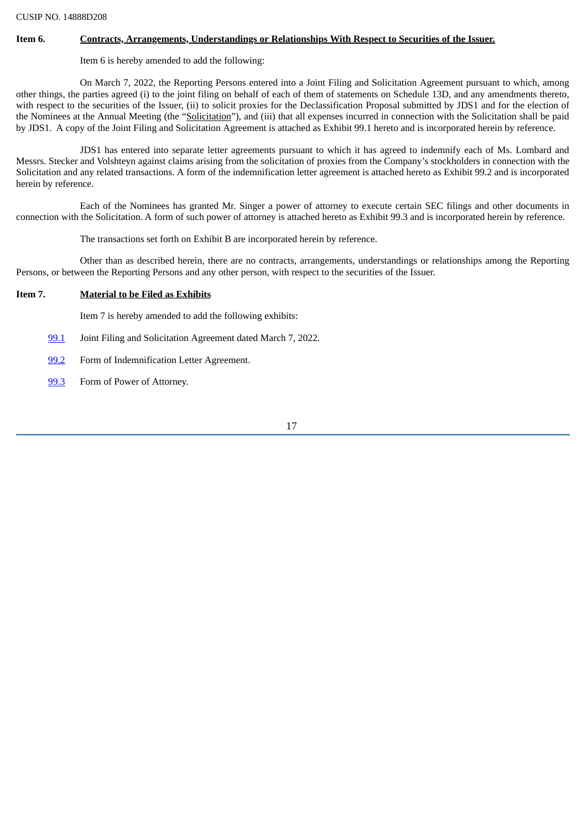#### **Item 6. Contracts, Arrangements, Understandings or Relationships With Respect to Securities of the Issuer.**

Item 6 is hereby amended to add the following:

On March 7, 2022, the Reporting Persons entered into a Joint Filing and Solicitation Agreement pursuant to which, among other things, the parties agreed (i) to the joint filing on behalf of each of them of statements on Schedule 13D, and any amendments thereto, with respect to the securities of the Issuer. (ii) to solicit proxies for the Declassification Proposal submitted by JDS1 and for the election of the Nominees at the Annual Meeting (the "Solicitation"), and (iii) that all expenses incurred in connection with the Solicitation shall be paid by JDS1. A copy of the Joint Filing and Solicitation Agreement is attached as Exhibit 99.1 hereto and is incorporated herein by reference.

JDS1 has entered into separate letter agreements pursuant to which it has agreed to indemnify each of Ms. Lombard and Messrs. Stecker and Volshteyn against claims arising from the solicitation of proxies from the Company's stockholders in connection with the Solicitation and any related transactions. A form of the indemnification letter agreement is attached hereto as Exhibit 99.2 and is incorporated herein by reference.

Each of the Nominees has granted Mr. Singer a power of attorney to execute certain SEC filings and other documents in connection with the Solicitation. A form of such power of attorney is attached hereto as Exhibit 99.3 and is incorporated herein by reference.

The transactions set forth on Exhibit B are incorporated herein by reference.

Other than as described herein, there are no contracts, arrangements, understandings or relationships among the Reporting Persons, or between the Reporting Persons and any other person, with respect to the securities of the Issuer.

#### **Item 7. Material to be Filed as Exhibits**

Item 7 is hereby amended to add the following exhibits:

- [99.1](#page-48-0) Joint Filing and Solicitation Agreement dated March 7, 2022.
- [99.2](#page-51-0) Form of Indemnification Letter Agreement.
- [99.3](#page-53-0) Form of Power of Attorney.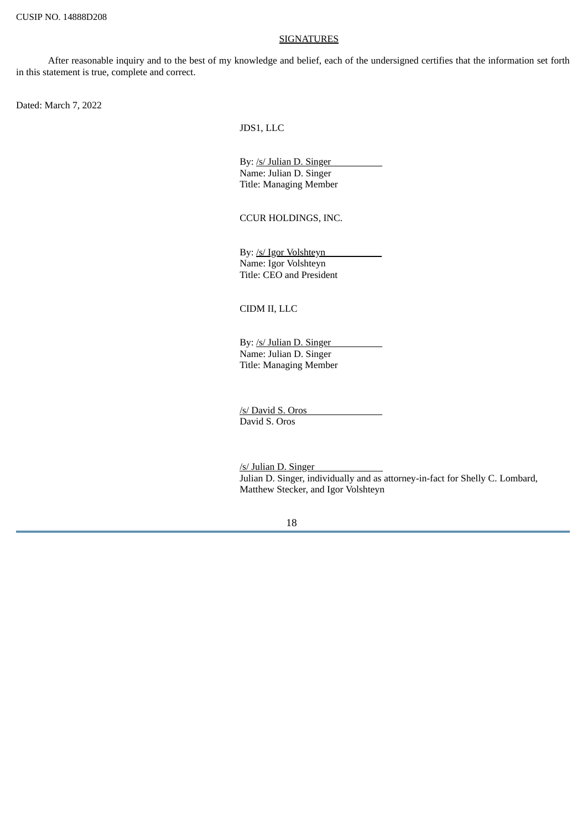#### **SIGNATURES**

After reasonable inquiry and to the best of my knowledge and belief, each of the undersigned certifies that the information set forth in this statement is true, complete and correct.

Dated: March 7, 2022

JDS1, LLC

By: /s/ Julian D. Singer Name: Julian D. Singer Title: Managing Member

CCUR HOLDINGS, INC.

By: /s/ Igor Volshteyn Name: Igor Volshteyn Title: CEO and President

CIDM II, LLC

By: /s/ Julian D. Singer Name: Julian D. Singer Title: Managing Member

/s/ David S. Oros David S. Oros

/s/ Julian D. Singer Julian D. Singer, individually and as attorney-in-fact for Shelly C. Lombard, Matthew Stecker, and Igor Volshteyn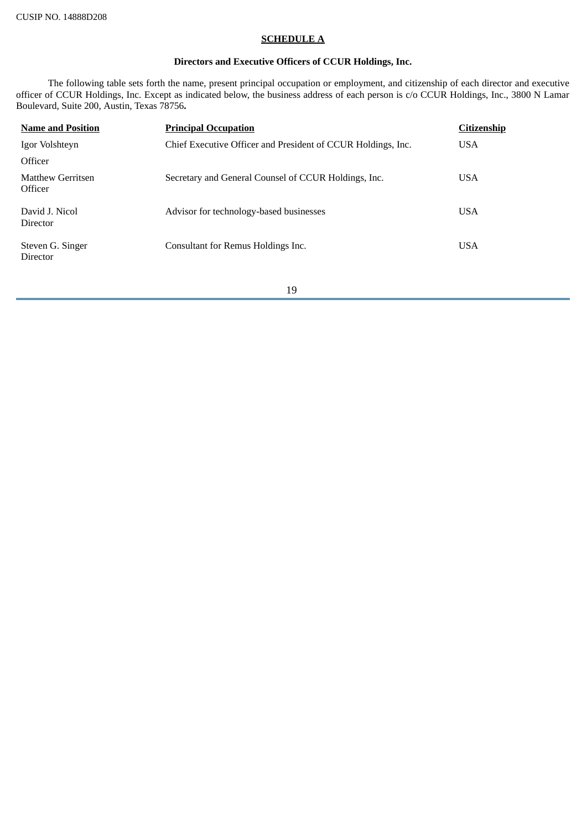## **SCHEDULE A**

# **Directors and Executive Officers of CCUR Holdings, Inc.**

The following table sets forth the name, present principal occupation or employment, and citizenship of each director and executive officer of CCUR Holdings, Inc. Except as indicated below, the business address of each person is c/o CCUR Holdings, Inc., 3800 N Lamar Boulevard, Suite 200, Austin, Texas 78756**.**

| <b>Name and Position</b>     | <b>Principal Occupation</b>                                  | <b>Citizenship</b> |
|------------------------------|--------------------------------------------------------------|--------------------|
| Igor Volshteyn               | Chief Executive Officer and President of CCUR Holdings, Inc. | USA                |
| Officer                      |                                                              |                    |
| Matthew Gerritsen<br>Officer | Secretary and General Counsel of CCUR Holdings, Inc.         | USA                |
| David J. Nicol<br>Director   | Advisor for technology-based businesses                      | <b>USA</b>         |
| Steven G. Singer<br>Director | Consultant for Remus Holdings Inc.                           | USA                |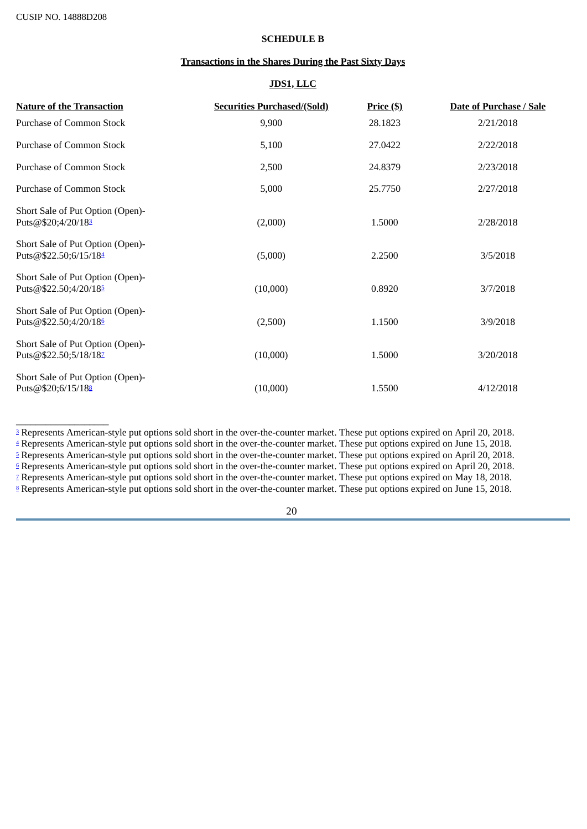<span id="page-19-11"></span><span id="page-19-10"></span><span id="page-19-9"></span><span id="page-19-8"></span> $\_$ 

### **SCHEDULE B**

# **Transactions in the Shares During the Past Sixty Days**

# **JDS1, LLC**

<span id="page-19-7"></span><span id="page-19-6"></span>

| <b>Nature of the Transaction</b>                          | <b>Securities Purchased/(Sold)</b> | $Price (\$)$ | <b>Date of Purchase / Sale</b> |
|-----------------------------------------------------------|------------------------------------|--------------|--------------------------------|
| Purchase of Common Stock                                  | 9,900                              | 28.1823      | 2/21/2018                      |
| Purchase of Common Stock                                  | 5,100                              | 27.0422      | 2/22/2018                      |
| Purchase of Common Stock                                  | 2,500                              | 24.8379      | 2/23/2018                      |
| Purchase of Common Stock                                  | 5,000                              | 25.7750      | 2/27/2018                      |
| Short Sale of Put Option (Open)-<br>Puts@\$20;4/20/183    | (2,000)                            | 1.5000       | 2/28/2018                      |
| Short Sale of Put Option (Open)-<br>Puts@\$22.50;6/15/184 | (5,000)                            | 2.2500       | 3/5/2018                       |
| Short Sale of Put Option (Open)-<br>Puts@\$22.50;4/20/185 | (10,000)                           | 0.8920       | 3/7/2018                       |
| Short Sale of Put Option (Open)-<br>Puts@\$22.50;4/20/186 | (2,500)                            | 1.1500       | 3/9/2018                       |
| Short Sale of Put Option (Open)-<br>Puts@\$22.50;5/18/182 | (10,000)                           | 1.5000       | 3/20/2018                      |
| Short Sale of Put Option (Open)-<br>Puts@\$20;6/15/188    | (10,000)                           | 1.5500       | 4/12/2018                      |

<span id="page-19-5"></span><span id="page-19-4"></span><span id="page-19-3"></span><span id="page-19-2"></span><span id="page-19-1"></span><span id="page-19-0"></span><sup>[3](#page-19-6)</sup> Represents American-style put options sold short in the over-the-counter market. These put options expired on April 20, 2018. <sup>[4](#page-19-7)</sup> Represents American-style put options sold short in the over-the-counter market. These put options expired on June 15, 2018. <sup>[5](#page-19-8)</sup> Represents American-style put options sold short in the over-the-counter market. These put options expired on April 20, 2018. <sup>[6](#page-19-9)</sup> Represents American-style put options sold short in the over-the-counter market. These put options expired on April 20, 2018. <sup>[7](#page-19-10)</sup> Represents American-style put options sold short in the over-the-counter market. These put options expired on May 18, 2018. [8](#page-19-11) Represents American-style put options sold short in the over-the-counter market. These put options expired on June 15, 2018.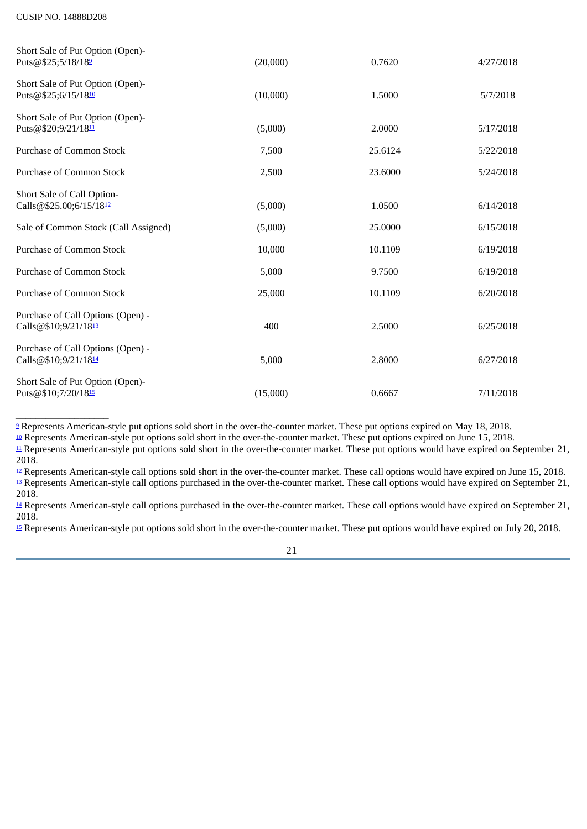<span id="page-20-13"></span><span id="page-20-12"></span><span id="page-20-11"></span>\_\_\_\_\_\_\_\_\_\_\_\_\_\_\_\_\_\_\_

<span id="page-20-10"></span><span id="page-20-9"></span><span id="page-20-8"></span><span id="page-20-7"></span>

| Short Sale of Put Option (Open)-<br>Puts@\$25;5/18/189    | (20,000) | 0.7620  | 4/27/2018 |
|-----------------------------------------------------------|----------|---------|-----------|
| Short Sale of Put Option (Open)-<br>Puts@\$25;6/15/1810   | (10,000) | 1.5000  | 5/7/2018  |
| Short Sale of Put Option (Open)-<br>Puts@\$20;9/21/1811   | (5,000)  | 2.0000  | 5/17/2018 |
| <b>Purchase of Common Stock</b>                           | 7,500    | 25.6124 | 5/22/2018 |
| <b>Purchase of Common Stock</b>                           | 2,500    | 23.6000 | 5/24/2018 |
| Short Sale of Call Option-<br>Calls@\$25.00;6/15/1812     | (5,000)  | 1.0500  | 6/14/2018 |
| Sale of Common Stock (Call Assigned)                      | (5,000)  | 25.0000 | 6/15/2018 |
| <b>Purchase of Common Stock</b>                           | 10,000   | 10.1109 | 6/19/2018 |
| Purchase of Common Stock                                  | 5,000    | 9.7500  | 6/19/2018 |
| <b>Purchase of Common Stock</b>                           | 25,000   | 10.1109 | 6/20/2018 |
| Purchase of Call Options (Open) -<br>Calls@\$10;9/21/1813 | 400      | 2.5000  | 6/25/2018 |
| Purchase of Call Options (Open) -<br>Calls@\$10;9/21/1814 | 5,000    | 2.8000  | 6/27/2018 |
| Short Sale of Put Option (Open)-<br>Puts@\$10;7/20/1815   | (15,000) | 0.6667  | 7/11/2018 |

<span id="page-20-0"></span><sup>[9](#page-20-7)</sup> Represents American-style put options sold short in the over-the-counter market. These put options expired on May 18, 2018.

<span id="page-20-1"></span> $\frac{10}{2}$  $\frac{10}{2}$  $\frac{10}{2}$  Represents American-style put options sold short in the over-the-counter market. These put options expired on June 15, 2018.

<span id="page-20-2"></span> $\mu$  Represents American-style put options sold short in the over-the-counter market. These put options would have expired on September 21, 2018.

<span id="page-20-4"></span><span id="page-20-3"></span><sup>[12](#page-20-10)</sup> Represents American-style call options sold short in the over-the-counter market. These call options would have expired on June 15, 2018. <sup>[13](#page-20-11)</sup> Represents American-style call options purchased in the over-the-counter market. These call options would have expired on September 21, 2018.

<span id="page-20-5"></span><sup>[14](#page-20-12)</sup> Represents American-style call options purchased in the over-the-counter market. These call options would have expired on September 21, 2018.

<span id="page-20-6"></span><sup>[15](#page-20-13)</sup> Represents American-style put options sold short in the over-the-counter market. These put options would have expired on July 20, 2018.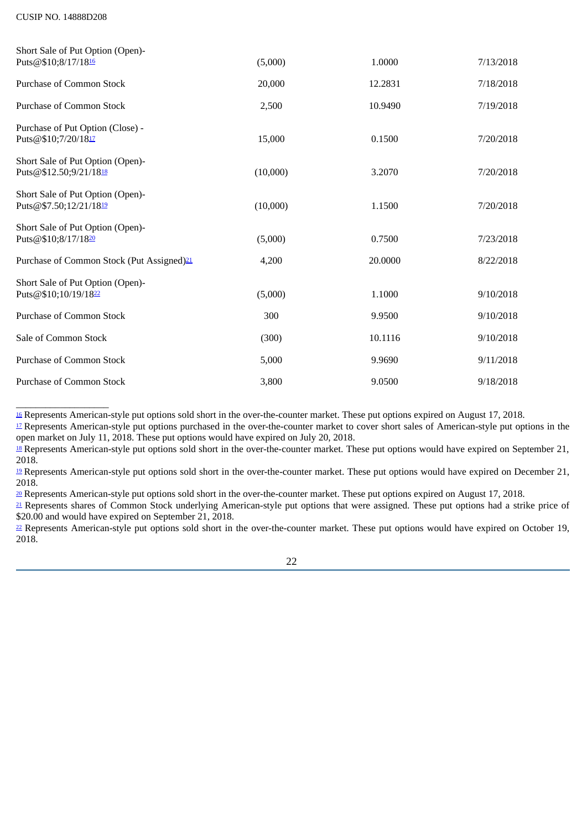<span id="page-21-13"></span><span id="page-21-12"></span><span id="page-21-11"></span> $\_$ 

<span id="page-21-10"></span><span id="page-21-9"></span><span id="page-21-8"></span><span id="page-21-7"></span>

| Short Sale of Put Option (Open)-                                     |          |         |           |
|----------------------------------------------------------------------|----------|---------|-----------|
| Puts@\$10;8/17/1816                                                  | (5,000)  | 1.0000  | 7/13/2018 |
| <b>Purchase of Common Stock</b>                                      | 20,000   | 12.2831 | 7/18/2018 |
| <b>Purchase of Common Stock</b>                                      | 2,500    | 10.9490 | 7/19/2018 |
| Purchase of Put Option (Close) -<br>Puts@\$10;7/20/1817              | 15,000   | 0.1500  | 7/20/2018 |
| Short Sale of Put Option (Open)-<br>Puts@\$12.50;9/21/1818           | (10,000) | 3.2070  | 7/20/2018 |
| Short Sale of Put Option (Open)-<br>Puts@\$7.50;12/21/1819           | (10,000) | 1.1500  | 7/20/2018 |
| Short Sale of Put Option (Open)-<br>Puts@\$10;8/17/1820              | (5,000)  | 0.7500  | 7/23/2018 |
| Purchase of Common Stock (Put Assigned) <sup>21</sup>                | 4,200    | 20.0000 | 8/22/2018 |
| Short Sale of Put Option (Open)-<br>Puts@\$10;10/19/18 <sup>22</sup> | (5,000)  | 1.1000  | 9/10/2018 |
| <b>Purchase of Common Stock</b>                                      | 300      | 9.9500  | 9/10/2018 |
| Sale of Common Stock                                                 | (300)    | 10.1116 | 9/10/2018 |
| <b>Purchase of Common Stock</b>                                      | 5,000    | 9.9690  | 9/11/2018 |
| <b>Purchase of Common Stock</b>                                      | 3,800    | 9.0500  | 9/18/2018 |

<span id="page-21-0"></span><sup>[16](#page-21-7)</sup> Represents American-style put options sold short in the over-the-counter market. These put options expired on August 17, 2018.

<span id="page-21-1"></span><sup>[17](#page-21-8)</sup> Represents American-style put options purchased in the over-the-counter market to cover short sales of American-style put options in the open market on July 11, 2018. These put options would have expired on July 20, 2018.

<span id="page-21-3"></span><sup>[19](#page-21-10)</sup> Represents American-style put options sold short in the over-the-counter market. These put options would have expired on December 21, 2018.

<span id="page-21-4"></span>[20](#page-21-11) Represents American-style put options sold short in the over-the-counter market. These put options expired on August 17, 2018.

<span id="page-21-5"></span>[21](#page-21-12) Represents shares of Common Stock underlying American-style put options that were assigned. These put options had a strike price of \$20.00 and would have expired on September 21, 2018.

<span id="page-21-6"></span><sup>[22](#page-21-13)</sup> Represents American-style put options sold short in the over-the-counter market. These put options would have expired on October 19, 2018.

<span id="page-21-2"></span><sup>&</sup>lt;sup>[18](#page-21-9)</sup> Represents American-style put options sold short in the over-the-counter market. These put options would have expired on September 21, 2018.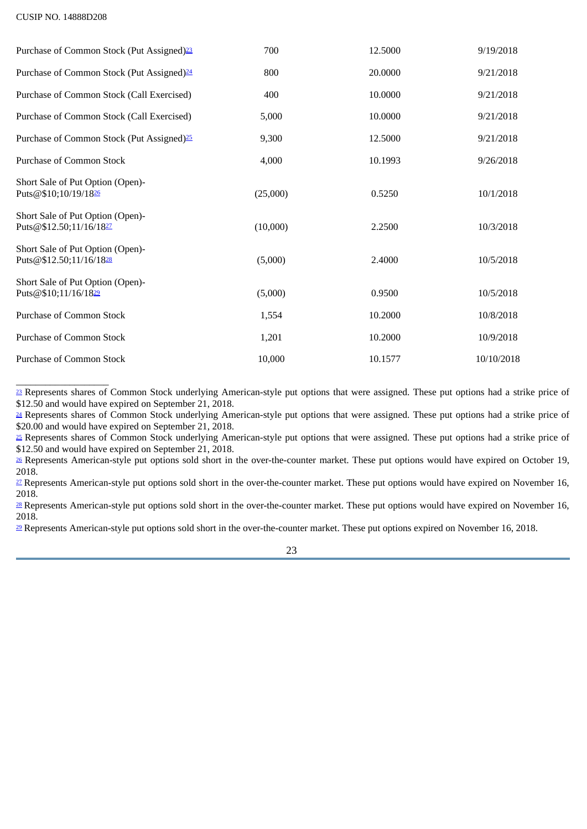<span id="page-22-10"></span><span id="page-22-9"></span><span id="page-22-8"></span><span id="page-22-7"></span>

| Purchase of Common Stock (Put Assigned) <sup>23</sup>                   | 700      | 12.5000 | 9/19/2018  |
|-------------------------------------------------------------------------|----------|---------|------------|
| Purchase of Common Stock (Put Assigned) <sup>24</sup>                   | 800      | 20.0000 | 9/21/2018  |
| Purchase of Common Stock (Call Exercised)                               | 400      | 10.0000 | 9/21/2018  |
| Purchase of Common Stock (Call Exercised)                               | 5,000    | 10.0000 | 9/21/2018  |
| Purchase of Common Stock (Put Assigned) <sup>25</sup>                   | 9,300    | 12.5000 | 9/21/2018  |
| Purchase of Common Stock                                                | 4,000    | 10.1993 | 9/26/2018  |
| Short Sale of Put Option (Open)-<br>Puts@\$10;10/19/1826                | (25,000) | 0.5250  | 10/1/2018  |
| Short Sale of Put Option (Open)-<br>Puts@\$12.50;11/16/1827             | (10,000) | 2.2500  | 10/3/2018  |
| Short Sale of Put Option (Open)-<br>Puts@\$12.50;11/16/18 <sup>28</sup> | (5,000)  | 2.4000  | 10/5/2018  |
| Short Sale of Put Option (Open)-<br>Puts@\$10;11/16/1829                | (5,000)  | 0.9500  | 10/5/2018  |
| <b>Purchase of Common Stock</b>                                         | 1,554    | 10.2000 | 10/8/2018  |
| <b>Purchase of Common Stock</b>                                         | 1,201    | 10.2000 | 10/9/2018  |
| <b>Purchase of Common Stock</b>                                         | 10,000   | 10.1577 | 10/10/2018 |

<span id="page-22-13"></span><span id="page-22-12"></span><span id="page-22-11"></span><span id="page-22-0"></span><sup>[23](#page-22-7)</sup> Represents shares of Common Stock underlying American-style put options that were assigned. These put options had a strike price of \$12.50 and would have expired on September 21, 2018.

<span id="page-22-1"></span><sup>[24](#page-22-8)</sup> Represents shares of Common Stock underlying American-style put options that were assigned. These put options had a strike price of \$20.00 and would have expired on September 21, 2018.

<span id="page-22-2"></span><sup>[25](#page-22-9)</sup> Represents shares of Common Stock underlying American-style put options that were assigned. These put options had a strike price of \$12.50 and would have expired on September 21, 2018.

<span id="page-22-3"></span><sup>[26](#page-22-10)</sup> Represents American-style put options sold short in the over-the-counter market. These put options would have expired on October 19, 2018.

<span id="page-22-4"></span><sup>[27](#page-22-11)</sup> Represents American-style put options sold short in the over-the-counter market. These put options would have expired on November 16, 2018.

<span id="page-22-5"></span><sup>[28](#page-22-12)</sup> Represents American-style put options sold short in the over-the-counter market. These put options would have expired on November 16, 2018.

<span id="page-22-6"></span><sup>[29](#page-22-13)</sup> Represents American-style put options sold short in the over-the-counter market. These put options expired on November 16, 2018.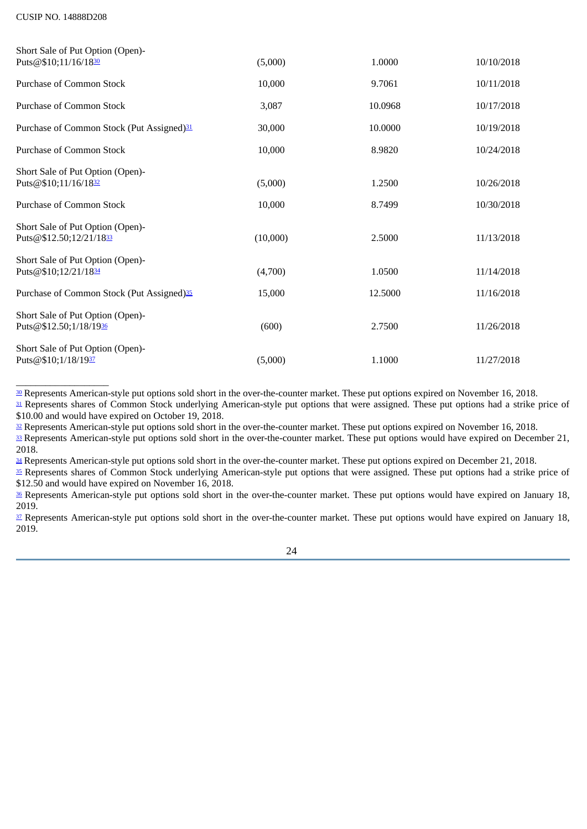<span id="page-23-10"></span><span id="page-23-9"></span><span id="page-23-8"></span>

| Short Sale of Put Option (Open)-                            |          |         |            |
|-------------------------------------------------------------|----------|---------|------------|
| Puts@\$10;11/16/1830                                        | (5,000)  | 1.0000  | 10/10/2018 |
| <b>Purchase of Common Stock</b>                             | 10,000   | 9.7061  | 10/11/2018 |
| Purchase of Common Stock                                    | 3,087    | 10.0968 | 10/17/2018 |
| Purchase of Common Stock (Put Assigned) <sup>31</sup>       | 30,000   | 10.0000 | 10/19/2018 |
| Purchase of Common Stock                                    | 10,000   | 8.9820  | 10/24/2018 |
| Short Sale of Put Option (Open)-<br>Puts@\$10;11/16/1832    | (5,000)  | 1.2500  | 10/26/2018 |
| <b>Purchase of Common Stock</b>                             | 10,000   | 8.7499  | 10/30/2018 |
| Short Sale of Put Option (Open)-<br>Puts@\$12.50;12/21/1833 | (10,000) | 2.5000  | 11/13/2018 |
| Short Sale of Put Option (Open)-<br>Puts@\$10;12/21/1834    | (4,700)  | 1.0500  | 11/14/2018 |
| Purchase of Common Stock (Put Assigned) <sup>35</sup>       | 15,000   | 12.5000 | 11/16/2018 |
| Short Sale of Put Option (Open)-<br>Puts@\$12.50;1/18/1936  | (600)    | 2.7500  | 11/26/2018 |
| Short Sale of Put Option (Open)-<br>Puts@\$10;1/18/1937     | (5,000)  | 1.1000  | 11/27/2018 |

<span id="page-23-15"></span><span id="page-23-14"></span><span id="page-23-13"></span><span id="page-23-12"></span><span id="page-23-11"></span><span id="page-23-0"></span>[30](#page-23-8) Represents American-style put options sold short in the over-the-counter market. These put options expired on November 16, 2018.

<span id="page-23-1"></span><sup>[31](#page-23-9)</sup> Represents shares of Common Stock underlying American-style put options that were assigned. These put options had a strike price of \$10.00 and would have expired on October 19, 2018.

<span id="page-23-3"></span><span id="page-23-2"></span><sup>[32](#page-23-10)</sup> Represents American-style put options sold short in the over-the-counter market. These put options expired on November 16, 2018. [33](#page-23-11) Represents American-style put options sold short in the over-the-counter market. These put options would have expired on December 21, 2018.

<span id="page-23-4"></span>[34](#page-23-12) Represents American-style put options sold short in the over-the-counter market. These put options expired on December 21, 2018.

<span id="page-23-5"></span>[35](#page-23-13) Represents shares of Common Stock underlying American-style put options that were assigned. These put options had a strike price of \$12.50 and would have expired on November 16, 2018.

<span id="page-23-6"></span>[36](#page-23-14) Represents American-style put options sold short in the over-the-counter market. These put options would have expired on January 18, 2019.

<span id="page-23-7"></span>[37](#page-23-15) Represents American-style put options sold short in the over-the-counter market. These put options would have expired on January 18, 2019.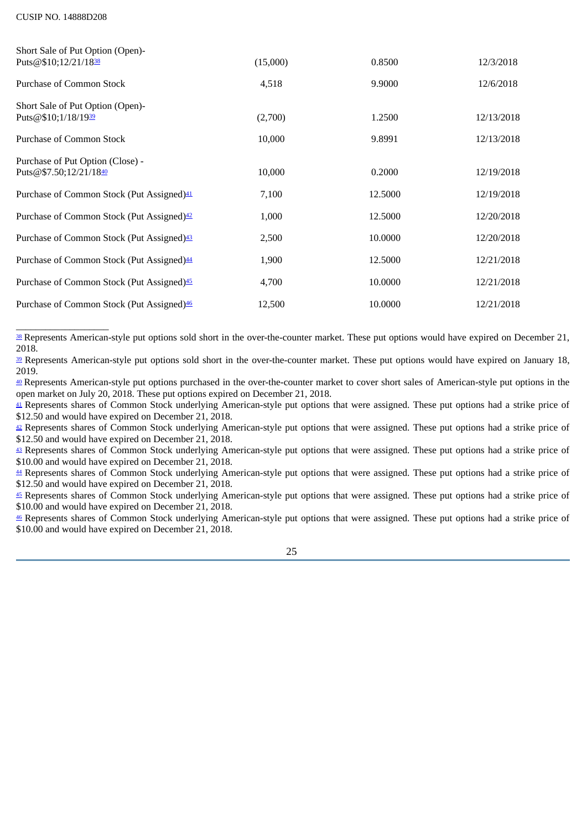<span id="page-24-11"></span><span id="page-24-10"></span><span id="page-24-9"></span>

| Short Sale of Put Option (Open)-<br>Puts@\$10;12/21/1838   | (15,000) | 0.8500  | 12/3/2018  |
|------------------------------------------------------------|----------|---------|------------|
| Purchase of Common Stock                                   | 4,518    | 9.9000  | 12/6/2018  |
| Short Sale of Put Option (Open)-<br>Puts@\$10;1/18/1939    | (2,700)  | 1.2500  | 12/13/2018 |
| Purchase of Common Stock                                   | 10,000   | 9.8991  | 12/13/2018 |
| Purchase of Put Option (Close) -<br>Puts@\$7.50;12/21/1840 | 10,000   | 0.2000  | 12/19/2018 |
| Purchase of Common Stock (Put Assigned) <sup>41</sup>      | 7,100    | 12.5000 | 12/19/2018 |
| Purchase of Common Stock (Put Assigned) <sup>42</sup>      | 1,000    | 12.5000 | 12/20/2018 |
| Purchase of Common Stock (Put Assigned) <sup>43</sup>      | 2,500    | 10.0000 | 12/20/2018 |
| Purchase of Common Stock (Put Assigned) <sup>44</sup>      | 1,900    | 12.5000 | 12/21/2018 |
| Purchase of Common Stock (Put Assigned) <sup>45</sup>      | 4,700    | 10.0000 | 12/21/2018 |
| Purchase of Common Stock (Put Assigned) <sup>46</sup>      | 12,500   | 10.0000 | 12/21/2018 |

<span id="page-24-17"></span><span id="page-24-16"></span><span id="page-24-15"></span><span id="page-24-14"></span><span id="page-24-13"></span><span id="page-24-12"></span><span id="page-24-0"></span>[38](#page-24-9) Represents American-style put options sold short in the over-the-counter market. These put options would have expired on December 21, 2018.

<span id="page-24-1"></span><sup>[39](#page-24-10)</sup> Represents American-style put options sold short in the over-the-counter market. These put options would have expired on January 18, 2019.

<span id="page-24-2"></span>[40](#page-24-11) Represents American-style put options purchased in the over-the-counter market to cover short sales of American-style put options in the open market on July 20, 2018. These put options expired on December 21, 2018.

<span id="page-24-3"></span>[41](#page-24-12) Represents shares of Common Stock underlying American-style put options that were assigned. These put options had a strike price of \$12.50 and would have expired on December 21, 2018.

<span id="page-24-4"></span> $42$  Represents shares of Common Stock underlying American-style put options that were assigned. These put options had a strike price of \$12.50 and would have expired on December 21, 2018.

<span id="page-24-5"></span>[43](#page-24-14) Represents shares of Common Stock underlying American-style put options that were assigned. These put options had a strike price of \$10.00 and would have expired on December 21, 2018.

<span id="page-24-6"></span>[44](#page-24-15) Represents shares of Common Stock underlying American-style put options that were assigned. These put options had a strike price of \$12.50 and would have expired on December 21, 2018.

<span id="page-24-7"></span>[45](#page-24-16) Represents shares of Common Stock underlying American-style put options that were assigned. These put options had a strike price of \$10.00 and would have expired on December 21, 2018.

<span id="page-24-8"></span>[46](#page-24-17) Represents shares of Common Stock underlying American-style put options that were assigned. These put options had a strike price of \$10.00 and would have expired on December 21, 2018.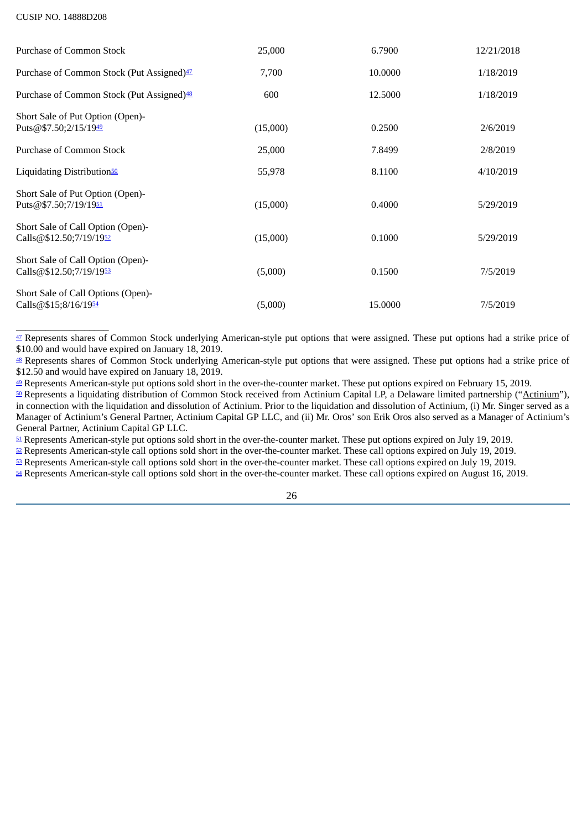<span id="page-25-15"></span><span id="page-25-14"></span><span id="page-25-13"></span><span id="page-25-12"></span>\_\_\_\_\_\_\_\_\_\_\_\_\_\_\_\_\_\_\_

<span id="page-25-11"></span><span id="page-25-10"></span><span id="page-25-9"></span><span id="page-25-8"></span>

| <b>Purchase of Common Stock</b>                              | 25,000   | 6.7900  | 12/21/2018 |
|--------------------------------------------------------------|----------|---------|------------|
| Purchase of Common Stock (Put Assigned) <sup>47</sup>        | 7,700    | 10.0000 | 1/18/2019  |
| Purchase of Common Stock (Put Assigned) <sup>48</sup>        | 600      | 12.5000 | 1/18/2019  |
| Short Sale of Put Option (Open)-<br>Puts@\$7.50;2/15/1949    | (15,000) | 0.2500  | 2/6/2019   |
| Purchase of Common Stock                                     | 25,000   | 7.8499  | 2/8/2019   |
| Liquidating Distribution <sup>50</sup>                       | 55,978   | 8.1100  | 4/10/2019  |
| Short Sale of Put Option (Open)-<br>Puts@\$7.50;7/19/1951    | (15,000) | 0.4000  | 5/29/2019  |
| Short Sale of Call Option (Open)-<br>Calls@\$12.50;7/19/1952 | (15,000) | 0.1000  | 5/29/2019  |
| Short Sale of Call Option (Open)-<br>Calls@\$12.50;7/19/1953 | (5,000)  | 0.1500  | 7/5/2019   |
| Short Sale of Call Options (Open)-<br>Calls@\$15;8/16/1954   | (5,000)  | 15.0000 | 7/5/2019   |

<span id="page-25-0"></span>[47](#page-25-8) Represents shares of Common Stock underlying American-style put options that were assigned. These put options had a strike price of \$10.00 and would have expired on January 18, 2019.

<span id="page-25-1"></span><sup>[48](#page-25-9)</sup> Represents shares of Common Stock underlying American-style put options that were assigned. These put options had a strike price of \$12.50 and would have expired on January 18, 2019.

<span id="page-25-2"></span><sup>[49](#page-25-10)</sup> Represents American-style put options sold short in the over-the-counter market. These put options expired on February 15, 2019.

<span id="page-25-3"></span>[50](#page-25-11) Represents a liquidating distribution of Common Stock received from Actinium Capital LP, a Delaware limited partnership ("Actinium"), in connection with the liquidation and dissolution of Actinium. Prior to the liquidation and dissolution of Actinium, (i) Mr. Singer served as a Manager of Actinium's General Partner, Actinium Capital GP LLC, and (ii) Mr. Oros' son Erik Oros also served as a Manager of Actinium's General Partner, Actinium Capital GP LLC.

<span id="page-25-4"></span>[51](#page-25-12) Represents American-style put options sold short in the over-the-counter market. These put options expired on July 19, 2019.

<span id="page-25-5"></span> $\approx$  Represents American-style call options sold short in the over-the-counter market. These call options expired on July 19, 2019.

<span id="page-25-6"></span>[53](#page-25-14) Represents American-style call options sold short in the over-the-counter market. These call options expired on July 19, 2019.

<span id="page-25-7"></span>[54](#page-25-15) Represents American-style call options sold short in the over-the-counter market. These call options expired on August 16, 2019.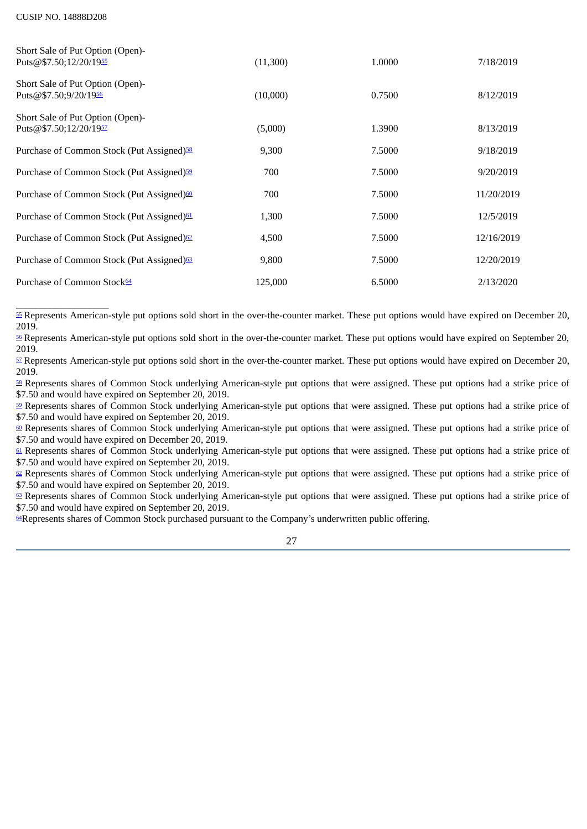<span id="page-26-14"></span><span id="page-26-13"></span><span id="page-26-12"></span><span id="page-26-11"></span><span id="page-26-10"></span>

| Short Sale of Put Option (Open)-<br>Puts@\$7.50;12/20/1955 | (11,300) | 1.0000 | 7/18/2019  |
|------------------------------------------------------------|----------|--------|------------|
| Short Sale of Put Option (Open)-<br>Puts@\$7.50;9/20/1956  | (10,000) | 0.7500 | 8/12/2019  |
| Short Sale of Put Option (Open)-<br>Puts@\$7.50;12/20/1957 | (5,000)  | 1.3900 | 8/13/2019  |
| Purchase of Common Stock (Put Assigned) <sup>58</sup>      | 9,300    | 7.5000 | 9/18/2019  |
| Purchase of Common Stock (Put Assigned) <sup>59</sup>      | 700      | 7.5000 | 9/20/2019  |
| Purchase of Common Stock (Put Assigned) <sup>60</sup>      | 700      | 7.5000 | 11/20/2019 |
| Purchase of Common Stock (Put Assigned) <sup>61</sup>      | 1,300    | 7.5000 | 12/5/2019  |
| Purchase of Common Stock (Put Assigned) <sup>62</sup>      | 4,500    | 7.5000 | 12/16/2019 |
| Purchase of Common Stock (Put Assigned) <sup>63</sup>      | 9,800    | 7.5000 | 12/20/2019 |
| Purchase of Common Stock <sup>64</sup>                     | 125,000  | 6.5000 | 2/13/2020  |

<span id="page-26-19"></span><span id="page-26-18"></span><span id="page-26-17"></span><span id="page-26-16"></span><span id="page-26-15"></span><span id="page-26-0"></span> $\_$ [55](#page-26-10) Represents American-style put options sold short in the over-the-counter market. These put options would have expired on December 20, 2019.

<span id="page-26-1"></span>[56](#page-26-11) Represents American-style put options sold short in the over-the-counter market. These put options would have expired on September 20, 2019.

<span id="page-26-2"></span>[57](#page-26-12) Represents American-style put options sold short in the over-the-counter market. These put options would have expired on December 20, 2019.

<span id="page-26-3"></span>[58](#page-26-13) Represents shares of Common Stock underlying American-style put options that were assigned. These put options had a strike price of \$7.50 and would have expired on September 20, 2019.

<span id="page-26-4"></span>**[59](#page-26-14)** Represents shares of Common Stock underlying American-style put options that were assigned. These put options had a strike price of \$7.50 and would have expired on September 20, 2019.

<span id="page-26-5"></span>[60](#page-26-15) Represents shares of Common Stock underlying American-style put options that were assigned. These put options had a strike price of \$7.50 and would have expired on December 20, 2019.

<span id="page-26-6"></span> $61$  Represents shares of Common Stock underlying American-style put options that were assigned. These put options had a strike price of \$7.50 and would have expired on September 20, 2019.

<span id="page-26-7"></span> $\Omega$  Represents shares of Common Stock underlying American-style put options that were assigned. These put options had a strike price of \$7.50 and would have expired on September 20, 2019.

<span id="page-26-8"></span><sup>[63](#page-26-18)</sup> Represents shares of Common Stock underlying American-style put options that were assigned. These put options had a strike price of \$7.50 and would have expired on September 20, 2019.

<span id="page-26-9"></span>[64](#page-26-19)Represents shares of Common Stock purchased pursuant to the Company's underwritten public offering.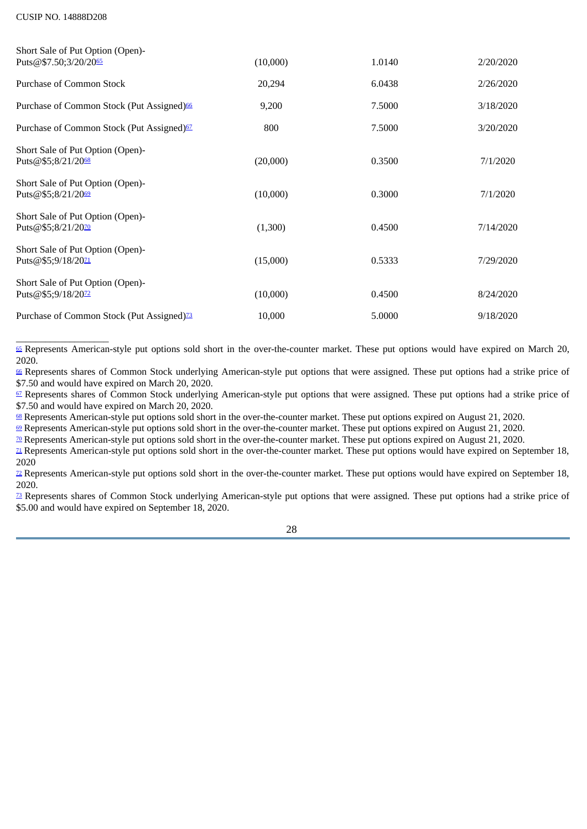<span id="page-27-13"></span><span id="page-27-12"></span><span id="page-27-11"></span><span id="page-27-10"></span><span id="page-27-9"></span>

| Short Sale of Put Option (Open)-<br>Puts@\$7.50;3/20/2065          | (10,000) | 1.0140 | 2/20/2020 |
|--------------------------------------------------------------------|----------|--------|-----------|
| Purchase of Common Stock                                           | 20,294   | 6.0438 | 2/26/2020 |
| Purchase of Common Stock (Put Assigned) <sup>66</sup>              | 9,200    | 7.5000 | 3/18/2020 |
| Purchase of Common Stock (Put Assigned) <sup>67</sup>              | 800      | 7.5000 | 3/20/2020 |
| Short Sale of Put Option (Open)-<br>Puts@\$5;8/21/2068             | (20,000) | 0.3500 | 7/1/2020  |
| Short Sale of Put Option (Open)-<br>Puts@\$5;8/21/2069             | (10,000) | 0.3000 | 7/1/2020  |
| Short Sale of Put Option (Open)-<br>Puts@\$5;8/21/2070             | (1,300)  | 0.4500 | 7/14/2020 |
| Short Sale of Put Option (Open)-<br>Puts@\$5;9/18/20 <sup>71</sup> | (15,000) | 0.5333 | 7/29/2020 |
| Short Sale of Put Option (Open)-<br>Puts@\$5;9/18/2072             | (10,000) | 0.4500 | 8/24/2020 |
| Purchase of Common Stock (Put Assigned) <sup>73</sup>              | 10,000   | 5.0000 | 9/18/2020 |

<span id="page-27-17"></span><span id="page-27-16"></span><span id="page-27-15"></span><span id="page-27-14"></span><span id="page-27-0"></span>\_\_\_\_\_\_\_\_\_\_\_\_\_\_\_\_\_\_\_ [65](#page-27-9) Represents American-style put options sold short in the over-the-counter market. These put options would have expired on March 20, 2020.

<span id="page-27-1"></span>[66](#page-27-10) Represents shares of Common Stock underlying American-style put options that were assigned. These put options had a strike price of \$7.50 and would have expired on March 20, 2020.

<span id="page-27-2"></span>[67](#page-27-11) Represents shares of Common Stock underlying American-style put options that were assigned. These put options had a strike price of \$7.50 and would have expired on March 20, 2020.

<span id="page-27-3"></span><sup>[68](#page-27-12)</sup> Represents American-style put options sold short in the over-the-counter market. These put options expired on August 21, 2020.

<span id="page-27-4"></span>[69](#page-27-13) Represents American-style put options sold short in the over-the-counter market. These put options expired on August 21, 2020.

<span id="page-27-5"></span>[70](#page-27-14) Represents American-style put options sold short in the over-the-counter market. These put options expired on August 21, 2020.

<span id="page-27-6"></span> $\mu$  Represents American-style put options sold short in the over-the-counter market. These put options would have expired on September 18, 2020

<span id="page-27-7"></span> $\mathbb Z$  Represents American-style put options sold short in the over-the-counter market. These put options would have expired on September 18, 2020.

<span id="page-27-8"></span>[73](#page-27-17) Represents shares of Common Stock underlying American-style put options that were assigned. These put options had a strike price of \$5.00 and would have expired on September 18, 2020.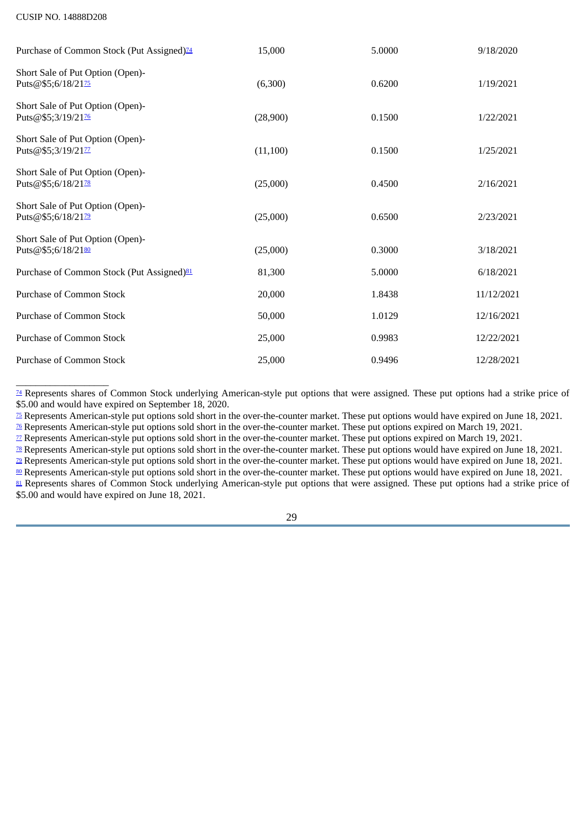<span id="page-28-13"></span><span id="page-28-12"></span><span id="page-28-11"></span><span id="page-28-10"></span><span id="page-28-9"></span><span id="page-28-8"></span>

| Purchase of Common Stock (Put Assigned) <sup>74</sup>  | 15,000    | 5.0000 | 9/18/2020  |
|--------------------------------------------------------|-----------|--------|------------|
| Short Sale of Put Option (Open)-<br>Puts@\$5;6/18/2175 | (6,300)   | 0.6200 | 1/19/2021  |
| Short Sale of Put Option (Open)-<br>Puts@\$5;3/19/2176 | (28,900)  | 0.1500 | 1/22/2021  |
| Short Sale of Put Option (Open)-<br>Puts@\$5;3/19/2177 | (11, 100) | 0.1500 | 1/25/2021  |
| Short Sale of Put Option (Open)-<br>Puts@\$5;6/18/2178 | (25,000)  | 0.4500 | 2/16/2021  |
| Short Sale of Put Option (Open)-<br>Puts@\$5;6/18/2179 | (25,000)  | 0.6500 | 2/23/2021  |
| Short Sale of Put Option (Open)-<br>Puts@\$5;6/18/2180 | (25,000)  | 0.3000 | 3/18/2021  |
| Purchase of Common Stock (Put Assigned) <sup>81</sup>  | 81,300    | 5.0000 | 6/18/2021  |
| <b>Purchase of Common Stock</b>                        | 20,000    | 1.8438 | 11/12/2021 |
| Purchase of Common Stock                               | 50,000    | 1.0129 | 12/16/2021 |
| <b>Purchase of Common Stock</b>                        | 25,000    | 0.9983 | 12/22/2021 |
| <b>Purchase of Common Stock</b>                        | 25,000    | 0.9496 | 12/28/2021 |

<span id="page-28-15"></span><span id="page-28-14"></span><span id="page-28-0"></span><sup>[74](#page-28-8)</sup> Represents shares of Common Stock underlying American-style put options that were assigned. These put options had a strike price of \$5.00 and would have expired on September 18, 2020.

<span id="page-28-1"></span><sup>25</sup> Represents American-style put options sold short in the over-the-counter market. These put options would have expired on June 18, 2021.  $\frac{1}{26}$  Represents American-style put options sold short in the over-the-counter market. These put options expired on March 19, 2021.

<span id="page-28-3"></span><span id="page-28-2"></span> $\overline{2}$  Represents American-style put options sold short in the over-the-counter market. These put options expired on March 19, 2021.

<span id="page-28-4"></span><sup>28</sup> Represents American-style put options sold short in the over-the-counter market. These put options would have expired on June 18, 2021.

<span id="page-28-7"></span><span id="page-28-6"></span><span id="page-28-5"></span> $\frac{1}{2}$  Represents American-style put options sold short in the over-the-counter market. These put options would have expired on June 18, 2021. **[80](#page-28-14)** Represents American-style put options sold short in the over-the-counter market. These put options would have expired on June 18, 2021. [81](#page-28-15) Represents shares of Common Stock underlying American-style put options that were assigned. These put options had a strike price of \$5.00 and would have expired on June 18, 2021.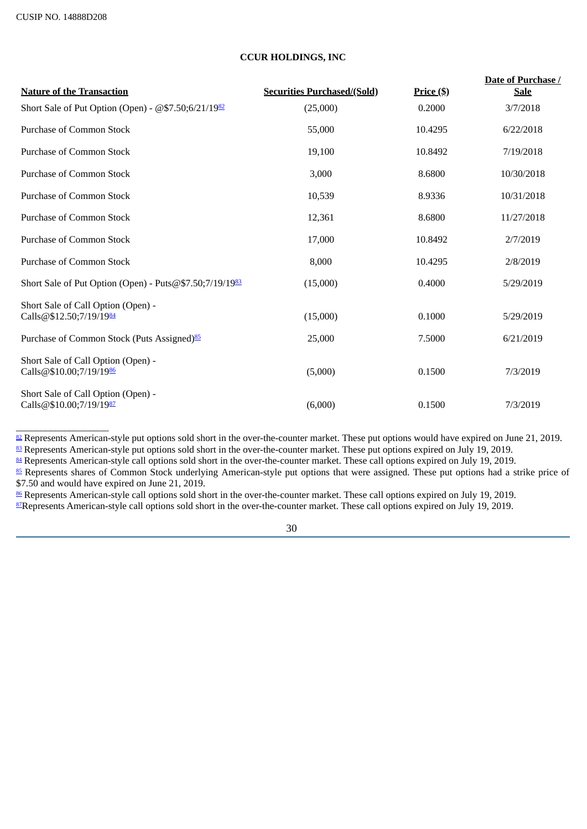<span id="page-29-11"></span><span id="page-29-10"></span><span id="page-29-9"></span><span id="page-29-8"></span> $\_$ 

# <span id="page-29-7"></span><span id="page-29-6"></span>**CCUR HOLDINGS, INC**

| <b>Nature of the Transaction</b>                              | <b>Securities Purchased/(Sold)</b> | <u>Price (\$)</u> | Date of Purchase /<br><b>Sale</b> |
|---------------------------------------------------------------|------------------------------------|-------------------|-----------------------------------|
| Short Sale of Put Option (Open) - @\$7.50;6/21/1982           | (25,000)                           | 0.2000            | 3/7/2018                          |
| <b>Purchase of Common Stock</b>                               | 55,000                             | 10.4295           | 6/22/2018                         |
| <b>Purchase of Common Stock</b>                               | 19,100                             | 10.8492           | 7/19/2018                         |
| Purchase of Common Stock                                      | 3,000                              | 8.6800            | 10/30/2018                        |
| Purchase of Common Stock                                      | 10,539                             | 8.9336            | 10/31/2018                        |
| Purchase of Common Stock                                      | 12,361                             | 8.6800            | 11/27/2018                        |
| Purchase of Common Stock                                      | 17,000                             | 10.8492           | 2/7/2019                          |
| <b>Purchase of Common Stock</b>                               | 8,000                              | 10.4295           | 2/8/2019                          |
| Short Sale of Put Option (Open) - Puts@\$7.50;7/19/1983       | (15,000)                           | 0.4000            | 5/29/2019                         |
| Short Sale of Call Option (Open) -<br>Calls@\$12.50;7/19/1984 | (15,000)                           | 0.1000            | 5/29/2019                         |
| Purchase of Common Stock (Puts Assigned) <sup>85</sup>        | 25,000                             | 7.5000            | 6/21/2019                         |
| Short Sale of Call Option (Open) -<br>Calls@\$10.00;7/19/1986 | (5,000)                            | 0.1500            | 7/3/2019                          |
| Short Sale of Call Option (Open) -<br>Calls@\$10.00;7/19/1987 | (6,000)                            | 0.1500            | 7/3/2019                          |

<span id="page-29-0"></span> $\frac{82}{2}$  $\frac{82}{2}$  $\frac{82}{2}$  Represents American-style put options sold short in the over-the-counter market. These put options would have expired on June 21, 2019.  $\frac{83}{2}$  $\frac{83}{2}$  $\frac{83}{2}$  Represents American-style put options sold short in the over-the-counter market. These put options expired on July 19, 2019.

<span id="page-29-2"></span><span id="page-29-1"></span> $\frac{84}{2}$  $\frac{84}{2}$  $\frac{84}{2}$  Represents American-style call options sold short in the over-the-counter market. These call options expired on July 19, 2019.

<span id="page-29-3"></span><sup>[85](#page-29-9)</sup> Represents shares of Common Stock underlying American-style put options that were assigned. These put options had a strike price of \$7.50 and would have expired on June 21, 2019.

<span id="page-29-5"></span><span id="page-29-4"></span><sup>[86](#page-29-10)</sup> Represents American-style call options sold short in the over-the-counter market. These call options expired on July 19, 2019. <sup>[87](#page-29-11)</sup>Represents American-style call options sold short in the over-the-counter market. These call options expired on July 19, 2019.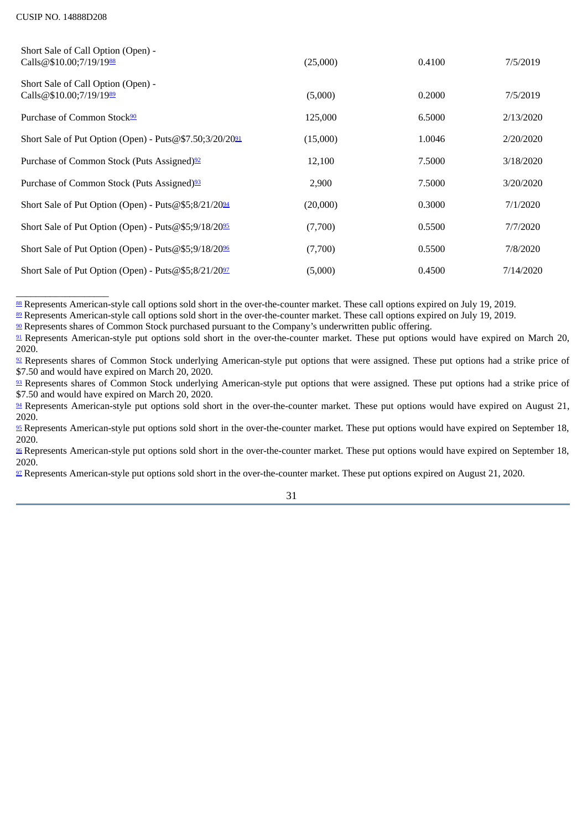<span id="page-30-14"></span><span id="page-30-13"></span><span id="page-30-12"></span><span id="page-30-11"></span><span id="page-30-10"></span>

| Short Sale of Call Option (Open) -<br>Calls@\$10.00;7/19/1988    | (25,000) | 0.4100 | 7/5/2019  |
|------------------------------------------------------------------|----------|--------|-----------|
| Short Sale of Call Option (Open) -<br>Calls@\$10.00;7/19/1989    | (5,000)  | 0.2000 | 7/5/2019  |
| Purchase of Common Stock <sup>90</sup>                           | 125,000  | 6.5000 | 2/13/2020 |
| Short Sale of Put Option (Open) - Puts@\$7.50;3/20/2091          | (15,000) | 1.0046 | 2/20/2020 |
| Purchase of Common Stock (Puts Assigned) <sup>92</sup>           | 12,100   | 7.5000 | 3/18/2020 |
| Purchase of Common Stock (Puts Assigned) <sup>93</sup>           | 2,900    | 7.5000 | 3/20/2020 |
| Short Sale of Put Option (Open) - Puts $@$5;8/21/20\frac{94}{9}$ | (20,000) | 0.3000 | 7/1/2020  |
| Short Sale of Put Option (Open) - Puts@\$5;9/18/2095             | (7,700)  | 0.5500 | 7/7/2020  |
| Short Sale of Put Option (Open) - Puts@\$5;9/18/2096             | (7,700)  | 0.5500 | 7/8/2020  |
| Short Sale of Put Option (Open) - Puts@\$5;8/21/2097             | (5,000)  | 0.4500 | 7/14/2020 |

<span id="page-30-19"></span><span id="page-30-18"></span><span id="page-30-17"></span><span id="page-30-16"></span><span id="page-30-15"></span><span id="page-30-0"></span><sup>[88](#page-30-10)</sup> Represents American-style call options sold short in the over-the-counter market. These call options expired on July 19, 2019.

<span id="page-30-1"></span><sup>[89](#page-30-11)</sup> Represents American-style call options sold short in the over-the-counter market. These call options expired on July 19, 2019.

<span id="page-30-2"></span><sup>[90](#page-30-12)</sup> Represents shares of Common Stock purchased pursuant to the Company's underwritten public offering.

<span id="page-30-3"></span>[91](#page-30-13) Represents American-style put options sold short in the over-the-counter market. These put options would have expired on March 20, 2020.

<span id="page-30-4"></span><sup>[92](#page-30-14)</sup> Represents shares of Common Stock underlying American-style put options that were assigned. These put options had a strike price of \$7.50 and would have expired on March 20, 2020.

<span id="page-30-5"></span><sup>[93](#page-30-15)</sup> Represents shares of Common Stock underlying American-style put options that were assigned. These put options had a strike price of \$7.50 and would have expired on March 20, 2020.

<span id="page-30-6"></span><sup>[94](#page-30-16)</sup> Represents American-style put options sold short in the over-the-counter market. These put options would have expired on August 21, 2020.

<span id="page-30-7"></span>**EXECT** Represents American-style put options sold short in the over-the-counter market. These put options would have expired on September 18, 2020.

<span id="page-30-8"></span> $96$  Represents American-style put options sold short in the over-the-counter market. These put options would have expired on September 18, 2020.

<span id="page-30-9"></span>[97](#page-30-19) Represents American-style put options sold short in the over-the-counter market. These put options expired on August 21, 2020.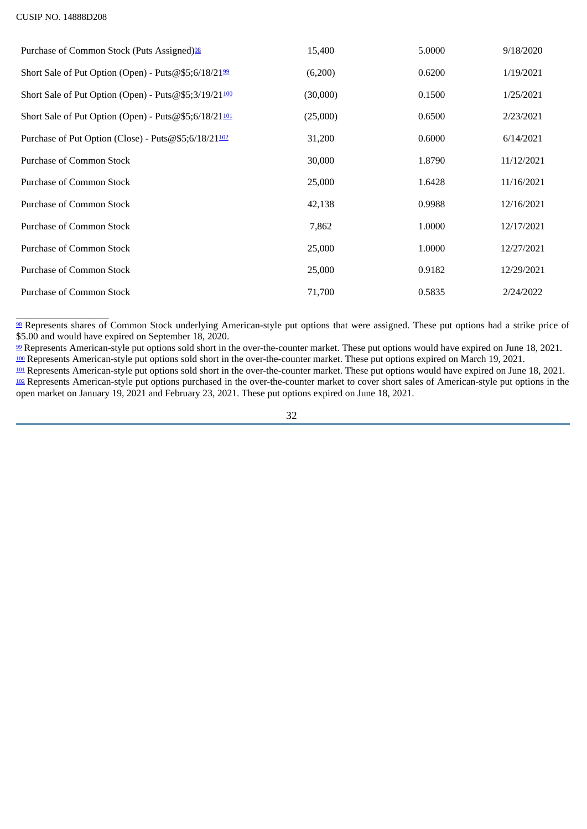$\_$ 

<span id="page-31-9"></span><span id="page-31-8"></span><span id="page-31-7"></span><span id="page-31-6"></span><span id="page-31-5"></span>

| Purchase of Common Stock (Puts Assigned) <sup>98</sup> | 15,400   | 5.0000 | 9/18/2020  |
|--------------------------------------------------------|----------|--------|------------|
| Short Sale of Put Option (Open) - Puts@\$5;6/18/2199   | (6,200)  | 0.6200 | 1/19/2021  |
| Short Sale of Put Option (Open) - Puts@\$5;3/19/21100  | (30,000) | 0.1500 | 1/25/2021  |
| Short Sale of Put Option (Open) - Puts@\$5;6/18/21101  | (25,000) | 0.6500 | 2/23/2021  |
| Purchase of Put Option (Close) - Puts@\$5;6/18/21102   | 31,200   | 0.6000 | 6/14/2021  |
| Purchase of Common Stock                               | 30,000   | 1.8790 | 11/12/2021 |
| Purchase of Common Stock                               | 25,000   | 1.6428 | 11/16/2021 |
| Purchase of Common Stock                               | 42,138   | 0.9988 | 12/16/2021 |
| Purchase of Common Stock                               | 7,862    | 1.0000 | 12/17/2021 |
| Purchase of Common Stock                               | 25,000   | 1.0000 | 12/27/2021 |
| Purchase of Common Stock                               | 25,000   | 0.9182 | 12/29/2021 |
| Purchase of Common Stock                               | 71,700   | 0.5835 | 2/24/2022  |

<span id="page-31-0"></span><sup>[98](#page-31-5)</sup> Represents shares of Common Stock underlying American-style put options that were assigned. These put options had a strike price of \$5.00 and would have expired on September 18, 2020.

<span id="page-31-1"></span><sup>[99](#page-31-6)</sup> Represents American-style put options sold short in the over-the-counter market. These put options would have expired on June 18, 2021. <sup>[100](#page-31-7)</sup> Represents American-style put options sold short in the over-the-counter market. These put options expired on March 19, 2021.

<span id="page-31-4"></span><span id="page-31-3"></span><span id="page-31-2"></span><sup>[101](#page-31-8)</sup> Represents American-style put options sold short in the over-the-counter market. These put options would have expired on June 18, 2021. [102](#page-31-9) Represents American-style put options purchased in the over-the-counter market to cover short sales of American-style put options in the open market on January 19, 2021 and February 23, 2021. These put options expired on June 18, 2021.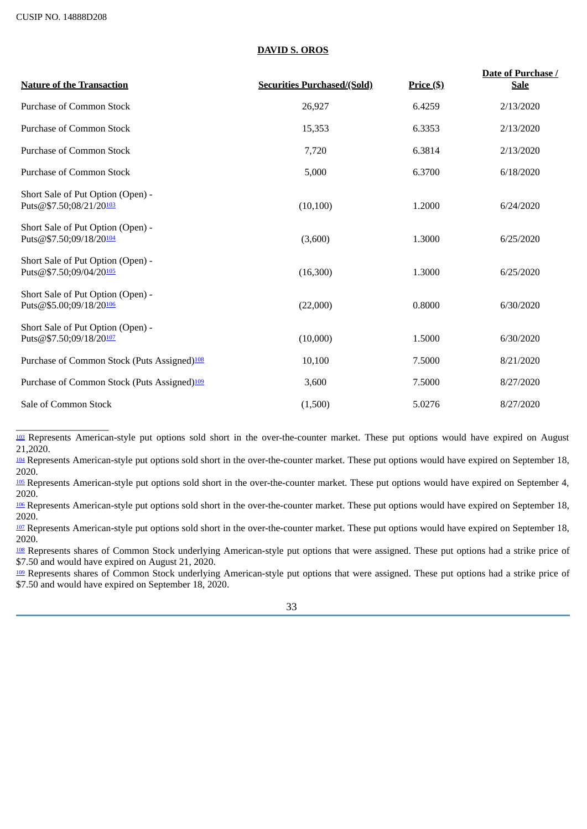# **DAVID S. OROS**

<span id="page-32-8"></span><span id="page-32-7"></span>

| <b>Nature of the Transaction</b>                             | <b>Securities Purchased/(Sold)</b> | $Price (\$)$ | Date of Purchase /<br><b>Sale</b> |
|--------------------------------------------------------------|------------------------------------|--------------|-----------------------------------|
| Purchase of Common Stock                                     | 26,927                             | 6.4259       | 2/13/2020                         |
| <b>Purchase of Common Stock</b>                              | 15,353                             | 6.3353       | 2/13/2020                         |
| Purchase of Common Stock                                     | 7,720                              | 6.3814       | 2/13/2020                         |
| <b>Purchase of Common Stock</b>                              | 5,000                              | 6.3700       | 6/18/2020                         |
| Short Sale of Put Option (Open) -<br>Puts@\$7.50;08/21/20103 | (10, 100)                          | 1.2000       | 6/24/2020                         |
| Short Sale of Put Option (Open) -<br>Puts@\$7.50;09/18/20104 | (3,600)                            | 1.3000       | 6/25/2020                         |
| Short Sale of Put Option (Open) -<br>Puts@\$7.50;09/04/20105 | (16,300)                           | 1.3000       | 6/25/2020                         |
| Short Sale of Put Option (Open) -<br>Puts@\$5.00;09/18/20106 | (22,000)                           | 0.8000       | 6/30/2020                         |
| Short Sale of Put Option (Open) -<br>Puts@\$7.50;09/18/20107 | (10,000)                           | 1.5000       | 6/30/2020                         |
| Purchase of Common Stock (Puts Assigned) <sup>108</sup>      | 10,100                             | 7.5000       | 8/21/2020                         |
| Purchase of Common Stock (Puts Assigned) <sup>109</sup>      | 3,600                              | 7.5000       | 8/27/2020                         |
| Sale of Common Stock                                         | (1,500)                            | 5.0276       | 8/27/2020                         |

<span id="page-32-13"></span><span id="page-32-12"></span><span id="page-32-11"></span><span id="page-32-10"></span><span id="page-32-9"></span><span id="page-32-0"></span>\_\_\_\_\_\_\_\_\_\_\_\_\_\_\_\_\_\_\_ <sup>[103](#page-32-7)</sup> Represents American-style put options sold short in the over-the-counter market. These put options would have expired on August 21,2020.

<span id="page-32-1"></span>[104](#page-32-8) Represents American-style put options sold short in the over-the-counter market. These put options would have expired on September 18, 2020.

<span id="page-32-2"></span>[105](#page-32-9) Represents American-style put options sold short in the over-the-counter market. These put options would have expired on September 4, 2020.

<span id="page-32-3"></span>[106](#page-32-10) Represents American-style put options sold short in the over-the-counter market. These put options would have expired on September 18, 2020.

<span id="page-32-4"></span>[107](#page-32-11) Represents American-style put options sold short in the over-the-counter market. These put options would have expired on September 18, 2020.

<span id="page-32-5"></span>[108](#page-32-12) Represents shares of Common Stock underlying American-style put options that were assigned. These put options had a strike price of \$7.50 and would have expired on August 21, 2020.

<span id="page-32-6"></span>[109](#page-32-13) Represents shares of Common Stock underlying American-style put options that were assigned. These put options had a strike price of \$7.50 and would have expired on September 18, 2020.

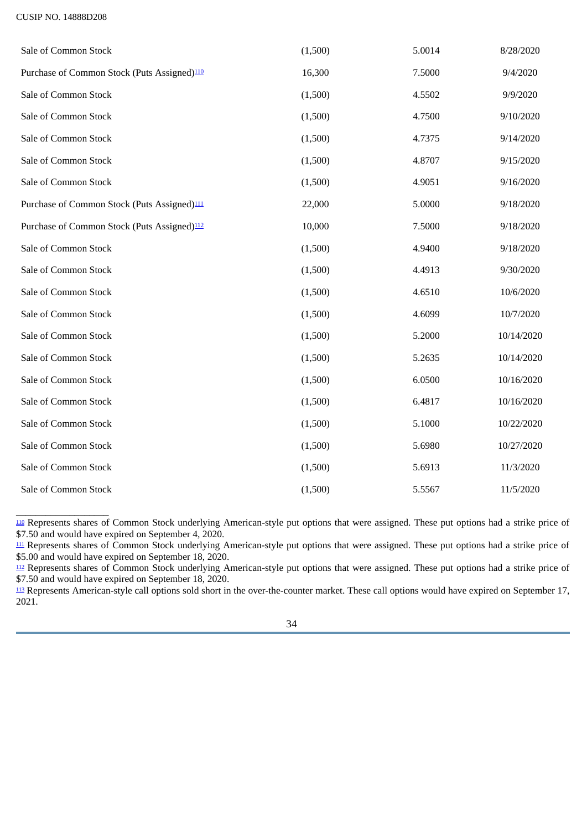<span id="page-33-5"></span><span id="page-33-4"></span><span id="page-33-3"></span>

| Sale of Common Stock                                    | (1,500) | 5.0014 | 8/28/2020  |
|---------------------------------------------------------|---------|--------|------------|
| Purchase of Common Stock (Puts Assigned) <sup>110</sup> | 16,300  | 7.5000 | 9/4/2020   |
| Sale of Common Stock                                    | (1,500) | 4.5502 | 9/9/2020   |
| Sale of Common Stock                                    | (1,500) | 4.7500 | 9/10/2020  |
| Sale of Common Stock                                    | (1,500) | 4.7375 | 9/14/2020  |
| Sale of Common Stock                                    | (1,500) | 4.8707 | 9/15/2020  |
| Sale of Common Stock                                    | (1,500) | 4.9051 | 9/16/2020  |
| Purchase of Common Stock (Puts Assigned) <sup>111</sup> | 22,000  | 5.0000 | 9/18/2020  |
| Purchase of Common Stock (Puts Assigned) <sup>112</sup> | 10,000  | 7.5000 | 9/18/2020  |
| Sale of Common Stock                                    | (1,500) | 4.9400 | 9/18/2020  |
| Sale of Common Stock                                    | (1,500) | 4.4913 | 9/30/2020  |
| Sale of Common Stock                                    | (1,500) | 4.6510 | 10/6/2020  |
| Sale of Common Stock                                    | (1,500) | 4.6099 | 10/7/2020  |
| Sale of Common Stock                                    | (1,500) | 5.2000 | 10/14/2020 |
| Sale of Common Stock                                    | (1,500) | 5.2635 | 10/14/2020 |
| Sale of Common Stock                                    | (1,500) | 6.0500 | 10/16/2020 |
| Sale of Common Stock                                    | (1,500) | 6.4817 | 10/16/2020 |
| Sale of Common Stock                                    | (1,500) | 5.1000 | 10/22/2020 |
| Sale of Common Stock                                    | (1,500) | 5.6980 | 10/27/2020 |
| Sale of Common Stock                                    | (1,500) | 5.6913 | 11/3/2020  |
| Sale of Common Stock                                    | (1,500) | 5.5567 | 11/5/2020  |

<span id="page-33-0"></span>[110](#page-33-3) Represents shares of Common Stock underlying American-style put options that were assigned. These put options had a strike price of \$7.50 and would have expired on September 4, 2020.

<span id="page-33-1"></span><sup>[111](#page-33-4)</sup> Represents shares of Common Stock underlying American-style put options that were assigned. These put options had a strike price of \$5.00 and would have expired on September 18, 2020.

<span id="page-33-2"></span>[112](#page-33-5) Represents shares of Common Stock underlying American-style put options that were assigned. These put options had a strike price of \$7.50 and would have expired on September 18, 2020.

<span id="page-33-6"></span> $\frac{113}{2}$  $\frac{113}{2}$  $\frac{113}{2}$  Represents American-style call options sold short in the over-the-counter market. These call options would have expired on September 17, 2021.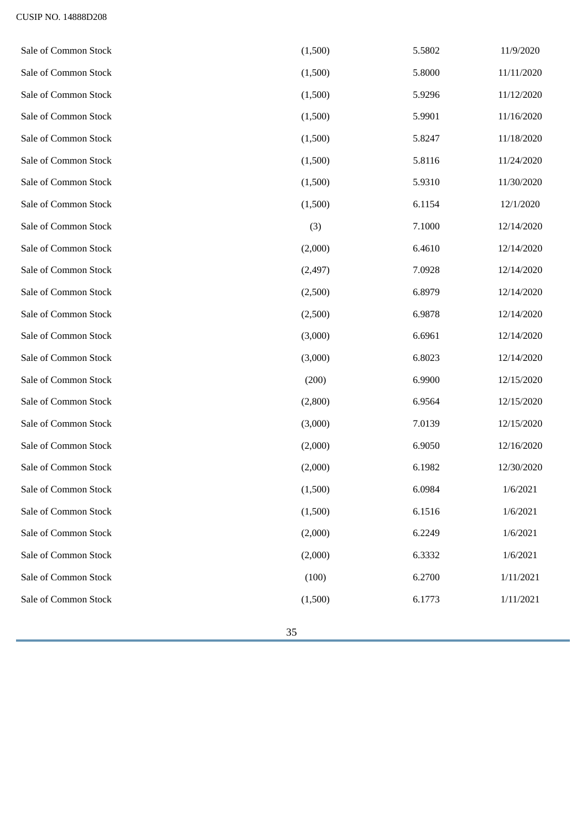| Sale of Common Stock | (1,500)  | 5.5802 | 11/9/2020  |
|----------------------|----------|--------|------------|
| Sale of Common Stock | (1,500)  | 5.8000 | 11/11/2020 |
| Sale of Common Stock | (1,500)  | 5.9296 | 11/12/2020 |
| Sale of Common Stock | (1,500)  | 5.9901 | 11/16/2020 |
| Sale of Common Stock | (1,500)  | 5.8247 | 11/18/2020 |
| Sale of Common Stock | (1,500)  | 5.8116 | 11/24/2020 |
| Sale of Common Stock | (1,500)  | 5.9310 | 11/30/2020 |
| Sale of Common Stock | (1,500)  | 6.1154 | 12/1/2020  |
| Sale of Common Stock | (3)      | 7.1000 | 12/14/2020 |
| Sale of Common Stock | (2,000)  | 6.4610 | 12/14/2020 |
| Sale of Common Stock | (2, 497) | 7.0928 | 12/14/2020 |
| Sale of Common Stock | (2,500)  | 6.8979 | 12/14/2020 |
| Sale of Common Stock | (2,500)  | 6.9878 | 12/14/2020 |
| Sale of Common Stock | (3,000)  | 6.6961 | 12/14/2020 |
| Sale of Common Stock | (3,000)  | 6.8023 | 12/14/2020 |
| Sale of Common Stock | (200)    | 6.9900 | 12/15/2020 |
| Sale of Common Stock | (2,800)  | 6.9564 | 12/15/2020 |
| Sale of Common Stock | (3,000)  | 7.0139 | 12/15/2020 |
| Sale of Common Stock | (2,000)  | 6.9050 | 12/16/2020 |
| Sale of Common Stock | (2,000)  | 6.1982 | 12/30/2020 |
| Sale of Common Stock | (1,500)  | 6.0984 | 1/6/2021   |
| Sale of Common Stock | (1,500)  | 6.1516 | 1/6/2021   |
| Sale of Common Stock | (2,000)  | 6.2249 | 1/6/2021   |
| Sale of Common Stock | (2,000)  | 6.3332 | 1/6/2021   |
| Sale of Common Stock | (100)    | 6.2700 | 1/11/2021  |
| Sale of Common Stock | (1,500)  | 6.1773 | 1/11/2021  |
|                      |          |        |            |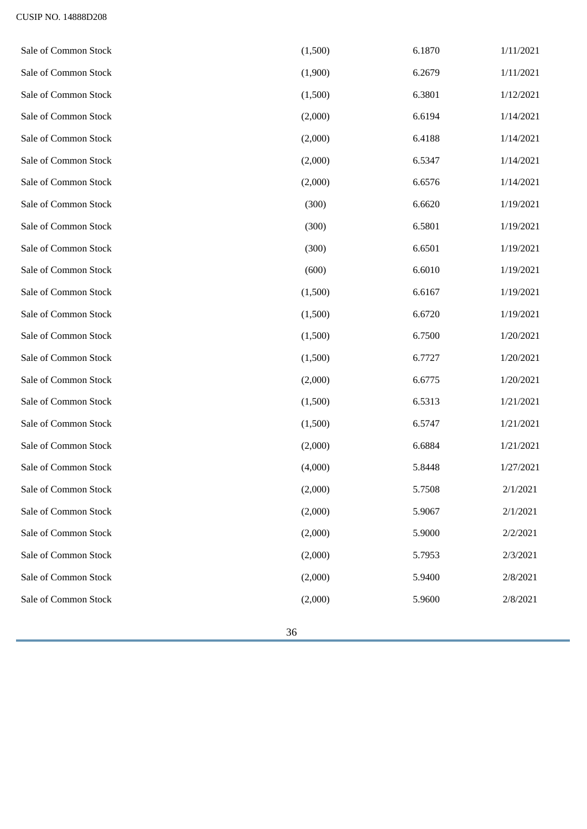| Sale of Common Stock | (1,500) | 6.1870 | 1/11/2021 |
|----------------------|---------|--------|-----------|
| Sale of Common Stock | (1,900) | 6.2679 | 1/11/2021 |
| Sale of Common Stock | (1,500) | 6.3801 | 1/12/2021 |
| Sale of Common Stock | (2,000) | 6.6194 | 1/14/2021 |
| Sale of Common Stock | (2,000) | 6.4188 | 1/14/2021 |
| Sale of Common Stock | (2,000) | 6.5347 | 1/14/2021 |
| Sale of Common Stock | (2,000) | 6.6576 | 1/14/2021 |
| Sale of Common Stock | (300)   | 6.6620 | 1/19/2021 |
| Sale of Common Stock | (300)   | 6.5801 | 1/19/2021 |
| Sale of Common Stock | (300)   | 6.6501 | 1/19/2021 |
| Sale of Common Stock | (600)   | 6.6010 | 1/19/2021 |
| Sale of Common Stock | (1,500) | 6.6167 | 1/19/2021 |
| Sale of Common Stock | (1,500) | 6.6720 | 1/19/2021 |
| Sale of Common Stock | (1,500) | 6.7500 | 1/20/2021 |
| Sale of Common Stock | (1,500) | 6.7727 | 1/20/2021 |
| Sale of Common Stock | (2,000) | 6.6775 | 1/20/2021 |
| Sale of Common Stock | (1,500) | 6.5313 | 1/21/2021 |
| Sale of Common Stock | (1,500) | 6.5747 | 1/21/2021 |
| Sale of Common Stock | (2,000) | 6.6884 | 1/21/2021 |
| Sale of Common Stock | (4,000) | 5.8448 | 1/27/2021 |
| Sale of Common Stock | (2,000) | 5.7508 | 2/1/2021  |
| Sale of Common Stock | (2,000) | 5.9067 | 2/1/2021  |
| Sale of Common Stock | (2,000) | 5.9000 | 2/2/2021  |
| Sale of Common Stock | (2,000) | 5.7953 | 2/3/2021  |
| Sale of Common Stock | (2,000) | 5.9400 | 2/8/2021  |
| Sale of Common Stock | (2,000) | 5.9600 | 2/8/2021  |
|                      |         |        |           |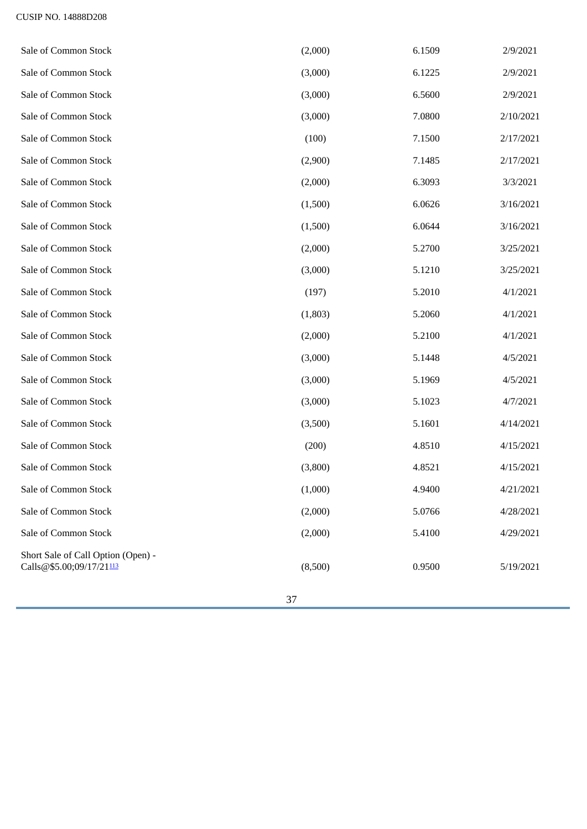<span id="page-36-0"></span>

|                                                                |         |        | 2/9/2021  |
|----------------------------------------------------------------|---------|--------|-----------|
| Sale of Common Stock                                           | (3,000) | 6.1225 | 2/9/2021  |
| Sale of Common Stock                                           | (3,000) | 6.5600 | 2/9/2021  |
| Sale of Common Stock                                           | (3,000) | 7.0800 | 2/10/2021 |
| Sale of Common Stock                                           | (100)   | 7.1500 | 2/17/2021 |
| Sale of Common Stock                                           | (2,900) | 7.1485 | 2/17/2021 |
| Sale of Common Stock                                           | (2,000) | 6.3093 | 3/3/2021  |
| Sale of Common Stock                                           | (1,500) | 6.0626 | 3/16/2021 |
| Sale of Common Stock                                           | (1,500) | 6.0644 | 3/16/2021 |
| Sale of Common Stock                                           | (2,000) | 5.2700 | 3/25/2021 |
| Sale of Common Stock                                           | (3,000) | 5.1210 | 3/25/2021 |
| Sale of Common Stock                                           | (197)   | 5.2010 | 4/1/2021  |
| Sale of Common Stock                                           | (1,803) | 5.2060 | 4/1/2021  |
| Sale of Common Stock                                           | (2,000) | 5.2100 | 4/1/2021  |
| Sale of Common Stock                                           | (3,000) | 5.1448 | 4/5/2021  |
| Sale of Common Stock                                           | (3,000) | 5.1969 | 4/5/2021  |
| Sale of Common Stock                                           | (3,000) | 5.1023 | 4/7/2021  |
| Sale of Common Stock                                           | (3,500) | 5.1601 | 4/14/2021 |
| Sale of Common Stock                                           | (200)   | 4.8510 | 4/15/2021 |
| Sale of Common Stock                                           | (3,800) | 4.8521 | 4/15/2021 |
| Sale of Common Stock                                           | (1,000) | 4.9400 | 4/21/2021 |
| Sale of Common Stock                                           | (2,000) | 5.0766 | 4/28/2021 |
| Sale of Common Stock                                           | (2,000) | 5.4100 | 4/29/2021 |
| Short Sale of Call Option (Open) -<br>Calls@\$5.00;09/17/21113 | (8,500) | 0.9500 | 5/19/2021 |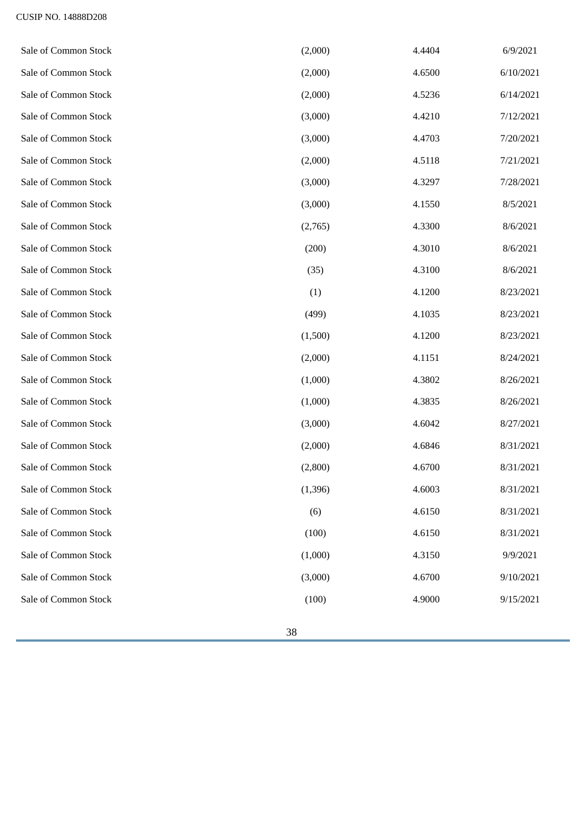| Sale of Common Stock | (2,000)  | 4.4404 | 6/9/2021  |
|----------------------|----------|--------|-----------|
| Sale of Common Stock | (2,000)  | 4.6500 | 6/10/2021 |
| Sale of Common Stock | (2,000)  | 4.5236 | 6/14/2021 |
| Sale of Common Stock | (3,000)  | 4.4210 | 7/12/2021 |
| Sale of Common Stock | (3,000)  | 4.4703 | 7/20/2021 |
| Sale of Common Stock | (2,000)  | 4.5118 | 7/21/2021 |
| Sale of Common Stock | (3,000)  | 4.3297 | 7/28/2021 |
| Sale of Common Stock | (3,000)  | 4.1550 | 8/5/2021  |
| Sale of Common Stock | (2,765)  | 4.3300 | 8/6/2021  |
| Sale of Common Stock | (200)    | 4.3010 | 8/6/2021  |
| Sale of Common Stock | (35)     | 4.3100 | 8/6/2021  |
| Sale of Common Stock | (1)      | 4.1200 | 8/23/2021 |
| Sale of Common Stock | (499)    | 4.1035 | 8/23/2021 |
| Sale of Common Stock | (1,500)  | 4.1200 | 8/23/2021 |
| Sale of Common Stock | (2,000)  | 4.1151 | 8/24/2021 |
| Sale of Common Stock | (1,000)  | 4.3802 | 8/26/2021 |
| Sale of Common Stock | (1,000)  | 4.3835 | 8/26/2021 |
| Sale of Common Stock | (3,000)  | 4.6042 | 8/27/2021 |
| Sale of Common Stock | (2,000)  | 4.6846 | 8/31/2021 |
| Sale of Common Stock | (2,800)  | 4.6700 | 8/31/2021 |
| Sale of Common Stock | (1, 396) | 4.6003 | 8/31/2021 |
| Sale of Common Stock | (6)      | 4.6150 | 8/31/2021 |
| Sale of Common Stock | (100)    | 4.6150 | 8/31/2021 |
| Sale of Common Stock | (1,000)  | 4.3150 | 9/9/2021  |
| Sale of Common Stock | (3,000)  | 4.6700 | 9/10/2021 |
| Sale of Common Stock | (100)    | 4.9000 | 9/15/2021 |
|                      |          |        |           |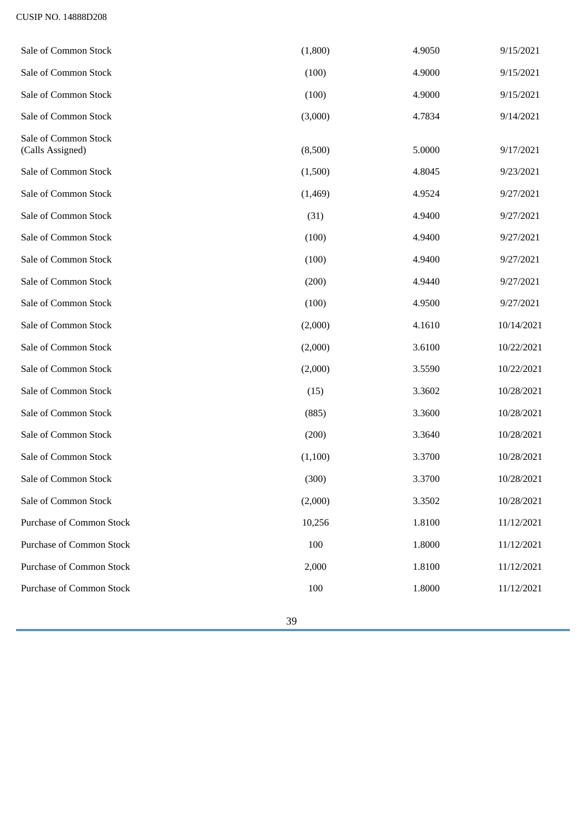| Sale of Common Stock                     | (1,800) | 4.9050 | 9/15/2021  |
|------------------------------------------|---------|--------|------------|
| Sale of Common Stock                     | (100)   | 4.9000 | 9/15/2021  |
| Sale of Common Stock                     | (100)   | 4.9000 | 9/15/2021  |
| Sale of Common Stock                     | (3,000) | 4.7834 | 9/14/2021  |
| Sale of Common Stock<br>(Calls Assigned) | (8,500) | 5.0000 | 9/17/2021  |
| Sale of Common Stock                     | (1,500) | 4.8045 | 9/23/2021  |
| Sale of Common Stock                     | (1,469) | 4.9524 | 9/27/2021  |
| Sale of Common Stock                     | (31)    | 4.9400 | 9/27/2021  |
| Sale of Common Stock                     | (100)   | 4.9400 | 9/27/2021  |
| Sale of Common Stock                     | (100)   | 4.9400 | 9/27/2021  |
| Sale of Common Stock                     | (200)   | 4.9440 | 9/27/2021  |
| Sale of Common Stock                     | (100)   | 4.9500 | 9/27/2021  |
| Sale of Common Stock                     | (2,000) | 4.1610 | 10/14/2021 |
| Sale of Common Stock                     | (2,000) | 3.6100 | 10/22/2021 |
| Sale of Common Stock                     | (2,000) | 3.5590 | 10/22/2021 |
| Sale of Common Stock                     | (15)    | 3.3602 | 10/28/2021 |
| Sale of Common Stock                     | (885)   | 3.3600 | 10/28/2021 |
| Sale of Common Stock                     | (200)   | 3.3640 | 10/28/2021 |
| Sale of Common Stock                     | (1,100) | 3.3700 | 10/28/2021 |
| Sale of Common Stock                     | (300)   | 3.3700 | 10/28/2021 |
| Sale of Common Stock                     | (2,000) | 3.3502 | 10/28/2021 |
| Purchase of Common Stock                 | 10,256  | 1.8100 | 11/12/2021 |
| <b>Purchase of Common Stock</b>          | 100     | 1.8000 | 11/12/2021 |
| <b>Purchase of Common Stock</b>          | 2,000   | 1.8100 | 11/12/2021 |
| <b>Purchase of Common Stock</b>          | 100     | 1.8000 | 11/12/2021 |
|                                          |         |        |            |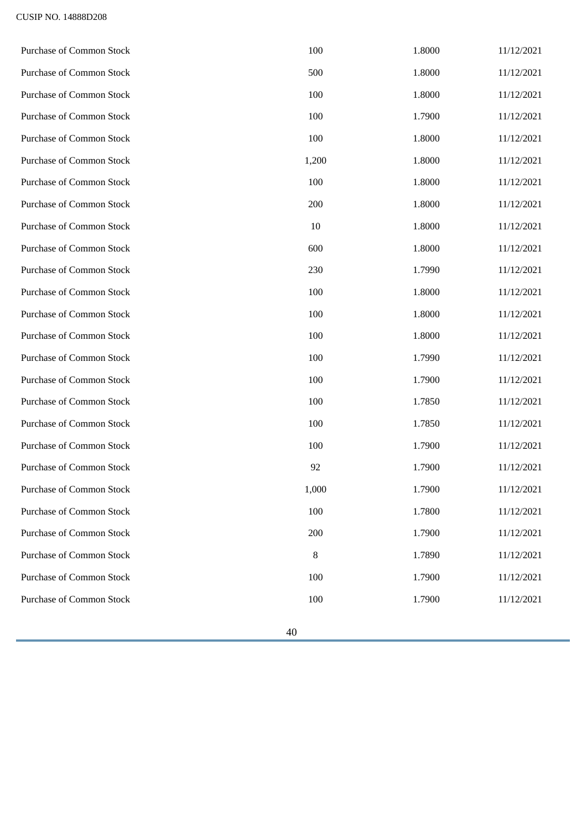| Purchase of Common Stock        | 100    | 1.8000 | 11/12/2021 |
|---------------------------------|--------|--------|------------|
| <b>Purchase of Common Stock</b> | 500    | 1.8000 | 11/12/2021 |
| Purchase of Common Stock        | 100    | 1.8000 | 11/12/2021 |
| <b>Purchase of Common Stock</b> | 100    | 1.7900 | 11/12/2021 |
| <b>Purchase of Common Stock</b> | 100    | 1.8000 | 11/12/2021 |
| <b>Purchase of Common Stock</b> | 1,200  | 1.8000 | 11/12/2021 |
| <b>Purchase of Common Stock</b> | 100    | 1.8000 | 11/12/2021 |
| <b>Purchase of Common Stock</b> | 200    | 1.8000 | 11/12/2021 |
| <b>Purchase of Common Stock</b> | $10\,$ | 1.8000 | 11/12/2021 |
| <b>Purchase of Common Stock</b> | 600    | 1.8000 | 11/12/2021 |
| <b>Purchase of Common Stock</b> | 230    | 1.7990 | 11/12/2021 |
| Purchase of Common Stock        | 100    | 1.8000 | 11/12/2021 |
| <b>Purchase of Common Stock</b> | 100    | 1.8000 | 11/12/2021 |
| <b>Purchase of Common Stock</b> | 100    | 1.8000 | 11/12/2021 |
| <b>Purchase of Common Stock</b> | 100    | 1.7990 | 11/12/2021 |
| <b>Purchase of Common Stock</b> | 100    | 1.7900 | 11/12/2021 |
| <b>Purchase of Common Stock</b> | 100    | 1.7850 | 11/12/2021 |
| <b>Purchase of Common Stock</b> | 100    | 1.7850 | 11/12/2021 |
| <b>Purchase of Common Stock</b> | 100    | 1.7900 | 11/12/2021 |
| <b>Purchase of Common Stock</b> | 92     | 1.7900 | 11/12/2021 |
| <b>Purchase of Common Stock</b> | 1,000  | 1.7900 | 11/12/2021 |
| <b>Purchase of Common Stock</b> | 100    | 1.7800 | 11/12/2021 |
| <b>Purchase of Common Stock</b> | 200    | 1.7900 | 11/12/2021 |
| <b>Purchase of Common Stock</b> | 8      | 1.7890 | 11/12/2021 |
| <b>Purchase of Common Stock</b> | 100    | 1.7900 | 11/12/2021 |
| <b>Purchase of Common Stock</b> | 100    | 1.7900 | 11/12/2021 |
|                                 |        |        |            |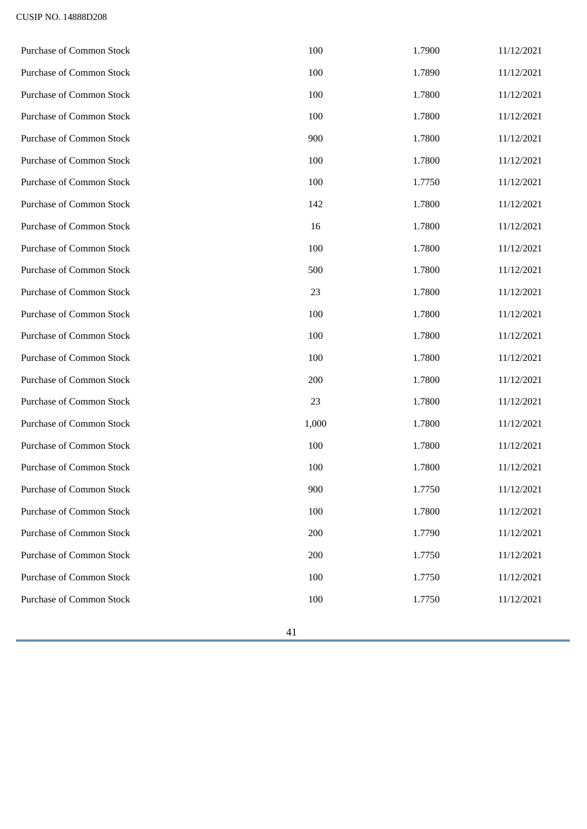| <b>Purchase of Common Stock</b> | 100   | 1.7900 | 11/12/2021 |
|---------------------------------|-------|--------|------------|
| <b>Purchase of Common Stock</b> | 100   | 1.7890 | 11/12/2021 |
| Purchase of Common Stock        | 100   | 1.7800 | 11/12/2021 |
| Purchase of Common Stock        | 100   | 1.7800 | 11/12/2021 |
| <b>Purchase of Common Stock</b> | 900   | 1.7800 | 11/12/2021 |
| <b>Purchase of Common Stock</b> | 100   | 1.7800 | 11/12/2021 |
| <b>Purchase of Common Stock</b> | 100   | 1.7750 | 11/12/2021 |
| <b>Purchase of Common Stock</b> | 142   | 1.7800 | 11/12/2021 |
| <b>Purchase of Common Stock</b> | 16    | 1.7800 | 11/12/2021 |
| Purchase of Common Stock        | 100   | 1.7800 | 11/12/2021 |
| <b>Purchase of Common Stock</b> | 500   | 1.7800 | 11/12/2021 |
| Purchase of Common Stock        | 23    | 1.7800 | 11/12/2021 |
| Purchase of Common Stock        | 100   | 1.7800 | 11/12/2021 |
| Purchase of Common Stock        | 100   | 1.7800 | 11/12/2021 |
| <b>Purchase of Common Stock</b> | 100   | 1.7800 | 11/12/2021 |
| <b>Purchase of Common Stock</b> | 200   | 1.7800 | 11/12/2021 |
| Purchase of Common Stock        | 23    | 1.7800 | 11/12/2021 |
| <b>Purchase of Common Stock</b> | 1,000 | 1.7800 | 11/12/2021 |
| <b>Purchase of Common Stock</b> | 100   | 1.7800 | 11/12/2021 |
| <b>Purchase of Common Stock</b> | 100   | 1.7800 | 11/12/2021 |
| Purchase of Common Stock        | 900   | 1.7750 | 11/12/2021 |
| Purchase of Common Stock        | 100   | 1.7800 | 11/12/2021 |
| <b>Purchase of Common Stock</b> | 200   | 1.7790 | 11/12/2021 |
| <b>Purchase of Common Stock</b> | 200   | 1.7750 | 11/12/2021 |
| <b>Purchase of Common Stock</b> | 100   | 1.7750 | 11/12/2021 |
| <b>Purchase of Common Stock</b> | 100   | 1.7750 | 11/12/2021 |
|                                 |       |        |            |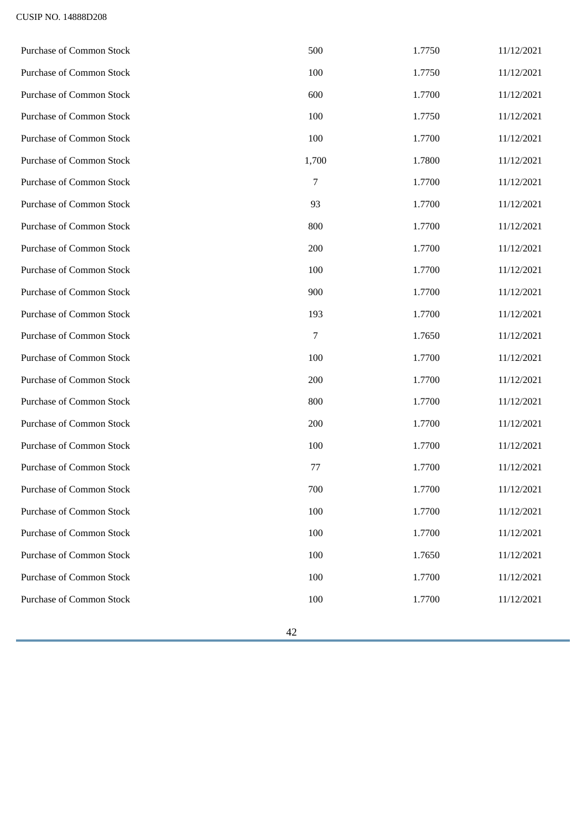| Purchase of Common Stock        | 500            | 1.7750 | 11/12/2021 |
|---------------------------------|----------------|--------|------------|
| <b>Purchase of Common Stock</b> | 100            | 1.7750 | 11/12/2021 |
| Purchase of Common Stock        | 600            | 1.7700 | 11/12/2021 |
| <b>Purchase of Common Stock</b> | 100            | 1.7750 | 11/12/2021 |
| <b>Purchase of Common Stock</b> | 100            | 1.7700 | 11/12/2021 |
| <b>Purchase of Common Stock</b> | 1,700          | 1.7800 | 11/12/2021 |
| <b>Purchase of Common Stock</b> | 7              | 1.7700 | 11/12/2021 |
| <b>Purchase of Common Stock</b> | 93             | 1.7700 | 11/12/2021 |
| <b>Purchase of Common Stock</b> | 800            | 1.7700 | 11/12/2021 |
| Purchase of Common Stock        | 200            | 1.7700 | 11/12/2021 |
| <b>Purchase of Common Stock</b> | 100            | 1.7700 | 11/12/2021 |
| Purchase of Common Stock        | 900            | 1.7700 | 11/12/2021 |
| Purchase of Common Stock        | 193            | 1.7700 | 11/12/2021 |
| Purchase of Common Stock        | $\overline{7}$ | 1.7650 | 11/12/2021 |
| <b>Purchase of Common Stock</b> | 100            | 1.7700 | 11/12/2021 |
| Purchase of Common Stock        | 200            | 1.7700 | 11/12/2021 |
| <b>Purchase of Common Stock</b> | 800            | 1.7700 | 11/12/2021 |
| <b>Purchase of Common Stock</b> | 200            | 1.7700 | 11/12/2021 |
| <b>Purchase of Common Stock</b> | 100            | 1.7700 | 11/12/2021 |
| <b>Purchase of Common Stock</b> | 77             | 1.7700 | 11/12/2021 |
| Purchase of Common Stock        | 700            | 1.7700 | 11/12/2021 |
| Purchase of Common Stock        | 100            | 1.7700 | 11/12/2021 |
| <b>Purchase of Common Stock</b> | 100            | 1.7700 | 11/12/2021 |
| <b>Purchase of Common Stock</b> | 100            | 1.7650 | 11/12/2021 |
| <b>Purchase of Common Stock</b> | 100            | 1.7700 | 11/12/2021 |
| <b>Purchase of Common Stock</b> | 100            | 1.7700 | 11/12/2021 |
|                                 |                |        |            |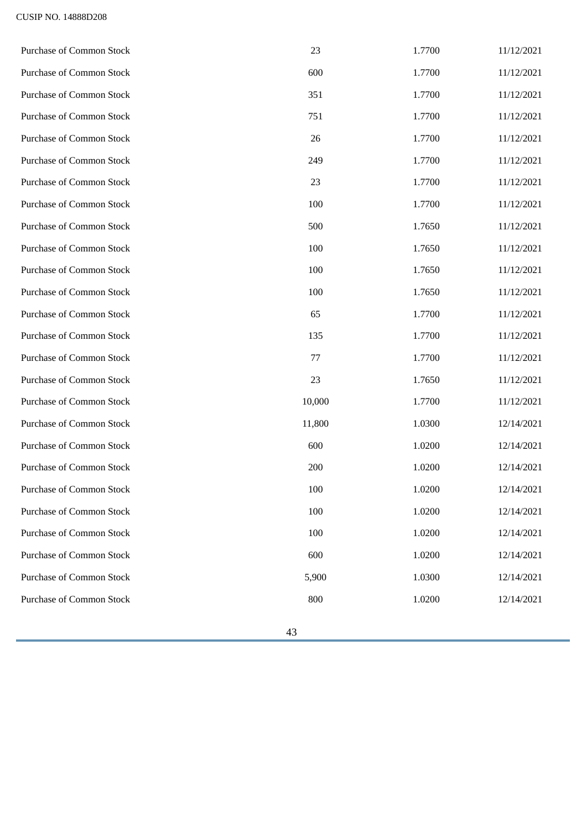| Purchase of Common Stock        | 23     | 1.7700 | 11/12/2021 |
|---------------------------------|--------|--------|------------|
| <b>Purchase of Common Stock</b> | 600    | 1.7700 | 11/12/2021 |
| <b>Purchase of Common Stock</b> | 351    | 1.7700 | 11/12/2021 |
| <b>Purchase of Common Stock</b> | 751    | 1.7700 | 11/12/2021 |
| <b>Purchase of Common Stock</b> | 26     | 1.7700 | 11/12/2021 |
| <b>Purchase of Common Stock</b> | 249    | 1.7700 | 11/12/2021 |
| Purchase of Common Stock        | 23     | 1.7700 | 11/12/2021 |
| <b>Purchase of Common Stock</b> | 100    | 1.7700 | 11/12/2021 |
| <b>Purchase of Common Stock</b> | 500    | 1.7650 | 11/12/2021 |
| Purchase of Common Stock        | 100    | 1.7650 | 11/12/2021 |
| <b>Purchase of Common Stock</b> | 100    | 1.7650 | 11/12/2021 |
| <b>Purchase of Common Stock</b> | 100    | 1.7650 | 11/12/2021 |
| Purchase of Common Stock        | 65     | 1.7700 | 11/12/2021 |
| <b>Purchase of Common Stock</b> | 135    | 1.7700 | 11/12/2021 |
| <b>Purchase of Common Stock</b> | 77     | 1.7700 | 11/12/2021 |
| <b>Purchase of Common Stock</b> | 23     | 1.7650 | 11/12/2021 |
| Purchase of Common Stock        | 10,000 | 1.7700 | 11/12/2021 |
| <b>Purchase of Common Stock</b> | 11,800 | 1.0300 | 12/14/2021 |
| <b>Purchase of Common Stock</b> | 600    | 1.0200 | 12/14/2021 |
| <b>Purchase of Common Stock</b> | 200    | 1.0200 | 12/14/2021 |
| Purchase of Common Stock        | 100    | 1.0200 | 12/14/2021 |
| <b>Purchase of Common Stock</b> | 100    | 1.0200 | 12/14/2021 |
| <b>Purchase of Common Stock</b> | 100    | 1.0200 | 12/14/2021 |
| <b>Purchase of Common Stock</b> | 600    | 1.0200 | 12/14/2021 |
| <b>Purchase of Common Stock</b> | 5,900  | 1.0300 | 12/14/2021 |
| <b>Purchase of Common Stock</b> | 800    | 1.0200 | 12/14/2021 |
|                                 |        |        |            |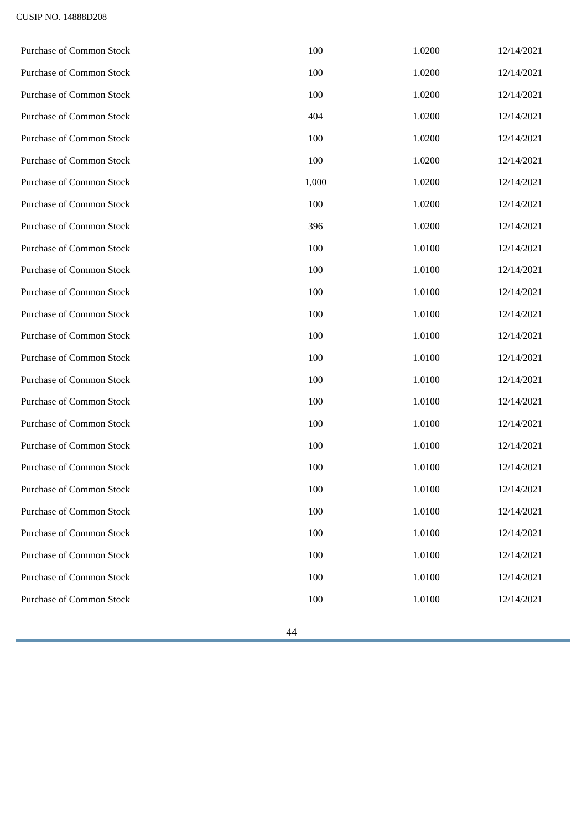| Purchase of Common Stock        | 100   | 1.0200 | 12/14/2021 |
|---------------------------------|-------|--------|------------|
| Purchase of Common Stock        | 100   | 1.0200 | 12/14/2021 |
| <b>Purchase of Common Stock</b> | 100   | 1.0200 | 12/14/2021 |
| <b>Purchase of Common Stock</b> | 404   | 1.0200 | 12/14/2021 |
| Purchase of Common Stock        | 100   | 1.0200 | 12/14/2021 |
| <b>Purchase of Common Stock</b> | 100   | 1.0200 | 12/14/2021 |
| <b>Purchase of Common Stock</b> | 1,000 | 1.0200 | 12/14/2021 |
| Purchase of Common Stock        | 100   | 1.0200 | 12/14/2021 |
| <b>Purchase of Common Stock</b> | 396   | 1.0200 | 12/14/2021 |
| Purchase of Common Stock        | 100   | 1.0100 | 12/14/2021 |
| <b>Purchase of Common Stock</b> | 100   | 1.0100 | 12/14/2021 |
| <b>Purchase of Common Stock</b> | 100   | 1.0100 | 12/14/2021 |
| Purchase of Common Stock        | 100   | 1.0100 | 12/14/2021 |
| <b>Purchase of Common Stock</b> | 100   | 1.0100 | 12/14/2021 |
| Purchase of Common Stock        | 100   | 1.0100 | 12/14/2021 |
| <b>Purchase of Common Stock</b> | 100   | 1.0100 | 12/14/2021 |
| <b>Purchase of Common Stock</b> | 100   | 1.0100 | 12/14/2021 |
| <b>Purchase of Common Stock</b> | 100   | 1.0100 | 12/14/2021 |
| <b>Purchase of Common Stock</b> | 100   | 1.0100 | 12/14/2021 |
| <b>Purchase of Common Stock</b> | 100   | 1.0100 | 12/14/2021 |
| Purchase of Common Stock        | 100   | 1.0100 | 12/14/2021 |
| Purchase of Common Stock        | 100   | 1.0100 | 12/14/2021 |
| <b>Purchase of Common Stock</b> | 100   | 1.0100 | 12/14/2021 |
| <b>Purchase of Common Stock</b> | 100   | 1.0100 | 12/14/2021 |
| <b>Purchase of Common Stock</b> | 100   | 1.0100 | 12/14/2021 |
| <b>Purchase of Common Stock</b> | 100   | 1.0100 | 12/14/2021 |
|                                 |       |        |            |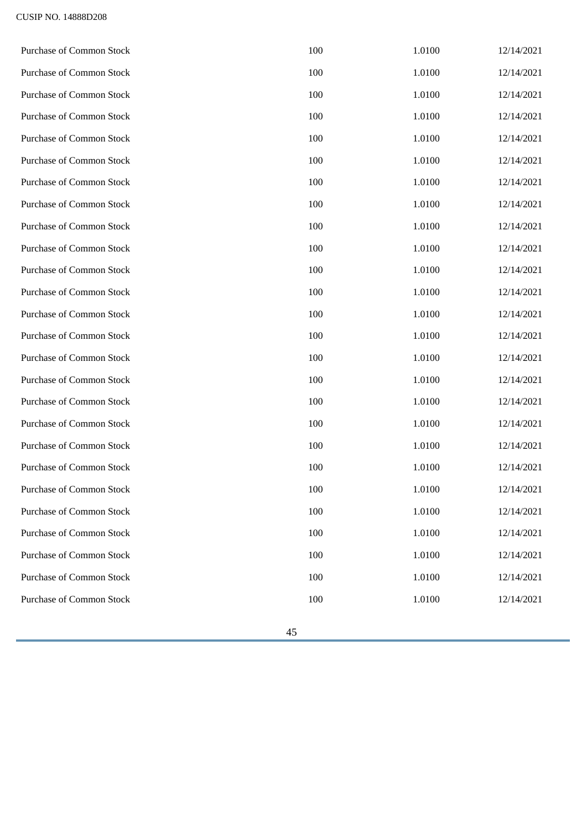| <b>Purchase of Common Stock</b> | 100 | 1.0100 | 12/14/2021 |
|---------------------------------|-----|--------|------------|
| Purchase of Common Stock        | 100 | 1.0100 | 12/14/2021 |
| <b>Purchase of Common Stock</b> | 100 | 1.0100 | 12/14/2021 |
| <b>Purchase of Common Stock</b> | 100 | 1.0100 | 12/14/2021 |
| <b>Purchase of Common Stock</b> | 100 | 1.0100 | 12/14/2021 |
| <b>Purchase of Common Stock</b> | 100 | 1.0100 | 12/14/2021 |
| <b>Purchase of Common Stock</b> | 100 | 1.0100 | 12/14/2021 |
| <b>Purchase of Common Stock</b> | 100 | 1.0100 | 12/14/2021 |
| <b>Purchase of Common Stock</b> | 100 | 1.0100 | 12/14/2021 |
| <b>Purchase of Common Stock</b> | 100 | 1.0100 | 12/14/2021 |
| <b>Purchase of Common Stock</b> | 100 | 1.0100 | 12/14/2021 |
| <b>Purchase of Common Stock</b> | 100 | 1.0100 | 12/14/2021 |
| <b>Purchase of Common Stock</b> | 100 | 1.0100 | 12/14/2021 |
| <b>Purchase of Common Stock</b> | 100 | 1.0100 | 12/14/2021 |
| <b>Purchase of Common Stock</b> | 100 | 1.0100 | 12/14/2021 |
| <b>Purchase of Common Stock</b> | 100 | 1.0100 | 12/14/2021 |
| <b>Purchase of Common Stock</b> | 100 | 1.0100 | 12/14/2021 |
| <b>Purchase of Common Stock</b> | 100 | 1.0100 | 12/14/2021 |
| <b>Purchase of Common Stock</b> | 100 | 1.0100 | 12/14/2021 |
| <b>Purchase of Common Stock</b> | 100 | 1.0100 | 12/14/2021 |
| Purchase of Common Stock        | 100 | 1.0100 | 12/14/2021 |
| Purchase of Common Stock        | 100 | 1.0100 | 12/14/2021 |
| <b>Purchase of Common Stock</b> | 100 | 1.0100 | 12/14/2021 |
| <b>Purchase of Common Stock</b> | 100 | 1.0100 | 12/14/2021 |
| <b>Purchase of Common Stock</b> | 100 | 1.0100 | 12/14/2021 |
| Purchase of Common Stock        | 100 | 1.0100 | 12/14/2021 |
|                                 |     |        |            |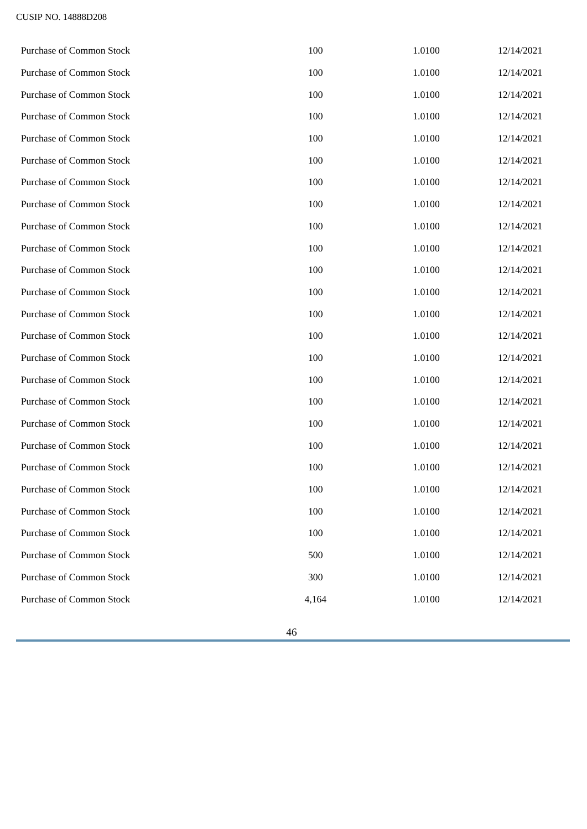| Purchase of Common Stock        | 100   | 1.0100 | 12/14/2021 |
|---------------------------------|-------|--------|------------|
| <b>Purchase of Common Stock</b> | 100   | 1.0100 | 12/14/2021 |
| <b>Purchase of Common Stock</b> | 100   | 1.0100 | 12/14/2021 |
| <b>Purchase of Common Stock</b> | 100   | 1.0100 | 12/14/2021 |
| <b>Purchase of Common Stock</b> | 100   | 1.0100 | 12/14/2021 |
| Purchase of Common Stock        | 100   | 1.0100 | 12/14/2021 |
| <b>Purchase of Common Stock</b> | 100   | 1.0100 | 12/14/2021 |
| Purchase of Common Stock        | 100   | 1.0100 | 12/14/2021 |
| <b>Purchase of Common Stock</b> | 100   | 1.0100 | 12/14/2021 |
| Purchase of Common Stock        | 100   | 1.0100 | 12/14/2021 |
| <b>Purchase of Common Stock</b> | 100   | 1.0100 | 12/14/2021 |
| <b>Purchase of Common Stock</b> | 100   | 1.0100 | 12/14/2021 |
| Purchase of Common Stock        | 100   | 1.0100 | 12/14/2021 |
| <b>Purchase of Common Stock</b> | 100   | 1.0100 | 12/14/2021 |
| Purchase of Common Stock        | 100   | 1.0100 | 12/14/2021 |
| <b>Purchase of Common Stock</b> | 100   | 1.0100 | 12/14/2021 |
| <b>Purchase of Common Stock</b> | 100   | 1.0100 | 12/14/2021 |
| <b>Purchase of Common Stock</b> | 100   | 1.0100 | 12/14/2021 |
| <b>Purchase of Common Stock</b> | 100   | 1.0100 | 12/14/2021 |
| <b>Purchase of Common Stock</b> | 100   | 1.0100 | 12/14/2021 |
| Purchase of Common Stock        | 100   | 1.0100 | 12/14/2021 |
| Purchase of Common Stock        | 100   | 1.0100 | 12/14/2021 |
| <b>Purchase of Common Stock</b> | 100   | 1.0100 | 12/14/2021 |
| <b>Purchase of Common Stock</b> | 500   | 1.0100 | 12/14/2021 |
| <b>Purchase of Common Stock</b> | 300   | 1.0100 | 12/14/2021 |
| <b>Purchase of Common Stock</b> | 4,164 | 1.0100 | 12/14/2021 |
|                                 |       |        |            |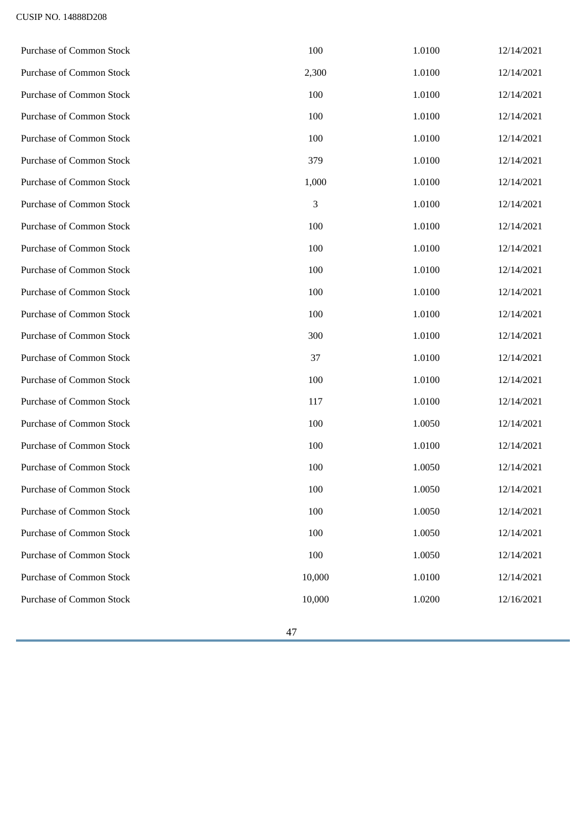| Purchase of Common Stock        | 100    | 1.0100 | 12/14/2021 |
|---------------------------------|--------|--------|------------|
| Purchase of Common Stock        | 2,300  | 1.0100 | 12/14/2021 |
| <b>Purchase of Common Stock</b> | 100    | 1.0100 | 12/14/2021 |
| <b>Purchase of Common Stock</b> | 100    | 1.0100 | 12/14/2021 |
| <b>Purchase of Common Stock</b> | 100    | 1.0100 | 12/14/2021 |
| <b>Purchase of Common Stock</b> | 379    | 1.0100 | 12/14/2021 |
| <b>Purchase of Common Stock</b> | 1,000  | 1.0100 | 12/14/2021 |
| <b>Purchase of Common Stock</b> | 3      | 1.0100 | 12/14/2021 |
| <b>Purchase of Common Stock</b> | 100    | 1.0100 | 12/14/2021 |
| <b>Purchase of Common Stock</b> | 100    | 1.0100 | 12/14/2021 |
| <b>Purchase of Common Stock</b> | 100    | 1.0100 | 12/14/2021 |
| <b>Purchase of Common Stock</b> | 100    | 1.0100 | 12/14/2021 |
| <b>Purchase of Common Stock</b> | 100    | 1.0100 | 12/14/2021 |
| Purchase of Common Stock        | 300    | 1.0100 | 12/14/2021 |
| <b>Purchase of Common Stock</b> | 37     | 1.0100 | 12/14/2021 |
| <b>Purchase of Common Stock</b> | 100    | 1.0100 | 12/14/2021 |
| <b>Purchase of Common Stock</b> | 117    | 1.0100 | 12/14/2021 |
| <b>Purchase of Common Stock</b> | 100    | 1.0050 | 12/14/2021 |
| <b>Purchase of Common Stock</b> | 100    | 1.0100 | 12/14/2021 |
| <b>Purchase of Common Stock</b> | 100    | 1.0050 | 12/14/2021 |
| <b>Purchase of Common Stock</b> | 100    | 1.0050 | 12/14/2021 |
| <b>Purchase of Common Stock</b> | 100    | 1.0050 | 12/14/2021 |
| <b>Purchase of Common Stock</b> | 100    | 1.0050 | 12/14/2021 |
| <b>Purchase of Common Stock</b> | 100    | 1.0050 | 12/14/2021 |
| <b>Purchase of Common Stock</b> | 10,000 | 1.0100 | 12/14/2021 |
| <b>Purchase of Common Stock</b> | 10,000 | 1.0200 | 12/16/2021 |
|                                 |        |        |            |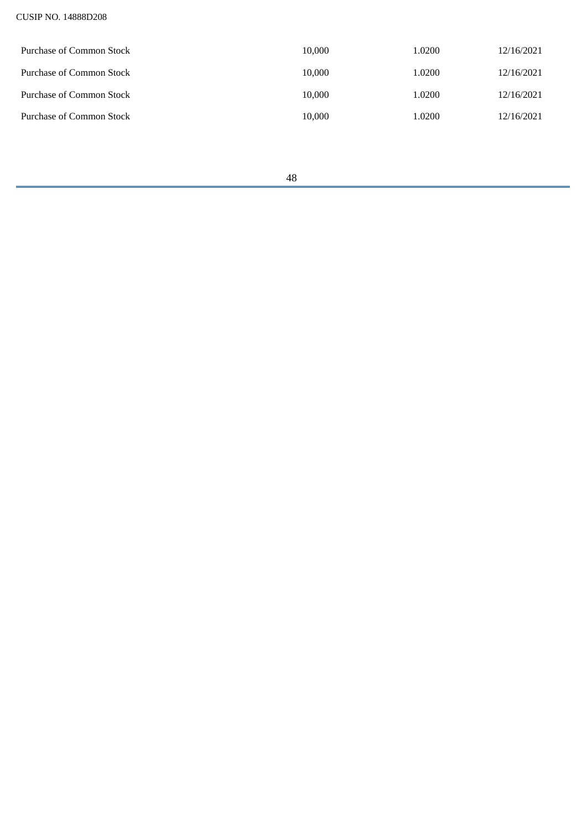| Purchase of Common Stock | 10.000 | 1.0200 | 12/16/2021 |
|--------------------------|--------|--------|------------|
| Purchase of Common Stock | 10.000 | 1.0200 | 12/16/2021 |
| Purchase of Common Stock | 10.000 | 1.0200 | 12/16/2021 |
| Purchase of Common Stock | 10,000 | 1.0200 | 12/16/2021 |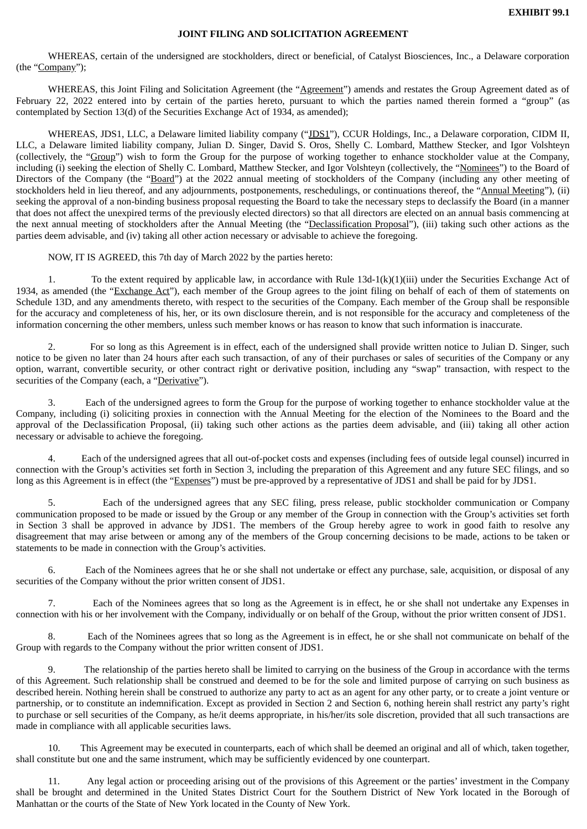## **JOINT FILING AND SOLICITATION AGREEMENT**

<span id="page-48-0"></span>WHEREAS, certain of the undersigned are stockholders, direct or beneficial, of Catalyst Biosciences, Inc., a Delaware corporation (the "Company");

WHEREAS, this Joint Filing and Solicitation Agreement (the "Agreement") amends and restates the Group Agreement dated as of February 22, 2022 entered into by certain of the parties hereto, pursuant to which the parties named therein formed a "group" (as contemplated by Section 13(d) of the Securities Exchange Act of 1934, as amended);

WHEREAS, JDS1, LLC, a Delaware limited liability company ("JDS1"), CCUR Holdings, Inc., a Delaware corporation, CIDM II, LLC, a Delaware limited liability company, Julian D. Singer, David S. Oros, Shelly C. Lombard, Matthew Stecker, and Igor Volshteyn (collectively, the "Group") wish to form the Group for the purpose of working together to enhance stockholder value at the Company, including (i) seeking the election of Shelly C. Lombard, Matthew Stecker, and Igor Volshteyn (collectively, the "Nominees") to the Board of Directors of the Company (the "Board") at the 2022 annual meeting of stockholders of the Company (including any other meeting of stockholders held in lieu thereof, and any adjournments, postponements, reschedulings, or continuations thereof, the "Annual Meeting"), (ii) seeking the approval of a non-binding business proposal requesting the Board to take the necessary steps to declassify the Board (in a manner that does not affect the unexpired terms of the previously elected directors) so that all directors are elected on an annual basis commencing at the next annual meeting of stockholders after the Annual Meeting (the "Declassification Proposal"), (iii) taking such other actions as the parties deem advisable, and (iv) taking all other action necessary or advisable to achieve the foregoing.

NOW, IT IS AGREED, this 7th day of March 2022 by the parties hereto:

1. To the extent required by applicable law, in accordance with Rule 13d-1(k)(1)(iii) under the Securities Exchange Act of 1934, as amended (the "Exchange Act"), each member of the Group agrees to the joint filing on behalf of each of them of statements on Schedule 13D, and any amendments thereto, with respect to the securities of the Company. Each member of the Group shall be responsible for the accuracy and completeness of his, her, or its own disclosure therein, and is not responsible for the accuracy and completeness of the information concerning the other members, unless such member knows or has reason to know that such information is inaccurate.

2. For so long as this Agreement is in effect, each of the undersigned shall provide written notice to Julian D. Singer, such notice to be given no later than 24 hours after each such transaction, of any of their purchases or sales of securities of the Company or any option, warrant, convertible security, or other contract right or derivative position, including any "swap" transaction, with respect to the securities of the Company (each, a "Derivative").

3. Each of the undersigned agrees to form the Group for the purpose of working together to enhance stockholder value at the Company, including (i) soliciting proxies in connection with the Annual Meeting for the election of the Nominees to the Board and the approval of the Declassification Proposal, (ii) taking such other actions as the parties deem advisable, and (iii) taking all other action necessary or advisable to achieve the foregoing.

4. Each of the undersigned agrees that all out-of-pocket costs and expenses (including fees of outside legal counsel) incurred in connection with the Group's activities set forth in Section 3, including the preparation of this Agreement and any future SEC filings, and so long as this Agreement is in effect (the "Expenses") must be pre-approved by a representative of JDS1 and shall be paid for by JDS1.

5. Each of the undersigned agrees that any SEC filing, press release, public stockholder communication or Company communication proposed to be made or issued by the Group or any member of the Group in connection with the Group's activities set forth in Section 3 shall be approved in advance by JDS1. The members of the Group hereby agree to work in good faith to resolve any disagreement that may arise between or among any of the members of the Group concerning decisions to be made, actions to be taken or statements to be made in connection with the Group's activities.

Each of the Nominees agrees that he or she shall not undertake or effect any purchase, sale, acquisition, or disposal of any securities of the Company without the prior written consent of JDS1.

7. Each of the Nominees agrees that so long as the Agreement is in effect, he or she shall not undertake any Expenses in connection with his or her involvement with the Company, individually or on behalf of the Group, without the prior written consent of JDS1.

Each of the Nominees agrees that so long as the Agreement is in effect, he or she shall not communicate on behalf of the Group with regards to the Company without the prior written consent of JDS1.

9. The relationship of the parties hereto shall be limited to carrying on the business of the Group in accordance with the terms of this Agreement. Such relationship shall be construed and deemed to be for the sole and limited purpose of carrying on such business as described herein. Nothing herein shall be construed to authorize any party to act as an agent for any other party, or to create a joint venture or partnership, or to constitute an indemnification. Except as provided in Section 2 and Section 6, nothing herein shall restrict any party's right to purchase or sell securities of the Company, as he/it deems appropriate, in his/her/its sole discretion, provided that all such transactions are made in compliance with all applicable securities laws.

10. This Agreement may be executed in counterparts, each of which shall be deemed an original and all of which, taken together, shall constitute but one and the same instrument, which may be sufficiently evidenced by one counterpart.

11. Any legal action or proceeding arising out of the provisions of this Agreement or the parties' investment in the Company shall be brought and determined in the United States District Court for the Southern District of New York located in the Borough of Manhattan or the courts of the State of New York located in the County of New York.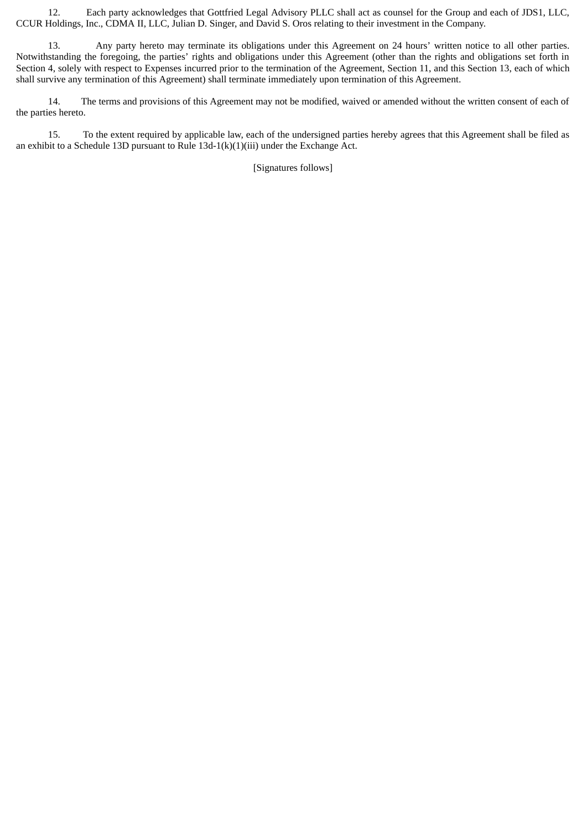12. Each party acknowledges that Gottfried Legal Advisory PLLC shall act as counsel for the Group and each of JDS1, LLC, CCUR Holdings, Inc., CDMA II, LLC, Julian D. Singer, and David S. Oros relating to their investment in the Company.

13. Any party hereto may terminate its obligations under this Agreement on 24 hours' written notice to all other parties. Notwithstanding the foregoing, the parties' rights and obligations under this Agreement (other than the rights and obligations set forth in Section 4, solely with respect to Expenses incurred prior to the termination of the Agreement, Section 11, and this Section 13, each of which shall survive any termination of this Agreement) shall terminate immediately upon termination of this Agreement.

14. The terms and provisions of this Agreement may not be modified, waived or amended without the written consent of each of the parties hereto.

15. To the extent required by applicable law, each of the undersigned parties hereby agrees that this Agreement shall be filed as an exhibit to a Schedule 13D pursuant to Rule 13d-1(k)(1)(iii) under the Exchange Act.

[Signatures follows]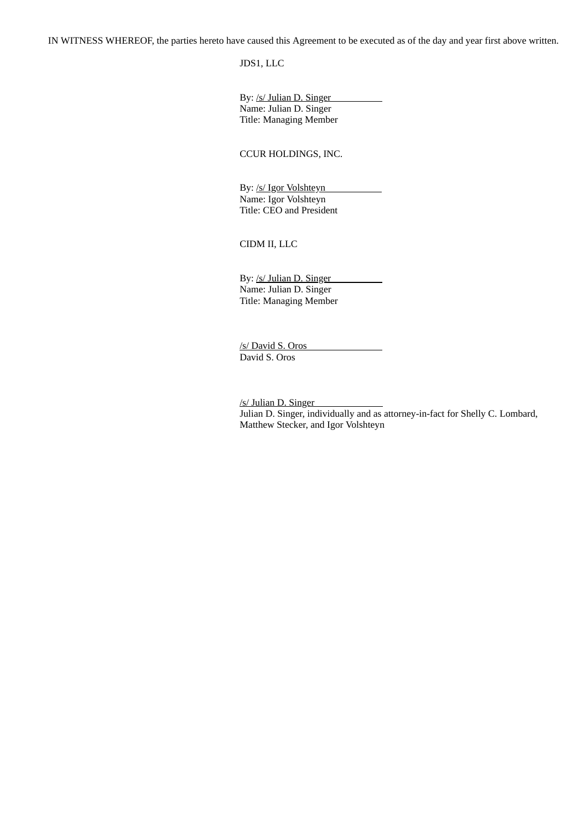IN WITNESS WHEREOF, the parties hereto have caused this Agreement to be executed as of the day and year first above written.

JDS1, LLC

By: /s/ Julian D. Singer Name: Julian D. Singer Title: Managing Member

CCUR HOLDINGS, INC.

By: /s/ Igor Volshteyn Name: Igor Volshteyn Title: CEO and President

CIDM II, LLC

By: /s/ Julian D. Singer Name: Julian D. Singer Title: Managing Member

/s/ David S. Oros David S. Oros

/s/ Julian D. Singer Julian D. Singer, individually and as attorney-in-fact for Shelly C. Lombard, Matthew Stecker, and Igor Volshteyn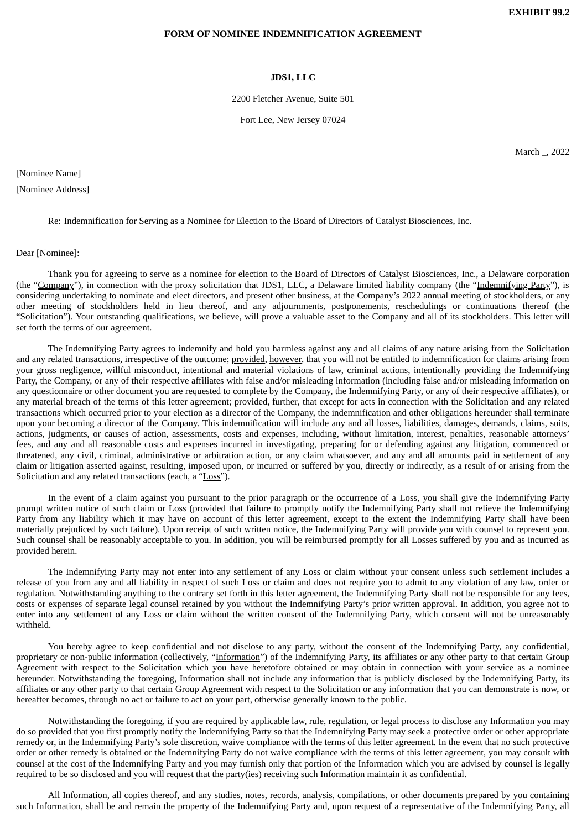**EXHIBIT 99.2**

#### <span id="page-51-0"></span>**FORM OF NOMINEE INDEMNIFICATION AGREEMENT**

#### **JDS1, LLC**

2200 Fletcher Avenue, Suite 501

Fort Lee, New Jersey 07024

March \_, 2022

[Nominee Name] [Nominee Address]

Re: Indemnification for Serving as a Nominee for Election to the Board of Directors of Catalyst Biosciences, Inc.

#### Dear [Nominee]:

Thank you for agreeing to serve as a nominee for election to the Board of Directors of Catalyst Biosciences, Inc., a Delaware corporation (the "Company"), in connection with the proxy solicitation that JDS1, LLC, a Delaware limited liability company (the "Indemnifying Party"), is considering undertaking to nominate and elect directors, and present other business, at the Company's 2022 annual meeting of stockholders, or any other meeting of stockholders held in lieu thereof, and any adjournments, postponements, reschedulings or continuations thereof (the "Solicitation"). Your outstanding qualifications, we believe, will prove a valuable asset to the Company and all of its stockholders. This letter will set forth the terms of our agreement.

The Indemnifying Party agrees to indemnify and hold you harmless against any and all claims of any nature arising from the Solicitation and any related transactions, irrespective of the outcome; provided, however, that you will not be entitled to indemnification for claims arising from your gross negligence, willful misconduct, intentional and material violations of law, criminal actions, intentionally providing the Indemnifying Party, the Company, or any of their respective affiliates with false and/or misleading information (including false and/or misleading information on any questionnaire or other document you are requested to complete by the Company, the Indemnifying Party, or any of their respective affiliates), or any material breach of the terms of this letter agreement; provided, further, that except for acts in connection with the Solicitation and any related transactions which occurred prior to your election as a director of the Company, the indemnification and other obligations hereunder shall terminate upon your becoming a director of the Company. This indemnification will include any and all losses, liabilities, damages, demands, claims, suits, actions, judgments, or causes of action, assessments, costs and expenses, including, without limitation, interest, penalties, reasonable attorneys' fees, and any and all reasonable costs and expenses incurred in investigating, preparing for or defending against any litigation, commenced or threatened, any civil, criminal, administrative or arbitration action, or any claim whatsoever, and any and all amounts paid in settlement of any claim or litigation asserted against, resulting, imposed upon, or incurred or suffered by you, directly or indirectly, as a result of or arising from the Solicitation and any related transactions (each, a "Loss").

In the event of a claim against you pursuant to the prior paragraph or the occurrence of a Loss, you shall give the Indemnifying Party prompt written notice of such claim or Loss (provided that failure to promptly notify the Indemnifying Party shall not relieve the Indemnifying Party from any liability which it may have on account of this letter agreement, except to the extent the Indemnifying Party shall have been materially prejudiced by such failure). Upon receipt of such written notice, the Indemnifying Party will provide you with counsel to represent you. Such counsel shall be reasonably acceptable to you. In addition, you will be reimbursed promptly for all Losses suffered by you and as incurred as provided herein.

The Indemnifying Party may not enter into any settlement of any Loss or claim without your consent unless such settlement includes a release of you from any and all liability in respect of such Loss or claim and does not require you to admit to any violation of any law, order or regulation. Notwithstanding anything to the contrary set forth in this letter agreement, the Indemnifying Party shall not be responsible for any fees, costs or expenses of separate legal counsel retained by you without the Indemnifying Party's prior written approval. In addition, you agree not to enter into any settlement of any Loss or claim without the written consent of the Indemnifying Party, which consent will not be unreasonably withheld.

You hereby agree to keep confidential and not disclose to any party, without the consent of the Indemnifying Party, any confidential, proprietary or non-public information (collectively, "Information") of the Indemnifying Party, its affiliates or any other party to that certain Group Agreement with respect to the Solicitation which you have heretofore obtained or may obtain in connection with your service as a nominee hereunder. Notwithstanding the foregoing, Information shall not include any information that is publicly disclosed by the Indemnifying Party, its affiliates or any other party to that certain Group Agreement with respect to the Solicitation or any information that you can demonstrate is now, or hereafter becomes, through no act or failure to act on your part, otherwise generally known to the public.

Notwithstanding the foregoing, if you are required by applicable law, rule, regulation, or legal process to disclose any Information you may do so provided that you first promptly notify the Indemnifying Party so that the Indemnifying Party may seek a protective order or other appropriate remedy or, in the Indemnifying Party's sole discretion, waive compliance with the terms of this letter agreement. In the event that no such protective order or other remedy is obtained or the Indemnifying Party do not waive compliance with the terms of this letter agreement, you may consult with counsel at the cost of the Indemnifying Party and you may furnish only that portion of the Information which you are advised by counsel is legally required to be so disclosed and you will request that the party(ies) receiving such Information maintain it as confidential.

All Information, all copies thereof, and any studies, notes, records, analysis, compilations, or other documents prepared by you containing such Information, shall be and remain the property of the Indemnifying Party and, upon request of a representative of the Indemnifying Party, all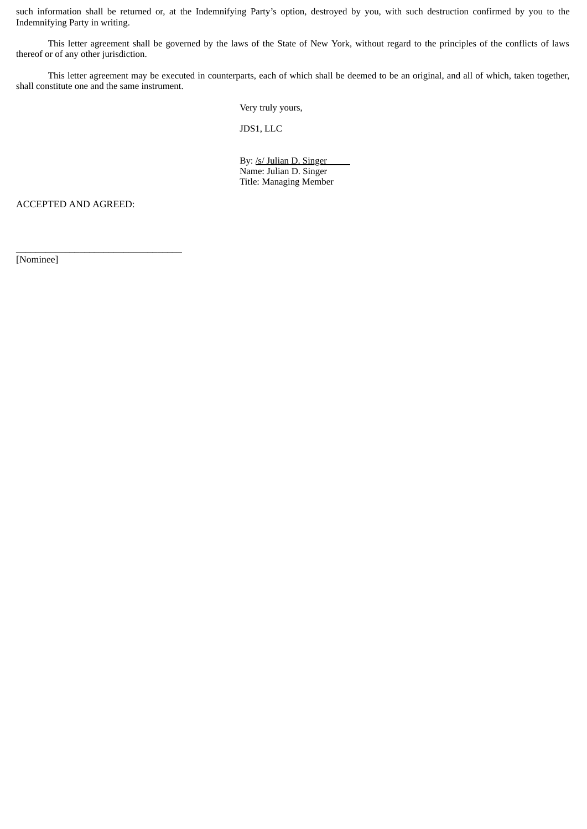such information shall be returned or, at the Indemnifying Party's option, destroyed by you, with such destruction confirmed by you to the Indemnifying Party in writing.

This letter agreement shall be governed by the laws of the State of New York, without regard to the principles of the conflicts of laws thereof or of any other jurisdiction.

This letter agreement may be executed in counterparts, each of which shall be deemed to be an original, and all of which, taken together, shall constitute one and the same instrument.

Very truly yours,

JDS1, LLC

By: /s/ Julian D. Singer Name: Julian D. Singer Title: Managing Member

ACCEPTED AND AGREED:

 $\frac{1}{2}$  ,  $\frac{1}{2}$  ,  $\frac{1}{2}$  ,  $\frac{1}{2}$  ,  $\frac{1}{2}$  ,  $\frac{1}{2}$  ,  $\frac{1}{2}$  ,  $\frac{1}{2}$  ,  $\frac{1}{2}$  ,  $\frac{1}{2}$  ,  $\frac{1}{2}$  ,  $\frac{1}{2}$  ,  $\frac{1}{2}$  ,  $\frac{1}{2}$  ,  $\frac{1}{2}$  ,  $\frac{1}{2}$  ,  $\frac{1}{2}$  ,  $\frac{1}{2}$  ,  $\frac{1$ 

[Nominee]